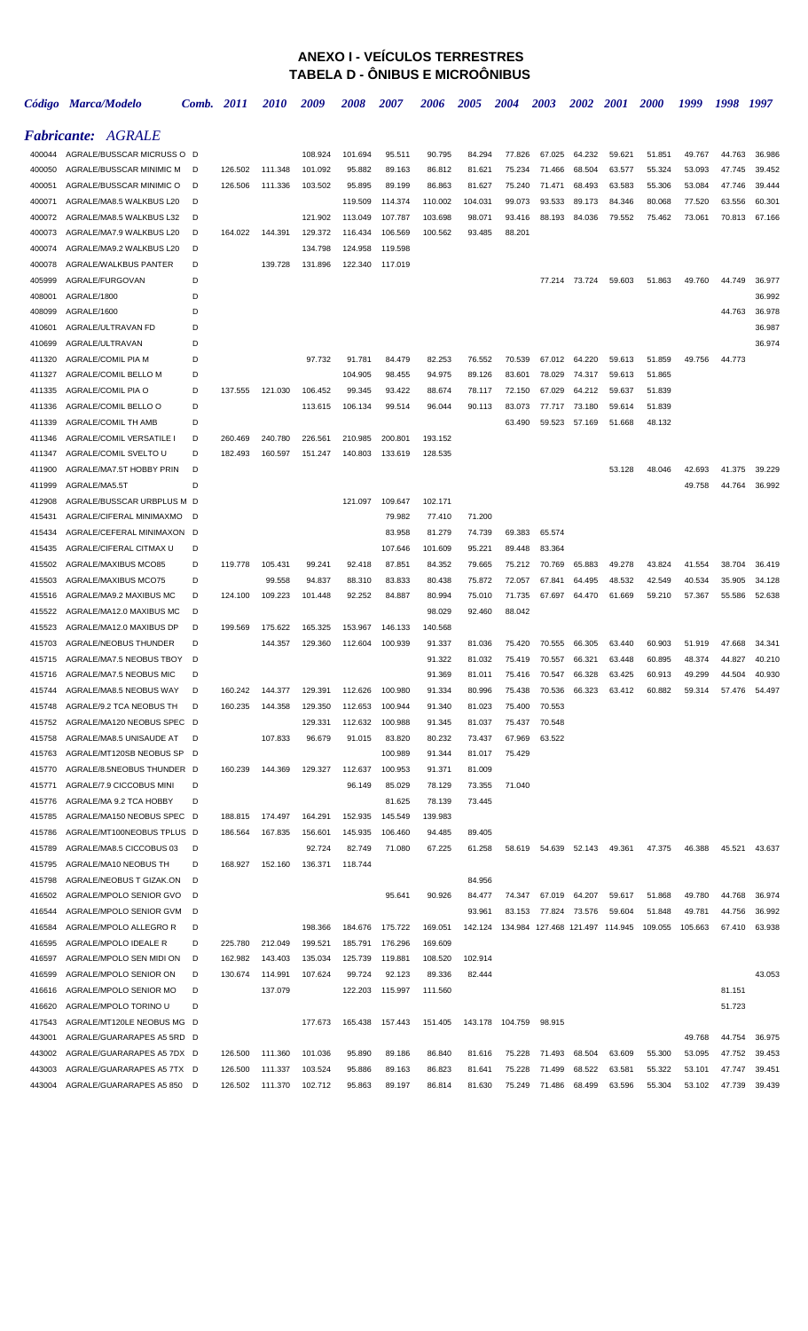## **ANEXO I - VEÍCULOS TERRESTRES TABELA D - ÔNIBUS E MICROÔNIBUS**

|        | Código Marca/Modelo        | Comb. | 2011    | <i>2010</i> | 2009    | 2008    | <i><b>2007</b></i> | 2006    | 2005    | 2004    | 2003                            | <i><b>2002</b></i> | <b>2001</b> | <i>2000</i> | 1999    | 1998   | 1997   |
|--------|----------------------------|-------|---------|-------------|---------|---------|--------------------|---------|---------|---------|---------------------------------|--------------------|-------------|-------------|---------|--------|--------|
|        | <b>Fabricante: AGRALE</b>  |       |         |             |         |         |                    |         |         |         |                                 |                    |             |             |         |        |        |
| 400044 | AGRALE/BUSSCAR MICRUSS O D |       |         |             | 108.924 | 101.694 | 95.511             | 90.795  | 84.294  | 77.826  | 67.025                          | 64.232             | 59.621      | 51.851      | 49.767  | 44.763 | 36.986 |
| 400050 | AGRALE/BUSSCAR MINIMIC M   | D     | 126.502 | 111.348     | 101.092 | 95.882  | 89.163             | 86.812  | 81.621  | 75.234  | 71.466                          | 68.504             | 63.577      | 55.324      | 53.093  | 47.745 | 39.452 |
| 400051 | AGRALE/BUSSCAR MINIMIC O   | D     | 126.506 | 111.336     | 103.502 | 95.895  | 89.199             | 86.863  | 81.627  | 75.240  | 71.471                          | 68.493             | 63.583      | 55.306      | 53.084  | 47.746 | 39.444 |
| 400071 | AGRALE/MA8.5 WALKBUS L20   | D     |         |             |         | 119.509 | 114.374            | 110.002 | 104.031 | 99.073  | 93.533                          | 89.173             | 84.346      | 80.068      | 77.520  | 63.556 | 60.301 |
| 400072 | AGRALE/MA8.5 WALKBUS L32   | D     |         |             | 121.902 | 113.049 | 107.787            | 103.698 | 98.071  | 93.416  | 88.193                          | 84.036             | 79.552      | 75.462      | 73.061  | 70.813 | 67.166 |
| 400073 | AGRALE/MA7.9 WALKBUS L20   | D     | 164.022 | 144.391     | 129.372 | 116.434 | 106.569            | 100.562 | 93.485  | 88.201  |                                 |                    |             |             |         |        |        |
| 400074 | AGRALE/MA9.2 WALKBUS L20   | D     |         |             | 134.798 | 124.958 | 119.598            |         |         |         |                                 |                    |             |             |         |        |        |
| 400078 | AGRALE/WALKBUS PANTER      | D     |         | 139.728     | 131.896 | 122.340 | 117.019            |         |         |         |                                 |                    |             |             |         |        |        |
| 405999 | AGRALE/FURGOVAN            | D     |         |             |         |         |                    |         |         |         | 77.214                          | 73.724             | 59.603      | 51.863      | 49.760  | 44.749 | 36.977 |
| 408001 | AGRALE/1800                | D     |         |             |         |         |                    |         |         |         |                                 |                    |             |             |         |        | 36.992 |
| 408099 | AGRALE/1600                | D     |         |             |         |         |                    |         |         |         |                                 |                    |             |             |         | 44.763 | 36.978 |
| 410601 | AGRALE/ULTRAVAN FD         | D     |         |             |         |         |                    |         |         |         |                                 |                    |             |             |         |        | 36.987 |
| 410699 | AGRALE/ULTRAVAN            | D     |         |             |         |         |                    |         |         |         |                                 |                    |             |             |         |        | 36.974 |
| 411320 | AGRALE/COMIL PIA M         | D     |         |             | 97.732  | 91.781  | 84.479             | 82.253  | 76.552  | 70.539  | 67.012                          | 64.220             | 59.613      | 51.859      | 49.756  | 44.773 |        |
| 411327 | AGRALE/COMIL BELLO M       | D     |         |             |         | 104.905 | 98.455             | 94.975  | 89.126  | 83.601  | 78.029                          | 74.317             | 59.613      | 51.865      |         |        |        |
| 411335 | AGRALE/COMIL PIA O         | D     | 137.555 | 121.030     | 106.452 | 99.345  | 93.422             | 88.674  | 78.117  | 72.150  | 67.029                          | 64.212             | 59.637      | 51.839      |         |        |        |
| 411336 | AGRALE/COMIL BELLO O       | D     |         |             | 113.615 | 106.134 | 99.514             | 96.044  | 90.113  | 83.073  | 77.717                          | 73.180             | 59.614      | 51.839      |         |        |        |
| 411339 | AGRALE/COMIL TH AMB        | D     |         |             |         |         |                    |         |         | 63.490  | 59.523                          | 57.169             | 51.668      | 48.132      |         |        |        |
| 411346 | AGRALE/COMIL VERSATILE I   | D     | 260.469 | 240.780     | 226.561 | 210.985 | 200.801            | 193.152 |         |         |                                 |                    |             |             |         |        |        |
| 411347 | AGRALE/COMIL SVELTO U      | D     | 182.493 | 160.597     | 151.247 | 140.803 | 133.619            | 128.535 |         |         |                                 |                    |             |             |         |        |        |
| 411900 | AGRALE/MA7.5T HOBBY PRIN   | D     |         |             |         |         |                    |         |         |         |                                 |                    | 53.128      | 48.046      | 42.693  | 41.375 | 39.229 |
| 411999 | AGRALE/MA5.5T              | D     |         |             |         |         |                    |         |         |         |                                 |                    |             |             | 49.758  | 44.764 | 36.992 |
| 412908 | AGRALE/BUSSCAR URBPLUS M D |       |         |             |         | 121.097 | 109.647            | 102.171 |         |         |                                 |                    |             |             |         |        |        |
| 415431 | AGRALE/CIFERAL MINIMAXMO   | D     |         |             |         |         | 79.982             | 77.410  | 71.200  |         |                                 |                    |             |             |         |        |        |
| 415434 | AGRALE/CEFERAL MINIMAXON D |       |         |             |         |         | 83.958             | 81.279  | 74.739  | 69.383  | 65.574                          |                    |             |             |         |        |        |
| 415435 | AGRALE/CIFERAL CITMAX U    | D     |         |             |         |         | 107.646            | 101.609 | 95.221  | 89.448  | 83.364                          |                    |             |             |         |        |        |
| 415502 | AGRALE/MAXIBUS MCO85       | D     | 119.778 | 105.431     | 99.241  | 92.418  | 87.851             | 84.352  | 79.665  | 75.212  | 70.769                          | 65.883             | 49.278      | 43.824      | 41.554  | 38.704 | 36.419 |
| 415503 | AGRALE/MAXIBUS MCO75       | D     |         | 99.558      | 94.837  | 88.310  | 83.833             | 80.438  | 75.872  | 72.057  | 67.841                          | 64.495             | 48.532      | 42.549      | 40.534  | 35.905 | 34.128 |
| 415516 | AGRALE/MA9.2 MAXIBUS MC    | D     | 124.100 | 109.223     | 101.448 | 92.252  | 84.887             | 80.994  | 75.010  | 71.735  | 67.697                          | 64.470             | 61.669      | 59.210      | 57.367  | 55.586 | 52.638 |
| 415522 | AGRALE/MA12.0 MAXIBUS MC   | D     |         |             |         |         |                    | 98.029  | 92.460  | 88.042  |                                 |                    |             |             |         |        |        |
| 415523 | AGRALE/MA12.0 MAXIBUS DP   | D     | 199.569 | 175.622     | 165.325 | 153.967 | 146.133            | 140.568 |         |         |                                 |                    |             |             |         |        |        |
| 415703 | AGRALE/NEOBUS THUNDER      | D     |         | 144.357     | 129.360 | 112.604 | 100.939            | 91.337  | 81.036  | 75.420  | 70.555                          | 66.305             | 63.440      | 60.903      | 51.919  | 47.668 | 34.341 |
| 415715 | AGRALE/MA7.5 NEOBUS TBOY   | D     |         |             |         |         |                    | 91.322  | 81.032  | 75.419  | 70.557                          | 66.321             | 63.448      | 60.895      | 48.374  | 44.827 | 40.210 |
| 415716 | AGRALE/MA7.5 NEOBUS MIC    | D     |         |             |         |         |                    | 91.369  | 81.011  | 75.416  | 70.547                          | 66.328             | 63.425      | 60.913      | 49.299  | 44.504 | 40.930 |
| 415744 | AGRALE/MA8.5 NEOBUS WAY    | D     | 160.242 | 144.377     | 129.391 | 112.626 | 100.980            | 91.334  | 80.996  | 75.438  | 70.536                          | 66.323             | 63.412      | 60.882      | 59.314  | 57.476 | 54.497 |
| 415748 | AGRALE/9.2 TCA NEOBUS TH   | D     | 160.235 | 144.358     | 129.350 | 112.653 | 100.944            | 91.340  | 81.023  | 75.400  | 70.553                          |                    |             |             |         |        |        |
| 415752 | AGRALE/MA120 NEOBUS SPEC D |       |         |             | 129.331 | 112.632 | 100.988            | 91.345  | 81.037  | 75.437  | 70.548                          |                    |             |             |         |        |        |
| 415758 | AGRALE/MA8.5 UNISAUDE AT   | D     |         | 107.833     | 96.679  | 91.015  | 83.820             | 80.232  | 73.437  | 67.969  | 63.522                          |                    |             |             |         |        |        |
| 415763 | AGRALE/MT120SB NEOBUS SP   | D     |         |             |         |         | 100.989            | 91.344  | 81.017  | 75.429  |                                 |                    |             |             |         |        |        |
| 415770 | AGRALE/8.5NEOBUS THUNDER D |       | 160.239 | 144.369     | 129.327 | 112.637 | 100.953            | 91.371  | 81.009  |         |                                 |                    |             |             |         |        |        |
| 415771 | AGRALE/7.9 CICCOBUS MINI   | D     |         |             |         | 96.149  | 85.029             | 78.129  | 73.355  | 71.040  |                                 |                    |             |             |         |        |        |
| 415776 | AGRALE/MA 9.2 TCA HOBBY    | D     |         |             |         |         | 81.625             | 78.139  | 73.445  |         |                                 |                    |             |             |         |        |        |
| 415785 | AGRALE/MA150 NEOBUS SPEC D |       | 188.815 | 174.497     | 164.291 | 152.935 | 145.549            | 139.983 |         |         |                                 |                    |             |             |         |        |        |
| 415786 | AGRALE/MT100NEOBUS TPLUS D |       | 186.564 | 167.835     | 156.601 | 145.935 | 106.460            | 94.485  | 89.405  |         |                                 |                    |             |             |         |        |        |
| 415789 | AGRALE/MA8.5 CICCOBUS 03   | D     |         |             | 92.724  | 82.749  | 71.080             | 67.225  | 61.258  | 58.619  |                                 | 54.639 52.143      | 49.361      | 47.375      | 46.388  | 45.521 | 43.637 |
| 415795 | AGRALE/MA10 NEOBUS TH      | D     | 168.927 | 152.160     | 136.371 | 118.744 |                    |         |         |         |                                 |                    |             |             |         |        |        |
| 415798 | AGRALE/NEOBUS T GIZAK.ON   | D     |         |             |         |         |                    |         | 84.956  |         |                                 |                    |             |             |         |        |        |
| 416502 | AGRALE/MPOLO SENIOR GVO    | D     |         |             |         |         | 95.641             | 90.926  | 84.477  | 74.347  | 67.019                          | 64.207             | 59.617      | 51.868      | 49.780  | 44.768 | 36.974 |
| 416544 | AGRALE/MPOLO SENIOR GVM    | D     |         |             |         |         |                    |         | 93.961  | 83.153  | 77.824                          | 73.576             | 59.604      | 51.848      | 49.781  | 44.756 | 36.992 |
| 416584 | AGRALE/MPOLO ALLEGRO R     | D     |         |             | 198.366 | 184.676 | 175.722            | 169.051 | 142.124 |         | 134.984 127.468 121.497 114.945 |                    |             | 109.055     | 105.663 | 67.410 | 63.938 |
| 416595 | AGRALE/MPOLO IDEALE R      | D     | 225.780 | 212.049     | 199.521 | 185.791 | 176.296            | 169.609 |         |         |                                 |                    |             |             |         |        |        |
| 416597 | AGRALE/MPOLO SEN MIDI ON   | D     | 162.982 | 143.403     | 135.034 | 125.739 | 119.881            | 108.520 | 102.914 |         |                                 |                    |             |             |         |        |        |
| 416599 | AGRALE/MPOLO SENIOR ON     | D     | 130.674 | 114.991     | 107.624 | 99.724  | 92.123             | 89.336  | 82.444  |         |                                 |                    |             |             |         |        | 43.053 |
| 416616 | AGRALE/MPOLO SENIOR MO     | D     |         | 137.079     |         | 122.203 | 115.997            | 111.560 |         |         |                                 |                    |             |             |         | 81.151 |        |
| 416620 | AGRALE/MPOLO TORINO U      | D     |         |             |         |         |                    |         |         |         |                                 |                    |             |             |         | 51.723 |        |
| 417543 | AGRALE/MT120LE NEOBUS MG D |       |         |             | 177.673 | 165.438 | 157.443            | 151.405 | 143.178 | 104.759 | 98.915                          |                    |             |             |         |        |        |
| 443001 | AGRALE/GUARARAPES A5 5RD D |       |         |             |         |         |                    |         |         |         |                                 |                    |             |             | 49.768  | 44.754 | 36.975 |
| 443002 | AGRALE/GUARARAPES A5 7DX D |       | 126.500 | 111.360     | 101.036 | 95.890  | 89.186             | 86.840  | 81.616  | 75.228  | 71.493                          | 68.504             | 63.609      | 55.300      | 53.095  | 47.752 | 39.453 |
| 443003 | AGRALE/GUARARAPES A5 7TX D |       | 126.500 | 111.337     | 103.524 | 95.886  | 89.163             | 86.823  | 81.641  | 75.228  | 71.499                          | 68.522             | 63.581      | 55.322      | 53.101  | 47.747 | 39.451 |
| 443004 | AGRALE/GUARARAPES A5 850 D |       | 126.502 | 111.370     | 102.712 | 95.863  | 89.197             | 86.814  | 81.630  | 75.249  | 71.486                          | 68.499             | 63.596      | 55.304      | 53.102  | 47.739 | 39.439 |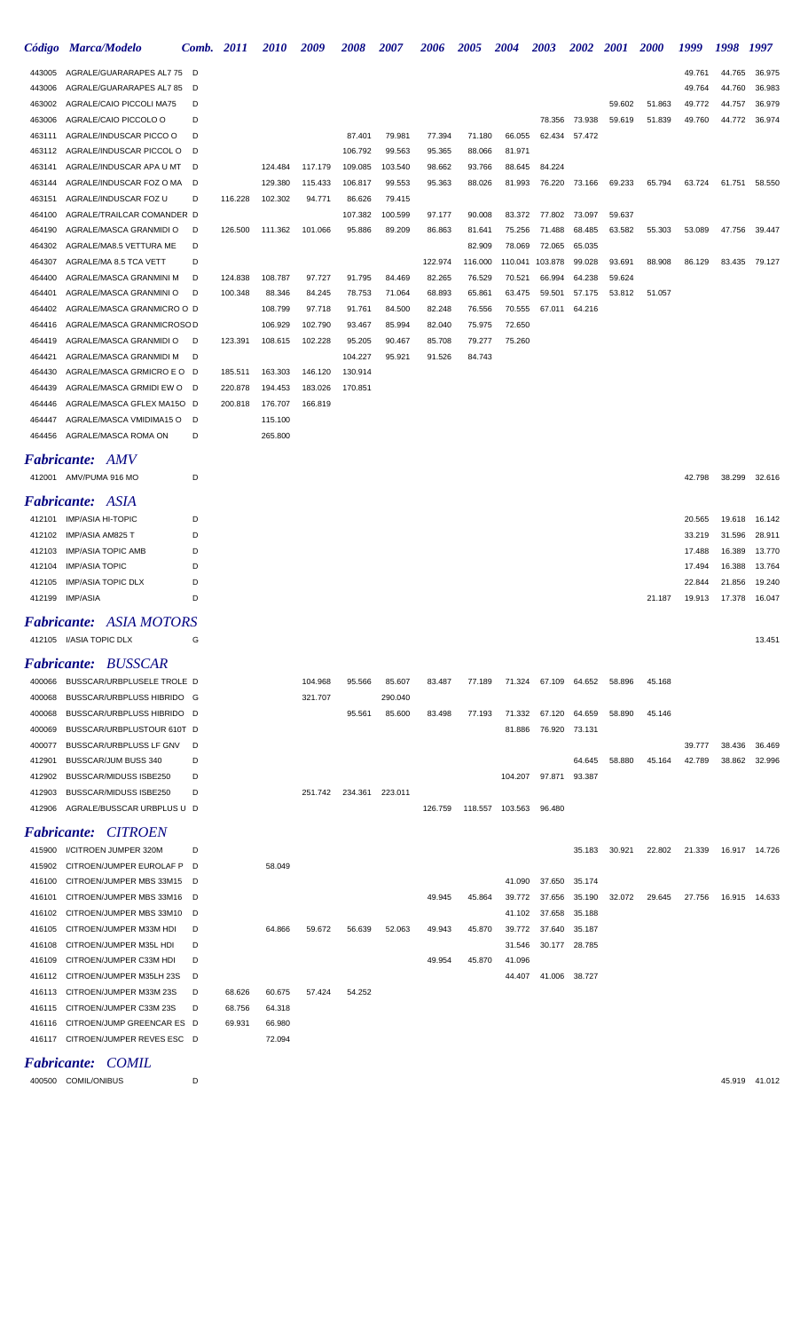|                  | Código Marca/Modelo                                                                                                                     | Comb.  | <b>2011</b>      | <i><b>2010</b></i> | 2009    | 2008    | 2007    | 2006    | <i><b>2005</b></i> | 2004              | 2003                 | 2002             | <i>2001</i> | <i>2000</i> | 1999   | 1998   | 1997          |
|------------------|-----------------------------------------------------------------------------------------------------------------------------------------|--------|------------------|--------------------|---------|---------|---------|---------|--------------------|-------------------|----------------------|------------------|-------------|-------------|--------|--------|---------------|
| 443005           | AGRALE/GUARARAPES AL7 75                                                                                                                | D      |                  |                    |         |         |         |         |                    |                   |                      |                  |             |             | 49.761 | 44.765 | 36.975        |
| 443006           | AGRALE/GUARARAPES AL7 85                                                                                                                | D      |                  |                    |         |         |         |         |                    |                   |                      |                  |             |             | 49.764 | 44.760 | 36.983        |
| 463002           | AGRALE/CAIO PICCOLI MA75                                                                                                                | D      |                  |                    |         |         |         |         |                    |                   |                      |                  | 59.602      | 51.863      | 49.772 | 44.757 | 36.979        |
| 463006           | AGRALE/CAIO PICCOLO O                                                                                                                   | D      |                  |                    |         |         |         |         |                    |                   | 78.356               | 73.938           | 59.619      | 51.839      | 49.760 | 44.772 | 36.974        |
| 463111           | AGRALE/INDUSCAR PICCO O                                                                                                                 | D      |                  |                    |         | 87.401  | 79.981  | 77.394  | 71.180             | 66.055            | 62.434               | 57.472           |             |             |        |        |               |
| 463112           | AGRALE/INDUSCAR PICCOL O                                                                                                                | D      |                  |                    |         | 106.792 | 99.563  | 95.365  | 88.066             | 81.971            |                      |                  |             |             |        |        |               |
| 463141           | AGRALE/INDUSCAR APA U MT                                                                                                                | D      |                  | 124.484            | 117.179 | 109.085 | 103.540 | 98.662  | 93.766             | 88.645            | 84.224               |                  |             |             |        |        |               |
| 463144           | AGRALE/INDUSCAR FOZ O MA                                                                                                                | D      |                  | 129.380            | 115.433 | 106.817 | 99.553  | 95.363  | 88.026             | 81.993            | 76.220               | 73.166           | 69.233      | 65.794      | 63.724 | 61.751 | 58.550        |
| 463151           | AGRALE/INDUSCAR FOZ U                                                                                                                   | D      | 116.228          | 102.302            | 94.77'  | 86.626  | 79.415  |         |                    |                   |                      |                  |             |             |        |        |               |
| 464100           | AGRALE/TRAILCAR COMANDER D                                                                                                              |        |                  |                    |         | 107.382 | 100.599 | 97.177  | 90.008             | 83.372            | 77.802               | 73.097           | 59.637      |             |        |        |               |
| 464190           | AGRALE/MASCA GRANMIDI O                                                                                                                 | D      | 126.500          | 111.362            | 101.066 | 95.886  | 89.209  | 86.863  | 81.641             | 75.256            | 71.488               | 68.485           | 63.582      | 55.303      | 53.089 | 47.756 | 39.447        |
| 464302<br>464307 | AGRALE/MA8.5 VETTURA ME<br>AGRALE/MA 8.5 TCA VETT                                                                                       | D<br>D |                  |                    |         |         |         | 122.974 | 82.909<br>116.000  | 78.069<br>110.041 | 72.065<br>103.878    | 65.035<br>99.028 | 93.691      | 88.908      | 86.129 | 83.435 | 79.127        |
| 464400           | AGRALE/MASCA GRANMINI M                                                                                                                 | D      | 124.838          | 108.787            | 97.727  | 91.795  | 84.469  | 82.265  | 76.529             | 70.521            | 66.994               | 64.238           | 59.624      |             |        |        |               |
| 464401           | AGRALE/MASCA GRANMINI O                                                                                                                 | D      | 100.348          | 88.346             | 84.245  | 78.753  | 71.064  | 68.893  | 65.861             | 63.475            | 59.501               | 57.175           | 53.812      | 51.057      |        |        |               |
| 464402           | AGRALE/MASCA GRANMICRO O D                                                                                                              |        |                  | 108.799            | 97.718  | 91.761  | 84.500  | 82.248  | 76.556             | 70.555            | 67.011               | 64.216           |             |             |        |        |               |
| 464416           | AGRALE/MASCA GRANMICROSOD                                                                                                               |        |                  | 106.929            | 102.790 | 93.467  | 85.994  | 82.040  | 75.975             | 72.650            |                      |                  |             |             |        |        |               |
| 464419           | AGRALE/MASCA GRANMIDI O                                                                                                                 | D      | 123.391          | 108.615            | 102.228 | 95.205  | 90.467  | 85.708  | 79.277             | 75.260            |                      |                  |             |             |        |        |               |
| 464421           | AGRALE/MASCA GRANMIDI M                                                                                                                 | D      |                  |                    |         | 104.227 | 95.921  | 91.526  | 84.743             |                   |                      |                  |             |             |        |        |               |
| 464430           | AGRALE/MASCA GRMICRO E O                                                                                                                | D      | 185.511          | 163.303            | 146.120 | 130.914 |         |         |                    |                   |                      |                  |             |             |        |        |               |
| 464439           | AGRALE/MASCA GRMIDI EW O                                                                                                                | D      | 220.878          | 194.453            | 183.026 | 170.851 |         |         |                    |                   |                      |                  |             |             |        |        |               |
| 464446           | AGRALE/MASCA GFLEX MA15O D                                                                                                              |        | 200.818          | 176.707            | 166.819 |         |         |         |                    |                   |                      |                  |             |             |        |        |               |
| 464447           | AGRALE/MASCA VMIDIMA15 O                                                                                                                | D      |                  | 115.100            |         |         |         |         |                    |                   |                      |                  |             |             |        |        |               |
| 464456           | AGRALE/MASCA ROMA ON                                                                                                                    | D      |                  | 265.800            |         |         |         |         |                    |                   |                      |                  |             |             |        |        |               |
|                  | Fabricante: AMV                                                                                                                         |        |                  |                    |         |         |         |         |                    |                   |                      |                  |             |             |        |        |               |
|                  | 412001 AMV/PUMA 916 MO                                                                                                                  | D      |                  |                    |         |         |         |         |                    |                   |                      |                  |             |             | 42.798 | 38.299 | 32.616        |
|                  | Fabricante: ASIA                                                                                                                        |        |                  |                    |         |         |         |         |                    |                   |                      |                  |             |             |        |        |               |
| 412101           | <b>IMP/ASIA HI-TOPIC</b>                                                                                                                | D      |                  |                    |         |         |         |         |                    |                   |                      |                  |             |             | 20.565 | 19.618 | 16.142        |
| 412102           | <b>IMP/ASIA AM825 T</b>                                                                                                                 | D      |                  |                    |         |         |         |         |                    |                   |                      |                  |             |             | 33.219 | 31.596 | 28.911        |
| 412103           | <b>IMP/ASIA TOPIC AMB</b>                                                                                                               | D      |                  |                    |         |         |         |         |                    |                   |                      |                  |             |             | 17.488 | 16.389 | 13.770        |
| 412104           | <b>IMP/ASIA TOPIC</b>                                                                                                                   | D      |                  |                    |         |         |         |         |                    |                   |                      |                  |             |             | 17.494 | 16.388 | 13.764        |
| 412105           | <b>IMP/ASIA TOPIC DLX</b>                                                                                                               | D      |                  |                    |         |         |         |         |                    |                   |                      |                  |             |             | 22.844 | 21.856 | 19.240        |
| 412199           | <b>IMP/ASIA</b>                                                                                                                         | D      |                  |                    |         |         |         |         |                    |                   |                      |                  |             | 21.187      | 19.913 | 17.378 | 16.047        |
|                  | <b>Fabricante: ASIA MOTORS</b>                                                                                                          |        |                  |                    |         |         |         |         |                    |                   |                      |                  |             |             |        |        |               |
|                  | 412105 I/ASIA TOPIC DLX                                                                                                                 | G      |                  |                    |         |         |         |         |                    |                   |                      |                  |             |             |        |        | 13.451        |
|                  | <b>Fabricante: BUSSCAR</b>                                                                                                              |        |                  |                    |         |         |         |         |                    |                   |                      |                  |             |             |        |        |               |
| 400066           | BUSSCAR/URBPLUSELE TROLE D                                                                                                              |        |                  |                    | 104.968 | 95.566  | 85.607  | 83.487  | 77.189             |                   | 71.324 67.109 64.652 |                  | 58.896      | 45.168      |        |        |               |
| 400068           | BUSSCAR/URBPLUSS HIBRIDO G                                                                                                              |        |                  |                    | 321.707 |         | 290.040 |         |                    |                   |                      |                  |             |             |        |        |               |
| 400068           | BUSSCAR/URBPLUSS HIBRIDO D                                                                                                              |        |                  |                    |         | 95.561  | 85.600  | 83.498  | 77.193             | 71.332            | 67.120               | 64.659           | 58.890      | 45.146      |        |        |               |
| 400069           | BUSSCAR/URBPLUSTOUR 610T D                                                                                                              |        |                  |                    |         |         |         |         |                    | 81.886            |                      | 76.920 73.131    |             |             |        |        |               |
| 400077           | BUSSCAR/URBPLUSS LF GNV                                                                                                                 | D      |                  |                    |         |         |         |         |                    |                   |                      |                  |             |             | 39.777 | 38.436 | 36.469        |
| 412901           | BUSSCAR/JUM BUSS 340                                                                                                                    | D      |                  |                    |         |         |         |         |                    |                   |                      | 64.645           | 58.880      | 45.164      | 42.789 | 38.862 | 32.996        |
| 412902           | BUSSCAR/MIDUSS ISBE250                                                                                                                  | D      |                  |                    |         |         |         |         |                    | 104.207           | 97.871               | 93.387           |             |             |        |        |               |
| 412903           | <b>BUSSCAR/MIDUSS ISBE250</b>                                                                                                           | D      |                  |                    | 251.742 | 234.361 | 223.011 |         |                    |                   |                      |                  |             |             |        |        |               |
| 412906           | AGRALE/BUSSCAR URBPLUS U D                                                                                                              |        |                  |                    |         |         |         | 126.759 |                    | 118.557 103.563   | 96.480               |                  |             |             |        |        |               |
|                  | <b>Fabricante: CITROEN</b>                                                                                                              |        |                  |                    |         |         |         |         |                    |                   |                      |                  |             |             |        |        |               |
| 415900           | I/CITROEN JUMPER 320M                                                                                                                   | D      |                  |                    |         |         |         |         |                    |                   |                      | 35.183           | 30.921      | 22.802      | 21.339 |        | 16.917 14.726 |
| 415902           | CITROEN/JUMPER EUROLAF P                                                                                                                | D      |                  | 58.049             |         |         |         |         |                    |                   |                      |                  |             |             |        |        |               |
| 416100           | CITROEN/JUMPER MBS 33M15                                                                                                                | - D    |                  |                    |         |         |         |         |                    | 41.090            | 37.650               | 35.174           |             |             |        |        |               |
| 416101           | CITROEN/JUMPER MBS 33M16                                                                                                                | D      |                  |                    |         |         |         | 49.945  | 45.864             | 39.772            | 37.656               | 35.190           | 32.072      | 29.645      | 27.756 |        | 16.915 14.633 |
| 416102           | CITROEN/JUMPER MBS 33M10                                                                                                                | D      |                  |                    |         |         |         |         |                    | 41.102            | 37.658               | 35.188           |             |             |        |        |               |
| 416105           | CITROEN/JUMPER M33M HDI                                                                                                                 | D      |                  | 64.866             | 59.672  | 56.639  | 52.063  | 49.943  | 45.870             | 39.772            | 37.640               | 35.187           |             |             |        |        |               |
| 416108           | CITROEN/JUMPER M35L HDI                                                                                                                 | D      |                  |                    |         |         |         |         |                    | 31.546            |                      | 30.177 28.785    |             |             |        |        |               |
| 416109           | CITROEN/JUMPER C33M HDI                                                                                                                 | D      |                  |                    |         |         |         | 49.954  | 45.870             | 41.096            |                      |                  |             |             |        |        |               |
| 416112           | CITROEN/JUMPER M35LH 23S                                                                                                                | D      |                  |                    |         |         |         |         |                    | 44.407            |                      | 41.006 38.727    |             |             |        |        |               |
| 416113           | CITROEN/JUMPER M33M 23S                                                                                                                 | D<br>D | 68.626           | 60.675             | 57.424  | 54.252  |         |         |                    |                   |                      |                  |             |             |        |        |               |
| 416115<br>416116 | CITROEN/JUMPER C33M 23S<br>CITROEN/JUMP GREENCAR ES D                                                                                   |        | 68.756<br>69.931 | 64.318<br>66.980   |         |         |         |         |                    |                   |                      |                  |             |             |        |        |               |
|                  | 416117 CITROEN/JUMPER REVES ESC D                                                                                                       |        |                  | 72.094             |         |         |         |         |                    |                   |                      |                  |             |             |        |        |               |
|                  | $\mathbf{L}_{a}$ $\mathbf{L}_{a}$ $\mathbf{L}_{a}$ $\mathbf{L}_{b}$ $\mathbf{L}_{b}$ $\mathbf{L}_{c}$ $\mathbf{L}_{c}$ $\mathbf{L}_{c}$ |        |                  |                    |         |         |         |         |                    |                   |                      |                  |             |             |        |        |               |

## *Fabricante: COMIL*

COMIL/ONIBUS D 45.919 41.012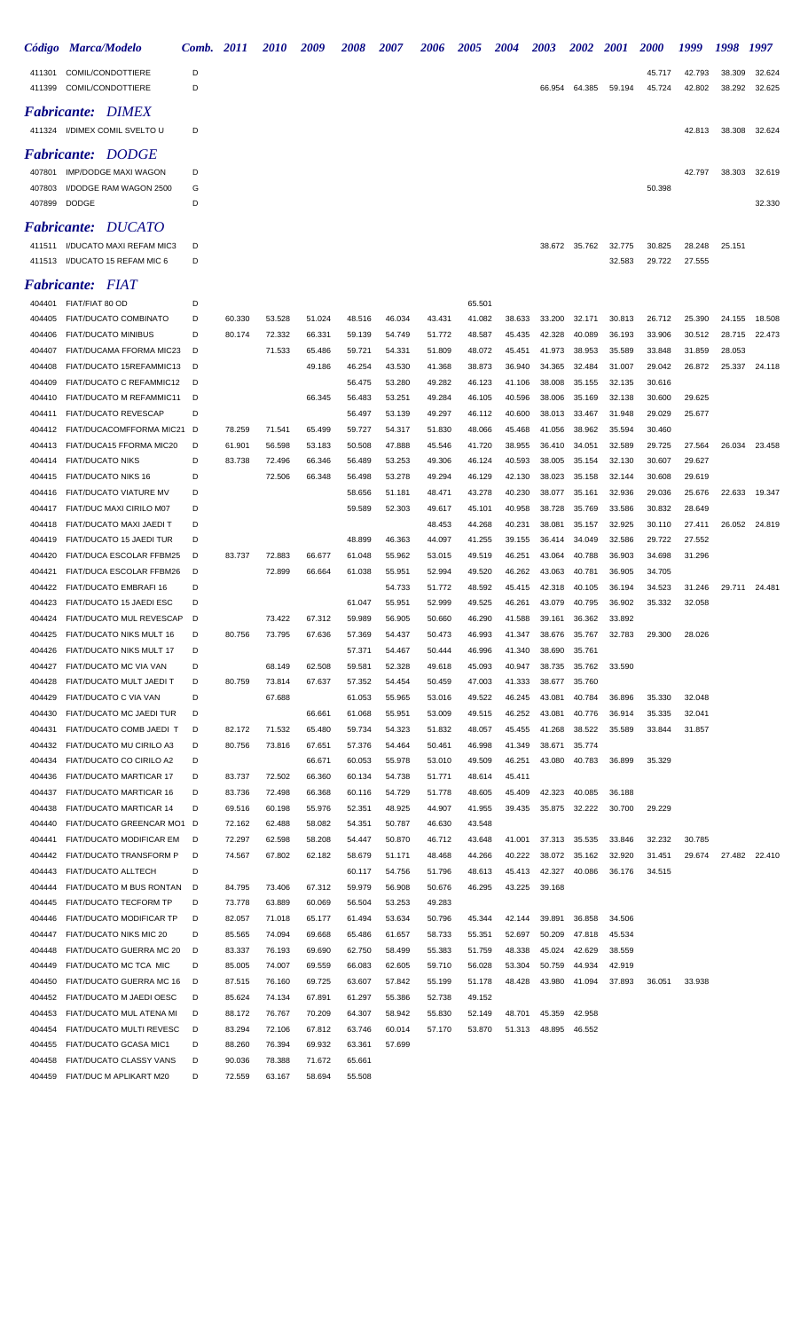| Código           | <b>Marca/Modelo</b>                                       | Comb.  | 2011             | <i>2010</i>      | 2009             | <i><b>2008</b></i> | <i><b>2007</b></i> | 2006             | <i><b>2005</b></i> | 2004             | 2003             | <i><b>2002</b></i> | <i>2001</i>      | <i><b>2000</b></i> | 1999             | 1998             | 1997             |
|------------------|-----------------------------------------------------------|--------|------------------|------------------|------------------|--------------------|--------------------|------------------|--------------------|------------------|------------------|--------------------|------------------|--------------------|------------------|------------------|------------------|
| 411301<br>411399 | COMIL/CONDOTTIERE<br><b>COMIL/CONDOTTIERE</b>             | D<br>D |                  |                  |                  |                    |                    |                  |                    |                  | 66.954           | 64.385             | 59.194           | 45.717<br>45.724   | 42.793<br>42.802 | 38.309<br>38.292 | 32.624<br>32.625 |
|                  | <b>Fabricante: DIMEX</b><br>411324 I/DIMEX COMIL SVELTO U | D      |                  |                  |                  |                    |                    |                  |                    |                  |                  |                    |                  |                    | 42.813           | 38.308           |                  |
|                  | <b>Fabricante: DODGE</b>                                  |        |                  |                  |                  |                    |                    |                  |                    |                  |                  |                    |                  |                    |                  |                  | 32.624           |
| 407801           | <b>IMP/DODGE MAXI WAGON</b>                               | D      |                  |                  |                  |                    |                    |                  |                    |                  |                  |                    |                  |                    | 42.797           | 38.303           | 32.619           |
| 407803           | I/DODGE RAM WAGON 2500                                    | G      |                  |                  |                  |                    |                    |                  |                    |                  |                  |                    |                  | 50.398             |                  |                  |                  |
| 407899           | <b>DODGE</b>                                              | D      |                  |                  |                  |                    |                    |                  |                    |                  |                  |                    |                  |                    |                  |                  | 32.330           |
|                  | <b>DUCATO</b><br><i>Fabricante:</i>                       |        |                  |                  |                  |                    |                    |                  |                    |                  |                  |                    |                  |                    |                  |                  |                  |
| 411511<br>411513 | I/DUCATO MAXI REFAM MIC3<br>I/DUCATO 15 REFAM MIC 6       | D<br>D |                  |                  |                  |                    |                    |                  |                    |                  | 38.672           | 35.762             | 32.775<br>32.583 | 30.825<br>29.722   | 28.248<br>27.555 | 25.151           |                  |
|                  |                                                           |        |                  |                  |                  |                    |                    |                  |                    |                  |                  |                    |                  |                    |                  |                  |                  |
| 404401           | <b>Fabricante: FIAT</b><br>FIAT/FIAT 80 OD                | D      |                  |                  |                  |                    |                    |                  | 65.501             |                  |                  |                    |                  |                    |                  |                  |                  |
| 404405           | <b>FIAT/DUCATO COMBINATO</b>                              | D      | 60.330           | 53.528           | 51.024           | 48.516             | 46.034             | 43.431           | 41.082             | 38.633           | 33.200           | 32.171             | 30.813           | 26.712             | 25.390           | 24.155           | 18.508           |
| 404406           | <b>FIAT/DUCATO MINIBUS</b>                                | D      | 80.174           | 72.332           | 66.331           | 59.139             | 54.749             | 51.772           | 48.587             | 45.435           | 42.328           | 40.089             | 36.193           | 33.906             | 30.512           | 28.715           | 22.473           |
| 404407           | FIAT/DUCAMA FFORMA MIC23                                  | D      |                  | 71.533           | 65.486           | 59.721             | 54.331             | 51.809           | 48.072             | 45.451           | 41.973           | 38.953             | 35.589           | 33.848             | 31.859           | 28.053           |                  |
| 404408           | FIAT/DUCATO 15REFAMMIC13                                  | D      |                  |                  | 49.186           | 46.254             | 43.530             | 41.368           | 38.873             | 36.940           | 34.365           | 32.484             | 31.007           | 29.042             | 26.872           | 25.337           | 24.118           |
| 404409           | FIAT/DUCATO C REFAMMIC12                                  | D      |                  |                  |                  | 56.475             | 53.280             | 49.282           | 46.123             | 41.106           | 38.008           | 35.155             | 32.135           | 30.616             |                  |                  |                  |
| 404410<br>404411 | FIAT/DUCATO M REFAMMIC11<br><b>FIAT/DUCATO REVESCAP</b>   | D<br>D |                  |                  | 66.345           | 56.483<br>56.497   | 53.251<br>53.139   | 49.284<br>49.297 | 46.105<br>46.112   | 40.596<br>40.600 | 38.006<br>38.013 | 35.169<br>33.467   | 32.138<br>31.948 | 30.600<br>29.029   | 29.625<br>25.677 |                  |                  |
| 404412           | FIAT/DUCACOMFFORMA MIC21                                  | D      | 78.259           | 71.541           | 65.499           | 59.727             | 54.317             | 51.830           | 48.066             | 45.468           | 41.056           | 38.962             | 35.594           | 30.460             |                  |                  |                  |
| 404413           | FIAT/DUCA15 FFORMA MIC20                                  | D      | 61.901           | 56.598           | 53.183           | 50.508             | 47.888             | 45.546           | 41.720             | 38.955           | 36.410           | 34.051             | 32.589           | 29.725             | 27.564           | 26.034           | 23.458           |
| 404414           | <b>FIAT/DUCATO NIKS</b>                                   | D      | 83.738           | 72.496           | 66.346           | 56.489             | 53.253             | 49.306           | 46.124             | 40.593           | 38.005           | 35.154             | 32.130           | 30.607             | 29.627           |                  |                  |
| 404415           | <b>FIAT/DUCATO NIKS 16</b>                                | D      |                  | 72.506           | 66.348           | 56.498             | 53.278             | 49.294           | 46.129             | 42.130           | 38.023           | 35.158             | 32.144           | 30.608             | 29.619           |                  |                  |
| 404416           | FIAT/DUCATO VIATURE MV                                    | D      |                  |                  |                  | 58.656             | 51.181             | 48.471           | 43.278             | 40.230           | 38.077           | 35.161             | 32.936           | 29.036             | 25.676           | 22.633           | 19.347           |
| 404417<br>404418 | FIAT/DUC MAXI CIRILO M07<br>FIAT/DUCATO MAXI JAEDI T      | D<br>D |                  |                  |                  | 59.589             | 52.303             | 49.617<br>48.453 | 45.101<br>44.268   | 40.958<br>40.231 | 38.728<br>38.081 | 35.769<br>35.157   | 33.586<br>32.925 | 30.832<br>30.110   | 28.649<br>27.411 | 26.052           | 24.819           |
| 404419           | FIAT/DUCATO 15 JAEDI TUR                                  | D      |                  |                  |                  | 48.899             | 46.363             | 44.097           | 41.255             | 39.155           | 36.414           | 34.049             | 32.586           | 29.722             | 27.552           |                  |                  |
| 404420           | FIAT/DUCA ESCOLAR FFBM25                                  | D      | 83.737           | 72.883           | 66.677           | 61.048             | 55.962             | 53.015           | 49.519             | 46.251           | 43.064           | 40.788             | 36.903           | 34.698             | 31.296           |                  |                  |
| 404421           | FIAT/DUCA ESCOLAR FFBM26                                  | D      |                  | 72.899           | 66.664           | 61.038             | 55.951             | 52.994           | 49.520             | 46.262           | 43.063           | 40.781             | 36.905           | 34.705             |                  |                  |                  |
| 404422           | FIAT/DUCATO EMBRAFI 16                                    | D      |                  |                  |                  |                    | 54.733             | 51.772           | 48.592             | 45.415           | 42.318           | 40.105             | 36.194           | 34.523             | 31.246           | 29.711           | 24.481           |
| 404423           | FIAT/DUCATO 15 JAEDI ESC                                  | D      |                  |                  |                  | 61.047             | 55.951             | 52.999           | 49.525             | 46.261           | 43.079           | 40.795             | 36.902           | 35.332             | 32.058           |                  |                  |
| 404424<br>404425 | FIAT/DUCATO MUL REVESCAP<br>FIAT/DUCATO NIKS MULT 16      | D<br>D | 80.756           | 73.422<br>73.795 | 67.312<br>67.636 | 59.989<br>57.369   | 56.905<br>54.437   | 50.660<br>50.473 | 46.290<br>46.993   | 41.588<br>41.347 | 39.161<br>38.676 | 36.362<br>35.767   | 33.892<br>32.783 | 29.300             | 28.026           |                  |                  |
| 404426           | FIAT/DUCATO NIKS MULT 17                                  | D      |                  |                  |                  | 57.371             | 54.467             | 50.444           | 46.996             | 41.340           | 38.690           | 35.761             |                  |                    |                  |                  |                  |
| 404427           | FIAT/DUCATO MC VIA VAN                                    | D      |                  | 68.149           | 62.508           | 59.581             | 52.328             | 49.618           | 45.093             | 40.947           | 38.735           | 35.762             | 33.590           |                    |                  |                  |                  |
| 404428           | FIAT/DUCATO MULT JAEDI T                                  | D      | 80.759           | 73.814           | 67.637           | 57.352             | 54.454             | 50.459           | 47.003             | 41.333           | 38.677           | 35.760             |                  |                    |                  |                  |                  |
| 404429           | FIAT/DUCATO C VIA VAN                                     | D      |                  | 67.688           |                  | 61.053             | 55.965             | 53.016           | 49.522             | 46.245           | 43.081           | 40.784             | 36.896           | 35.330             | 32.048           |                  |                  |
| 404430<br>404431 | FIAT/DUCATO MC JAEDI TUR                                  | D<br>D |                  |                  | 66.661           | 61.068             | 55.951             | 53.009           | 49.515             | 46.252           | 43.081           | 40.776             | 36.914           | 35.335             | 32.041           |                  |                  |
| 404432           | FIAT/DUCATO COMB JAEDI T<br>FIAT/DUCATO MU CIRILO A3      | D      | 82.172<br>80.756 | 71.532<br>73.816 | 65.480<br>67.651 | 59.734<br>57.376   | 54.323<br>54.464   | 51.832<br>50.461 | 48.057<br>46.998   | 45.455<br>41.349 | 41.268<br>38.671 | 38.522<br>35.774   | 35.589           | 33.844             | 31.857           |                  |                  |
| 404434           | FIAT/DUCATO CO CIRILO A2                                  | D      |                  |                  | 66.671           | 60.053             | 55.978             | 53.010           | 49.509             | 46.251           | 43.080           | 40.783             | 36.899           | 35.329             |                  |                  |                  |
| 404436           | FIAT/DUCATO MARTICAR 17                                   | D      | 83.737           | 72.502           | 66.360           | 60.134             | 54.738             | 51.771           | 48.614             | 45.411           |                  |                    |                  |                    |                  |                  |                  |
| 404437           | FIAT/DUCATO MARTICAR 16                                   | D      | 83.736           | 72.498           | 66.368           | 60.116             | 54.729             | 51.778           | 48.605             | 45.409           | 42.323           | 40.085             | 36.188           |                    |                  |                  |                  |
| 404438           | FIAT/DUCATO MARTICAR 14                                   | D      | 69.516           | 60.198           | 55.976           | 52.351             | 48.925             | 44.907           | 41.955             | 39.435           | 35.875           | 32.222             | 30.700           | 29.229             |                  |                  |                  |
| 404440<br>404441 | FIAT/DUCATO GREENCAR MO1<br>FIAT/DUCATO MODIFICAR EM      | D<br>D | 72.162<br>72.297 | 62.488<br>62.598 | 58.082<br>58.208 | 54.351<br>54.447   | 50.787<br>50.870   | 46.630<br>46.712 | 43.548<br>43.648   | 41.001           | 37.313           | 35.535             | 33.846           | 32.232             | 30.785           |                  |                  |
| 404442           | FIAT/DUCATO TRANSFORM P                                   | D      | 74.567           | 67.802           | 62.182           | 58.679             | 51.171             | 48.468           | 44.266             | 40.222           | 38.072           | 35.162             | 32.920           | 31.451             | 29.674           |                  | 27.482 22.410    |
| 404443           | FIAT/DUCATO ALLTECH                                       | D      |                  |                  |                  | 60.117             | 54.756             | 51.796           | 48.613             | 45.413           | 42.327           | 40.086             | 36.176           | 34.515             |                  |                  |                  |
| 404444           | FIAT/DUCATO M BUS RONTAN                                  | D      | 84.795           | 73.406           | 67.312           | 59.979             | 56.908             | 50.676           | 46.295             | 43.225           | 39.168           |                    |                  |                    |                  |                  |                  |
| 404445           | FIAT/DUCATO TECFORM TP                                    | D      | 73.778           | 63.889           | 60.069           | 56.504             | 53.253             | 49.283           |                    |                  |                  |                    |                  |                    |                  |                  |                  |
| 404446           | FIAT/DUCATO MODIFICAR TP                                  | D      | 82.057           | 71.018           | 65.177           | 61.494             | 53.634             | 50.796           | 45.344             | 42.144           | 39.891           | 36.858             | 34.506           |                    |                  |                  |                  |
| 404447<br>404448 | FIAT/DUCATO NIKS MIC 20<br>FIAT/DUCATO GUERRA MC 20       | D<br>D | 85.565<br>83.337 | 74.094<br>76.193 | 69.668<br>69.690 | 65.486<br>62.750   | 61.657<br>58.499   | 58.733<br>55.383 | 55.351<br>51.759   | 52.697<br>48.338 | 50.209<br>45.024 | 47.818<br>42.629   | 45.534<br>38.559 |                    |                  |                  |                  |
| 404449           | FIAT/DUCATO MC TCA MIC                                    | D      | 85.005           | 74.007           | 69.559           | 66.083             | 62.605             | 59.710           | 56.028             | 53.304           | 50.759           | 44.934             | 42.919           |                    |                  |                  |                  |
| 404450           | FIAT/DUCATO GUERRA MC 16                                  | D      | 87.515           | 76.160           | 69.725           | 63.607             | 57.842             | 55.199           | 51.178             | 48.428           | 43.980           | 41.094             | 37.893           | 36.051             | 33.938           |                  |                  |
| 404452           | FIAT/DUCATO M JAEDI OESC                                  | D      | 85.624           | 74.134           | 67.891           | 61.297             | 55.386             | 52.738           | 49.152             |                  |                  |                    |                  |                    |                  |                  |                  |
| 404453           | FIAT/DUCATO MUL ATENA MI                                  | D      | 88.172           | 76.767           | 70.209           | 64.307             | 58.942             | 55.830           | 52.149             | 48.701           | 45.359           | 42.958             |                  |                    |                  |                  |                  |
| 404454           | FIAT/DUCATO MULTI REVESC                                  | D      | 83.294           | 72.106           | 67.812           | 63.746             | 60.014             | 57.170           | 53.870             | 51.313           | 48.895           | 46.552             |                  |                    |                  |                  |                  |
| 404455<br>404458 | FIAT/DUCATO GCASA MIC1<br>FIAT/DUCATO CLASSY VANS         | D<br>D | 88.260<br>90.036 | 76.394<br>78.388 | 69.932<br>71.672 | 63.361<br>65.661   | 57.699             |                  |                    |                  |                  |                    |                  |                    |                  |                  |                  |
| 404459           | FIAT/DUC M APLIKART M20                                   | D      | 72.559           | 63.167           | 58.694           | 55.508             |                    |                  |                    |                  |                  |                    |                  |                    |                  |                  |                  |
|                  |                                                           |        |                  |                  |                  |                    |                    |                  |                    |                  |                  |                    |                  |                    |                  |                  |                  |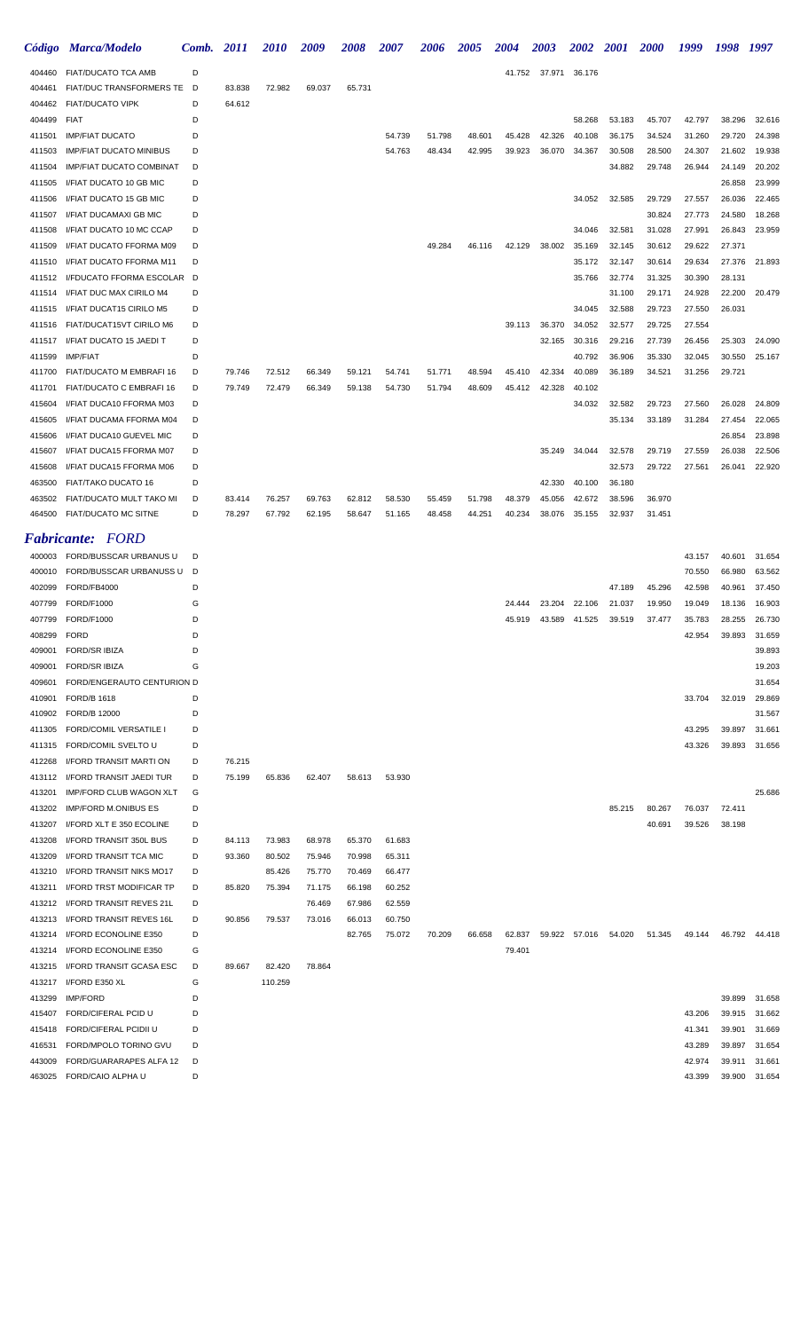|                  | Código Marca/Modelo                         | Comb.  | <i>2011</i>      | <i><b>2010</b></i> | 2009             | 2008             | <i><b>2007</b></i> | 2006   | 2005             | 2004             | 2003   | <i><b>2002</b></i> | <i>2001</i>          | <i><b>2000</b></i> | 1999             | 1998             | 1997             |
|------------------|---------------------------------------------|--------|------------------|--------------------|------------------|------------------|--------------------|--------|------------------|------------------|--------|--------------------|----------------------|--------------------|------------------|------------------|------------------|
| 404460           | FIAT/DUCATO TCA AMB                         | D      |                  |                    |                  |                  |                    |        |                  | 41.752           | 37.971 | 36.176             |                      |                    |                  |                  |                  |
| 404461           | FIAT/DUC TRANSFORMERS TE D                  |        | 83.838           | 72.982             | 69.037           | 65.731           |                    |        |                  |                  |        |                    |                      |                    |                  |                  |                  |
| 404462           | <b>FIAT/DUCATO VIPK</b>                     | D      | 64.612           |                    |                  |                  |                    |        |                  |                  |        |                    |                      |                    |                  |                  |                  |
| 404499           | <b>FIAT</b>                                 | D      |                  |                    |                  |                  |                    |        |                  |                  |        | 58.268             | 53.183               | 45.707             | 42.797           | 38.296           | 32.616           |
| 411501           | <b>IMP/FIAT DUCATO</b>                      | D      |                  |                    |                  |                  | 54.739             | 51.798 | 48.601           | 45.428           | 42.326 | 40.108             | 36.175               | 34.524             | 31.260           | 29.720           | 24.398           |
| 411503           | <b>IMP/FIAT DUCATO MINIBUS</b>              | D      |                  |                    |                  |                  | 54.763             | 48.434 | 42.995           | 39.923           | 36.070 | 34.367             | 30.508               | 28.500             | 24.307           | 21.602           | 19.938           |
| 411504           | <b>IMP/FIAT DUCATO COMBINAT</b>             | D      |                  |                    |                  |                  |                    |        |                  |                  |        |                    | 34.882               | 29.748             | 26.944           | 24.149           | 20.202           |
| 411505           | I/FIAT DUCATO 10 GB MIC                     | D      |                  |                    |                  |                  |                    |        |                  |                  |        |                    |                      |                    |                  | 26.858           | 23.999           |
| 411506           | I/FIAT DUCATO 15 GB MIC                     | D      |                  |                    |                  |                  |                    |        |                  |                  |        | 34.052             | 32.585               | 29.729             | 27.557           | 26.036           | 22.465           |
| 411507           | I/FIAT DUCAMAXI GB MIC                      | D      |                  |                    |                  |                  |                    |        |                  |                  |        |                    |                      | 30.824             | 27.773           | 24.580           | 18.268           |
| 411508           | I/FIAT DUCATO 10 MC CCAP                    | D      |                  |                    |                  |                  |                    |        |                  |                  |        | 34.046             | 32.581               | 31.028             | 27.991           | 26.843           | 23.959           |
| 411509           | I/FIAT DUCATO FFORMA M09                    | D      |                  |                    |                  |                  |                    | 49.284 | 46.116           | 42.129           | 38.002 | 35.169             | 32.145               | 30.612             | 29.622           | 27.371           |                  |
| 411510           | I/FIAT DUCATO FFORMA M11                    | D      |                  |                    |                  |                  |                    |        |                  |                  |        | 35.172             | 32.147               | 30.614             | 29.634           | 27.376           | 21.893           |
| 411512           | I/FDUCATO FFORMA ESCOLAR D                  |        |                  |                    |                  |                  |                    |        |                  |                  |        | 35.766             | 32.774               | 31.325             | 30.390           | 28.131           |                  |
| 411514           | I/FIAT DUC MAX CIRILO M4                    | D      |                  |                    |                  |                  |                    |        |                  |                  |        |                    | 31.100               | 29.171             | 24.928           | 22.200           | 20.479           |
| 411515           | I/FIAT DUCAT15 CIRILO M5                    | D      |                  |                    |                  |                  |                    |        |                  |                  |        | 34.045             | 32.588               | 29.723             | 27.550           | 26.031           |                  |
| 411516           | FIAT/DUCAT15VT CIRILO M6                    | D      |                  |                    |                  |                  |                    |        |                  | 39.113           | 36.370 | 34.052             | 32.577               | 29.725             | 27.554           |                  |                  |
| 411517           | I/FIAT DUCATO 15 JAEDI T                    | D      |                  |                    |                  |                  |                    |        |                  |                  | 32.165 | 30.316             | 29.216               | 27.739             | 26.456           | 25.303           | 24.090           |
| 411599           | <b>IMP/FIAT</b><br>FIAT/DUCATO M EMBRAFI 16 | D<br>D |                  |                    |                  |                  |                    | 51.771 |                  |                  | 42.334 | 40.792<br>40.089   | 36.906<br>36.189     | 35.330             | 32.045           | 30.550           | 25.167           |
| 411700<br>411701 | FIAT/DUCATO C EMBRAFI 16                    | D      | 79.746<br>79.749 | 72.512<br>72.479   | 66.349<br>66.349 | 59.121<br>59.138 | 54.741<br>54.730   | 51.794 | 48.594<br>48.609 | 45.410<br>45.412 | 42.328 | 40.102             |                      | 34.521             | 31.256           | 29.721           |                  |
| 415604           | I/FIAT DUCA10 FFORMA M03                    | D      |                  |                    |                  |                  |                    |        |                  |                  |        | 34.032             | 32.582               | 29.723             | 27.560           | 26.028           | 24.809           |
| 415605           | I/FIAT DUCAMA FFORMA M04                    | D      |                  |                    |                  |                  |                    |        |                  |                  |        |                    | 35.134               | 33.189             | 31.284           | 27.454           | 22.065           |
| 415606           | I/FIAT DUCA10 GUEVEL MIC                    | D      |                  |                    |                  |                  |                    |        |                  |                  |        |                    |                      |                    |                  | 26.854           | 23.898           |
| 415607           | I/FIAT DUCA15 FFORMA M07                    | D      |                  |                    |                  |                  |                    |        |                  |                  | 35.249 | 34.044             | 32.578               | 29.719             | 27.559           | 26.038           | 22.506           |
| 415608           | I/FIAT DUCA15 FFORMA M06                    | D      |                  |                    |                  |                  |                    |        |                  |                  |        |                    | 32.573               | 29.722             | 27.561           | 26.041           | 22.920           |
| 463500           | FIAT/TAKO DUCATO 16                         | D      |                  |                    |                  |                  |                    |        |                  |                  | 42.330 | 40.100             | 36.180               |                    |                  |                  |                  |
| 463502           | FIAT/DUCATO MULT TAKO MI                    | D      | 83.414           | 76.257             | 69.763           | 62.812           | 58.530             | 55.459 | 51.798           | 48.379           | 45.056 | 42.672             | 38.596               | 36.970             |                  |                  |                  |
| 464500           | FIAT/DUCATO MC SITNE                        | D      | 78.297           | 67.792             | 62.195           | 58.647           | 51.165             | 48.458 | 44.251           | 40.234           | 38.076 | 35.155             | 32.937               | 31.451             |                  |                  |                  |
|                  |                                             |        |                  |                    |                  |                  |                    |        |                  |                  |        |                    |                      |                    |                  |                  |                  |
|                  | <b>Fabricante: FORD</b>                     |        |                  |                    |                  |                  |                    |        |                  |                  |        |                    |                      |                    |                  |                  |                  |
| 400003           | FORD/BUSSCAR URBANUS U                      | D      |                  |                    |                  |                  |                    |        |                  |                  |        |                    |                      |                    | 43.157           | 40.601           | 31.654           |
| 400010           | FORD/BUSSCAR URBANUSS U                     | D      |                  |                    |                  |                  |                    |        |                  |                  |        |                    |                      |                    | 70.550           | 66.980           | 63.562           |
| 402099           | FORD/FB4000                                 | D      |                  |                    |                  |                  |                    |        |                  |                  |        |                    | 47.189               | 45.296             | 42.598           | 40.961           | 37.450           |
| 407799           | <b>FORD/F1000</b>                           | G<br>D |                  |                    |                  |                  |                    |        |                  | 24.444           | 23.204 | 22.106             | 21.037               | 19.950             | 19.049           | 18.136           | 16.903<br>26.730 |
| 407799<br>408299 | FORD/F1000<br><b>FORD</b>                   | D      |                  |                    |                  |                  |                    |        |                  | 45.919           | 43.589 | 41.525             | 39.519               | 37.477             | 35.783<br>42.954 | 28.255<br>39.893 | 31.659           |
| 409001           | <b>FORD/SR IBIZA</b>                        | D      |                  |                    |                  |                  |                    |        |                  |                  |        |                    |                      |                    |                  |                  | 39.893           |
| 409001           | <b>FORD/SR IBIZA</b>                        | G      |                  |                    |                  |                  |                    |        |                  |                  |        |                    |                      |                    |                  |                  | 19.203           |
| 409601           | FORD/ENGERAUTO CENTURION D                  |        |                  |                    |                  |                  |                    |        |                  |                  |        |                    |                      |                    |                  |                  | 31.654           |
| 410901           | <b>FORD/B 1618</b>                          | D      |                  |                    |                  |                  |                    |        |                  |                  |        |                    |                      |                    | 33.704           | 32.019           | 29.869           |
| 410902           | FORD/B 12000                                | D      |                  |                    |                  |                  |                    |        |                  |                  |        |                    |                      |                    |                  |                  | 31.567           |
| 411305           | FORD/COMIL VERSATILE I                      | D      |                  |                    |                  |                  |                    |        |                  |                  |        |                    |                      |                    | 43.295           | 39.897           | 31.661           |
| 411315           | FORD/COMIL SVELTO U                         | D      |                  |                    |                  |                  |                    |        |                  |                  |        |                    |                      |                    | 43.326           | 39.893           | 31.656           |
| 412268           | I/FORD TRANSIT MARTI ON                     | D      | 76.215           |                    |                  |                  |                    |        |                  |                  |        |                    |                      |                    |                  |                  |                  |
| 413112           | I/FORD TRANSIT JAEDI TUR                    | D      | 75.199           | 65.836             | 62.407           | 58.613           | 53.930             |        |                  |                  |        |                    |                      |                    |                  |                  |                  |
| 413201           | IMP/FORD CLUB WAGON XLT                     | G      |                  |                    |                  |                  |                    |        |                  |                  |        |                    |                      |                    |                  |                  | 25.686           |
| 413202           | <b>IMP/FORD M.ONIBUS ES</b>                 | D      |                  |                    |                  |                  |                    |        |                  |                  |        |                    | 85.215               | 80.267             | 76.037           | 72.411           |                  |
| 413207           | I/FORD XLT E 350 ECOLINE                    | D      |                  |                    |                  |                  |                    |        |                  |                  |        |                    |                      | 40.691             | 39.526           | 38.198           |                  |
| 413208           | I/FORD TRANSIT 350L BUS                     | D      | 84.113           | 73.983             | 68.978           | 65.370           | 61.683             |        |                  |                  |        |                    |                      |                    |                  |                  |                  |
| 413209           | I/FORD TRANSIT TCA MIC                      | D      | 93.360           | 80.502             | 75.946           | 70.998           | 65.311             |        |                  |                  |        |                    |                      |                    |                  |                  |                  |
| 413210           | I/FORD TRANSIT NIKS MO17                    | D      |                  | 85.426             | 75.770           | 70.469           | 66.477             |        |                  |                  |        |                    |                      |                    |                  |                  |                  |
| 413211           | I/FORD TRST MODIFICAR TP                    | D      | 85.820           | 75.394             | 71.175           | 66.198           | 60.252             |        |                  |                  |        |                    |                      |                    |                  |                  |                  |
|                  | 413212 I/FORD TRANSIT REVES 21L             | D      |                  |                    | 76.469           | 67.986           | 62.559             |        |                  |                  |        |                    |                      |                    |                  |                  |                  |
| 413213           | I/FORD TRANSIT REVES 16L                    | D      | 90.856           | 79.537             | 73.016           | 66.013           | 60.750             |        |                  |                  |        |                    |                      |                    |                  |                  |                  |
| 413214           | I/FORD ECONOLINE E350                       | D      |                  |                    |                  | 82.765           | 75.072             | 70.209 | 66.658           | 62.837           |        |                    | 59.922 57.016 54.020 | 51.345             | 49.144           |                  | 46.792 44.418    |
| 413214           | I/FORD ECONOLINE E350                       | G      |                  |                    |                  |                  |                    |        |                  | 79.401           |        |                    |                      |                    |                  |                  |                  |
| 413215           | I/FORD TRANSIT GCASA ESC                    | D      | 89.667           | 82.420             | 78.864           |                  |                    |        |                  |                  |        |                    |                      |                    |                  |                  |                  |
|                  | 413217 I/FORD E350 XL                       | G      |                  | 110.259            |                  |                  |                    |        |                  |                  |        |                    |                      |                    |                  |                  |                  |
| 413299           | <b>IMP/FORD</b>                             | D      |                  |                    |                  |                  |                    |        |                  |                  |        |                    |                      |                    |                  | 39.899           | 31.658           |
|                  | 415407 FORD/CIFERAL PCID U                  | D      |                  |                    |                  |                  |                    |        |                  |                  |        |                    |                      |                    | 43.206           |                  | 39.915 31.662    |

| 415407 FORD/CIFERAL PCID U       | D  |        | 43.206 39.915 31.662 |  |
|----------------------------------|----|--------|----------------------|--|
| 415418 FORD/CIFERAL PCIDII U     | D. | 41.341 | 39.901 31.669        |  |
| 416531 FORD/MPOLO TORINO GVU     | D. | 43.289 | 39.897 31.654        |  |
| 443009 FORD/GUARARAPES ALFA 12 D |    |        | 42.974 39.911 31.661 |  |
| 463025 FORD/CAIO ALPHA U         | D  |        | 43.399 39.900 31.654 |  |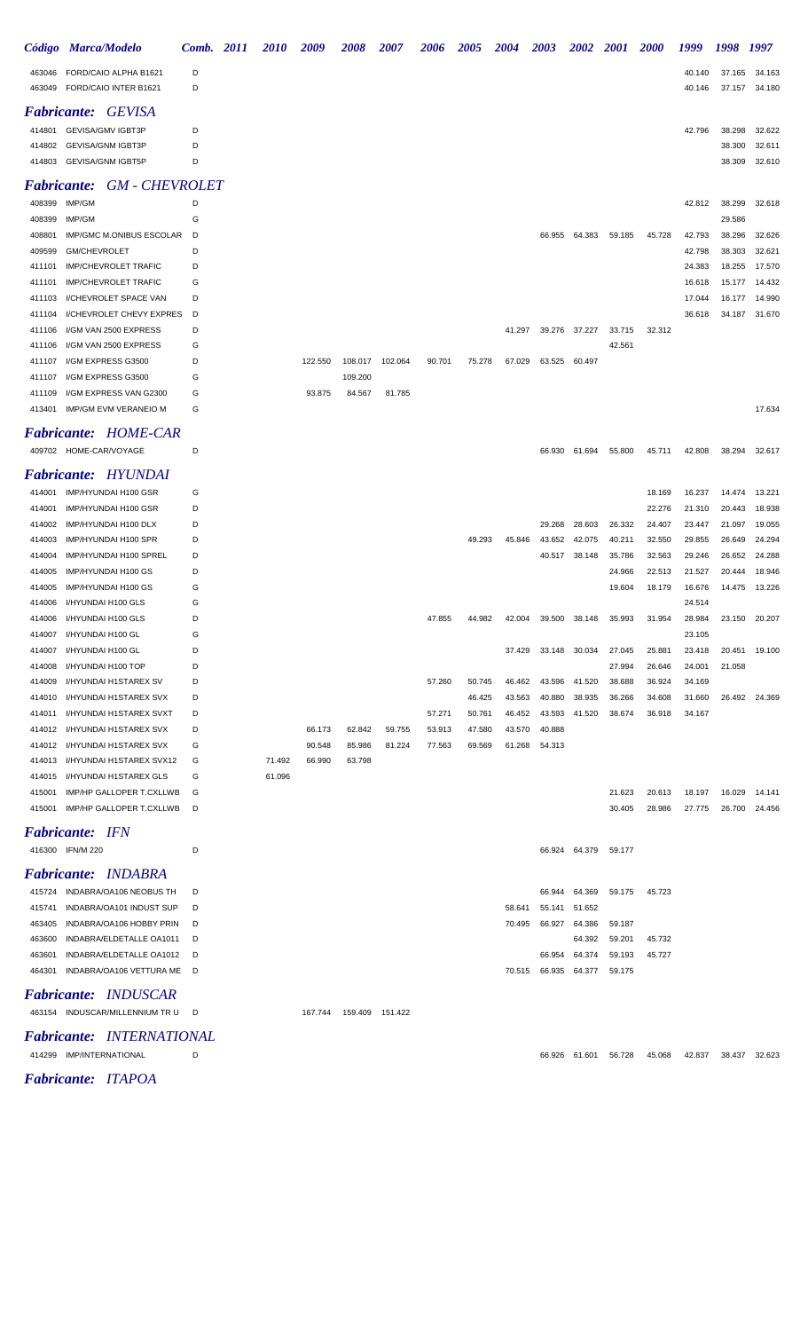|                    | Código Marca/Modelo                                    | Comb. 2011 | <i>2010</i> | 2009    | 2008    | <b>2007</b> | 2006   | <i><b>2005</b></i> | 2004   | <i><b>2003</b></i> | 2002   | <i>2001</i>      | <i>2000</i>      | 1999             | 1998             | 1997             |
|--------------------|--------------------------------------------------------|------------|-------------|---------|---------|-------------|--------|--------------------|--------|--------------------|--------|------------------|------------------|------------------|------------------|------------------|
| 463046<br>463049   | FORD/CAIO ALPHA B1621<br>FORD/CAIO INTER B1621         | D<br>D     |             |         |         |             |        |                    |        |                    |        |                  |                  | 40.140<br>40.146 | 37.165<br>37.157 | 34.163<br>34.180 |
| <i>Fabricante:</i> | <b>GEVISA</b>                                          |            |             |         |         |             |        |                    |        |                    |        |                  |                  |                  |                  |                  |
| 414801             | GEVISA/GMV IGBT3P                                      | D          |             |         |         |             |        |                    |        |                    |        |                  |                  | 42.796           | 38.298           | 32.622           |
| 414802             | <b>GEVISA/GNM IGBT3P</b>                               | D          |             |         |         |             |        |                    |        |                    |        |                  |                  |                  | 38.300           | 32.611           |
| 414803             | <b>GEVISA/GNM IGBT5P</b>                               | D          |             |         |         |             |        |                    |        |                    |        |                  |                  |                  | 38.309           | 32.610           |
| <i>Fabricante:</i> | <b>GM - CHEVROLET</b>                                  |            |             |         |         |             |        |                    |        |                    |        |                  |                  |                  |                  |                  |
| 408399             | IMP/GM                                                 | D          |             |         |         |             |        |                    |        |                    |        |                  |                  | 42.812           | 38.299           | 32.618           |
| 408399<br>408801   | IMP/GM<br>IMP/GMC M.ONIBUS ESCOLAR                     | G<br>D     |             |         |         |             |        |                    |        | 66.955             | 64.383 | 59.185           | 45.728           | 42.793           | 29.586<br>38.296 | 32.626           |
| 409599             | GM/CHEVROLET                                           | D          |             |         |         |             |        |                    |        |                    |        |                  |                  | 42.798           | 38.303           | 32.621           |
| 411101             | <b>IMP/CHEVROLET TRAFIC</b>                            | D          |             |         |         |             |        |                    |        |                    |        |                  |                  | 24.383           | 18.255           | 17.570           |
| 411101             | <b>IMP/CHEVROLET TRAFIC</b>                            | G          |             |         |         |             |        |                    |        |                    |        |                  |                  | 16.618           | 15.177           | 14.432           |
| 411103             | I/CHEVROLET SPACE VAN                                  | D          |             |         |         |             |        |                    |        |                    |        |                  |                  | 17.044           | 16.177           | 14.990           |
| 411104             | I/CHEVROLET CHEVY EXPRES                               | D          |             |         |         |             |        |                    |        |                    |        |                  |                  | 36.618           | 34.187           | 31.670           |
| 411106             | I/GM VAN 2500 EXPRESS                                  | D          |             |         |         |             |        |                    | 41.297 | 39.276             | 37.227 | 33.715           | 32.312           |                  |                  |                  |
| 411106             | I/GM VAN 2500 EXPRESS                                  | G          |             |         |         |             |        |                    |        |                    |        | 42.561           |                  |                  |                  |                  |
| 411107             | I/GM EXPRESS G3500                                     | D          |             | 122.550 | 108.017 | 102.064     | 90.701 | 75.278             | 67.029 | 63.525             | 60.497 |                  |                  |                  |                  |                  |
| 411107             | I/GM EXPRESS G3500                                     | G          |             |         | 109.200 |             |        |                    |        |                    |        |                  |                  |                  |                  |                  |
| 411109<br>413401   | I/GM EXPRESS VAN G2300<br><b>IMP/GM EVM VERANEIO M</b> | G<br>G     |             | 93.875  | 84.567  | 81.785      |        |                    |        |                    |        |                  |                  |                  |                  | 17.634           |
|                    | <b>Fabricante: HOME-CAR</b>                            |            |             |         |         |             |        |                    |        |                    |        |                  |                  |                  |                  |                  |
|                    | 409702 HOME-CAR/VOYAGE                                 | D          |             |         |         |             |        |                    |        | 66.930             | 61.694 | 55.800           | 45.711           | 42.808           | 38.294           | 32.617           |
| <i>Fabricante:</i> | HYUNDAI                                                |            |             |         |         |             |        |                    |        |                    |        |                  |                  |                  |                  |                  |
| 414001             | IMP/HYUNDAI H100 GSR                                   | G          |             |         |         |             |        |                    |        |                    |        |                  | 18.169           | 16.237           | 14.474           | 13.221           |
| 414001             | IMP/HYUNDAI H100 GSR                                   | D          |             |         |         |             |        |                    |        |                    |        |                  | 22.276           | 21.310           | 20.443           | 18.938           |
| 414002             | IMP/HYUNDAI H100 DLX                                   | D          |             |         |         |             |        |                    |        | 29.268             | 28.603 | 26.332           | 24.407           | 23.447           | 21.097           | 19.055           |
| 414003             | IMP/HYUNDAI H100 SPR                                   | D          |             |         |         |             |        | 49.293             | 45.846 | 43.652             | 42.075 | 40.211           | 32.550           | 29.855           | 26.649           | 24.294           |
| 414004             | IMP/HYUNDAI H100 SPREL                                 | D          |             |         |         |             |        |                    |        | 40.517             | 38.148 | 35.786           | 32.563           | 29.246           | 26.652           | 24.288           |
| 414005<br>414005   | IMP/HYUNDAI H100 GS<br>IMP/HYUNDAI H100 GS             | D<br>G     |             |         |         |             |        |                    |        |                    |        | 24.966<br>19.604 | 22.513<br>18.179 | 21.527<br>16.676 | 20.444<br>14.475 | 18.946<br>13.226 |
| 414006             | I/HYUNDAI H100 GLS                                     | G          |             |         |         |             |        |                    |        |                    |        |                  |                  | 24.514           |                  |                  |
| 414006             | I/HYUNDAI H100 GLS                                     | D          |             |         |         |             | 47.855 | 44.982             | 42.004 | 39.500             | 38.148 | 35.993           | 31.954           | 28.984           | 23.150           | 20.207           |
| 414007             | I/HYUNDAI H100 GL                                      | G          |             |         |         |             |        |                    |        |                    |        |                  |                  | 23.105           |                  |                  |
| 414007             | I/HYUNDAI H100 GL                                      | D          |             |         |         |             |        |                    | 37.429 | 33.148             | 30.034 | 27.045           | 25.881           | 23.418           | 20.451           | 19.100           |
| 414008             | I/HYUNDAI H100 TOP                                     | D          |             |         |         |             |        |                    |        |                    |        | 27.994           | 26.646           | 24.001           | 21.058           |                  |
| 414009             | I/HYUNDAI H1STAREX SV                                  | D          |             |         |         |             | 57.260 | 50.745             | 46.462 | 43.596             | 41.520 | 38.688           | 36.924           | 34.169           |                  |                  |
| 414010             | I/HYUNDAI H1STAREX SVX                                 | D          |             |         |         |             |        | 46.425             | 43.563 | 40.880             | 38.935 | 36.266           | 34.608           | 31.660           | 26.492           | 24.369           |
| 414011             | I/HYUNDAI H1STAREX SVXT                                | D          |             |         |         |             | 57.271 | 50.761             | 46.452 | 43.593             | 41.520 | 38.674           | 36.918           | 34.167           |                  |                  |
| 414012             | I/HYUNDAI H1STAREX SVX                                 | D          |             | 66.173  | 62.842  | 59.755      | 53.913 | 47.580             | 43.570 | 40.888             |        |                  |                  |                  |                  |                  |
| 414012<br>414013   | I/HYUNDAI H1STAREX SVX<br>I/HYUNDAI H1STAREX SVX12     | G<br>G     | 71.492      | 90.548  | 85.986  | 81.224      | 77.563 | 69.569             | 61.268 | 54.313             |        |                  |                  |                  |                  |                  |
| 414015             | I/HYUNDAI H1STAREX GLS                                 | G          | 61.096      | 66.990  | 63.798  |             |        |                    |        |                    |        |                  |                  |                  |                  |                  |
| 415001             | IMP/HP GALLOPER T.CXLLWB                               | G          |             |         |         |             |        |                    |        |                    |        | 21.623           | 20.613           | 18.197           | 16.029           | 14.141           |
| 415001             | IMP/HP GALLOPER T.CXLLWB                               | D          |             |         |         |             |        |                    |        |                    |        | 30.405           | 28.986           | 27.775           |                  | 26.700 24.456    |
|                    | <b>Fabricante:</b> IFN                                 |            |             |         |         |             |        |                    |        |                    |        |                  |                  |                  |                  |                  |
|                    | 416300 IFN/M 220                                       | D          |             |         |         |             |        |                    |        | 66.924             | 64.379 | 59.177           |                  |                  |                  |                  |
|                    | <b>Fabricante: INDABRA</b>                             |            |             |         |         |             |        |                    |        |                    |        |                  |                  |                  |                  |                  |
| 415724             | INDABRA/OA106 NEOBUS TH                                | D          |             |         |         |             |        |                    |        | 66.944             | 64.369 | 59.175           | 45.723           |                  |                  |                  |
| 415741             | INDABRA/OA101 INDUST SUP                               | D          |             |         |         |             |        |                    | 58.641 | 55.141             | 51.652 |                  |                  |                  |                  |                  |
| 463405             | INDABRA/OA106 HOBBY PRIN                               | D          |             |         |         |             |        |                    | 70.495 | 66.927             | 64.386 | 59.187           |                  |                  |                  |                  |
| 463600             | INDABRA/ELDETALLE OA1011                               | D          |             |         |         |             |        |                    |        |                    | 64.392 | 59.201           | 45.732           |                  |                  |                  |
| 463601             | INDABRA/ELDETALLE OA1012                               | D          |             |         |         |             |        |                    |        | 66.954             | 64.374 | 59.193           | 45.727           |                  |                  |                  |
| 464301             | INDABRA/OA106 VETTURA ME                               | D          |             |         |         |             |        |                    | 70.515 | 66.935             | 64.377 | 59.175           |                  |                  |                  |                  |
|                    | <b>Fabricante: INDUSCAR</b>                            |            |             |         |         |             |        |                    |        |                    |        |                  |                  |                  |                  |                  |
|                    | 463154 INDUSCAR/MILLENNIUM TRU                         | D          |             | 167.744 | 159.409 | 151.422     |        |                    |        |                    |        |                  |                  |                  |                  |                  |
|                    | Fabricante: INTERNATIONAL                              |            |             |         |         |             |        |                    |        |                    |        |                  |                  |                  |                  |                  |
|                    | 414299 IMP/INTERNATIONAL                               | D          |             |         |         |             |        |                    |        | 66.926             | 61.601 | 56.728           | 45.068           | 42.837           | 38.437           | 32.623           |

*Fabricante: ITAPOA*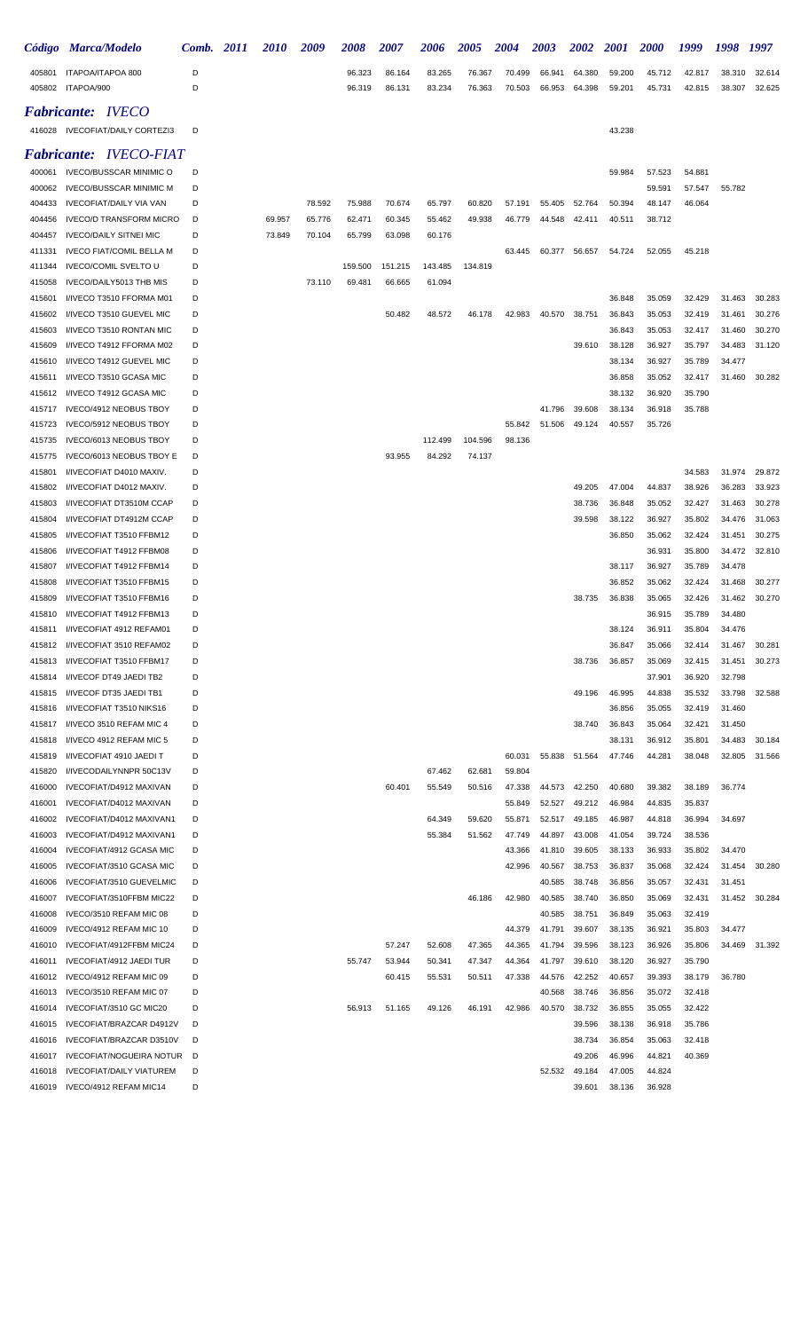|                  | Código Marca/Modelo                                             | Comb.  | 2011 | 2010   | 2009   | 2008             | 2007             | 2006             | <b>2005</b>      | 2004             | 2003             | <b>2002</b>      | <b>2001</b>      | <b>2000</b>      | 1999             | 1998             | 1997             |
|------------------|-----------------------------------------------------------------|--------|------|--------|--------|------------------|------------------|------------------|------------------|------------------|------------------|------------------|------------------|------------------|------------------|------------------|------------------|
| 405801<br>405802 | ITAPOA/ITAPOA 800<br>ITAPOA/900                                 | D<br>D |      |        |        | 96.323<br>96.319 | 86.164<br>86.131 | 83.265<br>83.234 | 76.367<br>76.363 | 70.499<br>70.503 | 66.941<br>66.953 | 64.380<br>64.398 | 59.200<br>59.201 | 45.712<br>45.731 | 42.817<br>42.815 | 38.310<br>38.307 | 32.614<br>32.625 |
|                  | <b>Fabricante: IVECO</b>                                        |        |      |        |        |                  |                  |                  |                  |                  |                  |                  |                  |                  |                  |                  |                  |
|                  | 416028 IVECOFIAT/DAILY CORTEZI3                                 | D      |      |        |        |                  |                  |                  |                  |                  |                  |                  | 43.238           |                  |                  |                  |                  |
|                  |                                                                 |        |      |        |        |                  |                  |                  |                  |                  |                  |                  |                  |                  |                  |                  |                  |
| 400061           | <b>Fabricante: IVECO-FIAT</b><br><b>IVECO/BUSSCAR MINIMIC O</b> | D      |      |        |        |                  |                  |                  |                  |                  |                  |                  | 59.984           | 57.523           | 54.881           |                  |                  |
| 400062           | <b>IVECO/BUSSCAR MINIMIC M</b>                                  | D      |      |        |        |                  |                  |                  |                  |                  |                  |                  |                  | 59.591           | 57.547           | 55.782           |                  |
| 404433           | <b>IVECOFIAT/DAILY VIA VAN</b>                                  | D      |      |        | 78.592 | 75.988           | 70.674           | 65.797           | 60.820           | 57.191           | 55.405           | 52.764           | 50.394           | 48.147           | 46.064           |                  |                  |
| 404456           | <b>IVECO/D TRANSFORM MICRO</b>                                  | D      |      | 69.957 | 65.776 | 62.471           | 60.345           | 55.462           | 49.938           | 46.779           | 44.548           | 42.411           | 40.511           | 38.712           |                  |                  |                  |
| 404457           | <b>IVECO/DAILY SITNEI MIC</b>                                   | D      |      | 73.849 | 70.104 | 65.799           | 63.098           | 60.176           |                  |                  |                  |                  |                  |                  |                  |                  |                  |
| 411331           | <b>IVECO FIAT/COMIL BELLA M</b>                                 | D      |      |        |        |                  |                  |                  |                  | 63.445           | 60.377           | 56.657           | 54.724           | 52.055           | 45.218           |                  |                  |
| 411344           | <b>IVECO/COMIL SVELTO U</b>                                     | D      |      |        |        | 159.500          | 151.215          | 143.485          | 134.819          |                  |                  |                  |                  |                  |                  |                  |                  |
| 415058<br>415601 | IVECO/DAILY5013 THB MIS<br>I/IVECO T3510 FFORMA M01             | D<br>D |      |        | 73.110 | 69.481           | 66.665           | 61.094           |                  |                  |                  |                  | 36.848           | 35.059           | 32.429           | 31.463           | 30.283           |
| 415602           | I/IVECO T3510 GUEVEL MIC                                        | D      |      |        |        |                  | 50.482           | 48.572           | 46.178           | 42.983           | 40.570           | 38.751           | 36.843           | 35.053           | 32.419           | 31.461           | 30.276           |
| 415603           | I/IVECO T3510 RONTAN MIC                                        | D      |      |        |        |                  |                  |                  |                  |                  |                  |                  | 36.843           | 35.053           | 32.417           | 31.460           | 30.270           |
| 415609           | I/IVECO T4912 FFORMA M02                                        | D      |      |        |        |                  |                  |                  |                  |                  |                  | 39.610           | 38.128           | 36.927           | 35.797           | 34.483           | 31.120           |
| 415610           | I/IVECO T4912 GUEVEL MIC                                        | D      |      |        |        |                  |                  |                  |                  |                  |                  |                  | 38.134           | 36.927           | 35.789           | 34.477           |                  |
| 415611           | I/IVECO T3510 GCASA MIC                                         | D      |      |        |        |                  |                  |                  |                  |                  |                  |                  | 36.858           | 35.052           | 32.417           | 31.460           | 30.282           |
| 415612           | I/IVECO T4912 GCASA MIC                                         | D      |      |        |        |                  |                  |                  |                  |                  |                  |                  | 38.132           | 36.920           | 35.790           |                  |                  |
| 415717<br>415723 | IVECO/4912 NEOBUS TBOY<br>IVECO/5912 NEOBUS TBOY                | D<br>D |      |        |        |                  |                  |                  |                  | 55.842           | 41.796<br>51.506 | 39.608<br>49.124 | 38.134<br>40.557 | 36.918<br>35.726 | 35.788           |                  |                  |
| 415735           | IVECO/6013 NEOBUS TBOY                                          | D      |      |        |        |                  |                  | 112.499          | 104.596          | 98.136           |                  |                  |                  |                  |                  |                  |                  |
| 415775           | IVECO/6013 NEOBUS TBOY E                                        | D      |      |        |        |                  | 93.955           | 84.292           | 74.137           |                  |                  |                  |                  |                  |                  |                  |                  |
| 415801           | I/IVECOFIAT D4010 MAXIV.                                        | D      |      |        |        |                  |                  |                  |                  |                  |                  |                  |                  |                  | 34.583           | 31.974           | 29.872           |
| 415802           | I/IVECOFIAT D4012 MAXIV.                                        | D      |      |        |        |                  |                  |                  |                  |                  |                  | 49.205           | 47.004           | 44.837           | 38.926           | 36.283           | 33.923           |
| 415803           | I/IVECOFIAT DT3510M CCAP                                        | D      |      |        |        |                  |                  |                  |                  |                  |                  | 38.736           | 36.848           | 35.052           | 32.427           | 31.463           | 30.278           |
| 415804           | I/IVECOFIAT DT4912M CCAP                                        | D      |      |        |        |                  |                  |                  |                  |                  |                  | 39.598           | 38.122           | 36.927           | 35.802           | 34.476           | 31.063           |
| 415805<br>415806 | I/IVECOFIAT T3510 FFBM12<br>I/IVECOFIAT T4912 FFBM08            | D<br>D |      |        |        |                  |                  |                  |                  |                  |                  |                  | 36.850           | 35.062<br>36.931 | 32.424<br>35.800 | 31.451<br>34.472 | 30.275<br>32.810 |
| 415807           | I/IVECOFIAT T4912 FFBM14                                        | D      |      |        |        |                  |                  |                  |                  |                  |                  |                  | 38.117           | 36.927           | 35.789           | 34.478           |                  |
| 415808           | I/IVECOFIAT T3510 FFBM15                                        | D      |      |        |        |                  |                  |                  |                  |                  |                  |                  | 36.852           | 35.062           | 32.424           | 31.468           | 30.277           |
| 415809           | I/IVECOFIAT T3510 FFBM16                                        | D      |      |        |        |                  |                  |                  |                  |                  |                  | 38.735           | 36.838           | 35.065           | 32.426           | 31.462           | 30.270           |
| 415810           | I/IVECOFIAT T4912 FFBM13                                        | D      |      |        |        |                  |                  |                  |                  |                  |                  |                  |                  | 36.915           | 35.789           | 34.480           |                  |
| 415811           | I/IVECOFIAT 4912 REFAM01                                        | D      |      |        |        |                  |                  |                  |                  |                  |                  |                  | 38.124           | 36.911           | 35.804           | 34.476           |                  |
| 415812           | I/IVECOFIAT 3510 REFAM02                                        | D<br>D |      |        |        |                  |                  |                  |                  |                  |                  |                  | 36.847           | 35.066           | 32.414           | 31.467           | 30.281<br>30.273 |
| 415813<br>415814 | I/IVECOFIAT T3510 FFBM17<br>I/IVECOF DT49 JAEDI TB2             | D      |      |        |        |                  |                  |                  |                  |                  |                  | 38.736           | 36.857           | 35.069<br>37.901 | 32.415<br>36.920 | 31.451<br>32.798 |                  |
| 415815           | I/IVECOF DT35 JAEDI TB1                                         | D      |      |        |        |                  |                  |                  |                  |                  |                  | 49.196           | 46.995           | 44.838           | 35.532           | 33.798           | 32.588           |
| 415816           | I/IVECOFIAT T3510 NIKS16                                        | D      |      |        |        |                  |                  |                  |                  |                  |                  |                  | 36.856           | 35.055           | 32.419           | 31.460           |                  |
| 415817           | I/IVECO 3510 REFAM MIC 4                                        | D      |      |        |        |                  |                  |                  |                  |                  |                  | 38.740           | 36.843           | 35.064           | 32.421           | 31.450           |                  |
| 415818           | I/IVECO 4912 REFAM MIC 5                                        | D      |      |        |        |                  |                  |                  |                  |                  |                  |                  | 38.131           | 36.912           | 35.801           | 34.483           | 30.184           |
| 415819           | I/IVECOFIAT 4910 JAEDI T                                        | D      |      |        |        |                  |                  |                  |                  | 60.031           | 55.838           | 51.564           | 47.746           | 44.281           | 38.048           | 32.805           | 31.566           |
| 415820<br>416000 | I/IVECODAILYNNPR 50C13V<br>IVECOFIAT/D4912 MAXIVAN              | D<br>D |      |        |        |                  | 60.401           | 67.462<br>55.549 | 62.681<br>50.516 | 59.804<br>47.338 | 44.573           | 42.250           | 40.680           | 39.382           | 38.189           | 36.774           |                  |
| 416001           | IVECOFIAT/D4012 MAXIVAN                                         | D      |      |        |        |                  |                  |                  |                  | 55.849           | 52.527           | 49.212           | 46.984           | 44.835           | 35.837           |                  |                  |
| 416002           | IVECOFIAT/D4012 MAXIVAN1                                        | D      |      |        |        |                  |                  | 64.349           | 59.620           | 55.871           | 52.517           | 49.185           | 46.987           | 44.818           | 36.994           | 34.697           |                  |
| 416003           | IVECOFIAT/D4912 MAXIVAN1                                        | D      |      |        |        |                  |                  | 55.384           | 51.562           | 47.749           | 44.897           | 43.008           | 41.054           | 39.724           | 38.536           |                  |                  |
| 416004           | IVECOFIAT/4912 GCASA MIC                                        | D      |      |        |        |                  |                  |                  |                  | 43.366           | 41.810           | 39.605           | 38.133           | 36.933           | 35.802           | 34.470           |                  |
| 416005           | IVECOFIAT/3510 GCASA MIC                                        | D      |      |        |        |                  |                  |                  |                  | 42.996           | 40.567           | 38.753           | 36.837           | 35.068           | 32.424           | 31.454           | 30.280           |
| 416006           | IVECOFIAT/3510 GUEVELMIC                                        | D      |      |        |        |                  |                  |                  |                  |                  | 40.585           | 38.748           | 36.856           | 35.057           | 32.431           | 31.451           |                  |
| 416007<br>416008 | IVECOFIAT/3510FFBM MIC22<br>IVECO/3510 REFAM MIC 08             | D<br>D |      |        |        |                  |                  |                  | 46.186           | 42.980           | 40.585<br>40.585 | 38.740<br>38.751 | 36.850<br>36.849 | 35.069<br>35.063 | 32.431<br>32.419 | 31.452           | 30.284           |
| 416009           | IVECO/4912 REFAM MIC 10                                         | D      |      |        |        |                  |                  |                  |                  | 44.379           | 41.791           | 39.607           | 38.135           | 36.921           | 35.803           | 34.477           |                  |
| 416010           | IVECOFIAT/4912FFBM MIC24                                        | D      |      |        |        |                  | 57.247           | 52.608           | 47.365           | 44.365           | 41.794           | 39.596           | 38.123           | 36.926           | 35.806           | 34.469           | 31.392           |
| 416011           | IVECOFIAT/4912 JAEDI TUR                                        | D      |      |        |        | 55.747           | 53.944           | 50.341           | 47.347           | 44.364           | 41.797           | 39.610           | 38.120           | 36.927           | 35.790           |                  |                  |
| 416012           | IVECO/4912 REFAM MIC 09                                         | D      |      |        |        |                  | 60.415           | 55.531           | 50.511           | 47.338           | 44.576           | 42.252           | 40.657           | 39.393           | 38.179           | 36.780           |                  |
| 416013           | IVECO/3510 REFAM MIC 07                                         | D      |      |        |        |                  |                  |                  |                  |                  | 40.568           | 38.746           | 36.856           | 35.072           | 32.418           |                  |                  |
| 416014           | IVECOFIAT/3510 GC MIC20                                         | D      |      |        |        | 56.913           | 51.165           | 49.126           | 46.191           | 42.986           | 40.570           | 38.732           | 36.855           | 35.055           | 32.422           |                  |                  |
| 416015<br>416016 | IVECOFIAT/BRAZCAR D4912V<br>IVECOFIAT/BRAZCAR D3510V            | D<br>D |      |        |        |                  |                  |                  |                  |                  |                  | 39.596<br>38.734 | 38.138<br>36.854 | 36.918<br>35.063 | 35.786<br>32.418 |                  |                  |
| 416017           | IVECOFIAT/NOGUEIRA NOTUR                                        | D      |      |        |        |                  |                  |                  |                  |                  |                  | 49.206           | 46.996           | 44.821           | 40.369           |                  |                  |
| 416018           | <b>IVECOFIAT/DAILY VIATUREM</b>                                 | D      |      |        |        |                  |                  |                  |                  |                  | 52.532           | 49.184           | 47.005           | 44.824           |                  |                  |                  |
| 416019           | IVECO/4912 REFAM MIC14                                          | D      |      |        |        |                  |                  |                  |                  |                  |                  | 39.601           | 38.136           | 36.928           |                  |                  |                  |
|                  |                                                                 |        |      |        |        |                  |                  |                  |                  |                  |                  |                  |                  |                  |                  |                  |                  |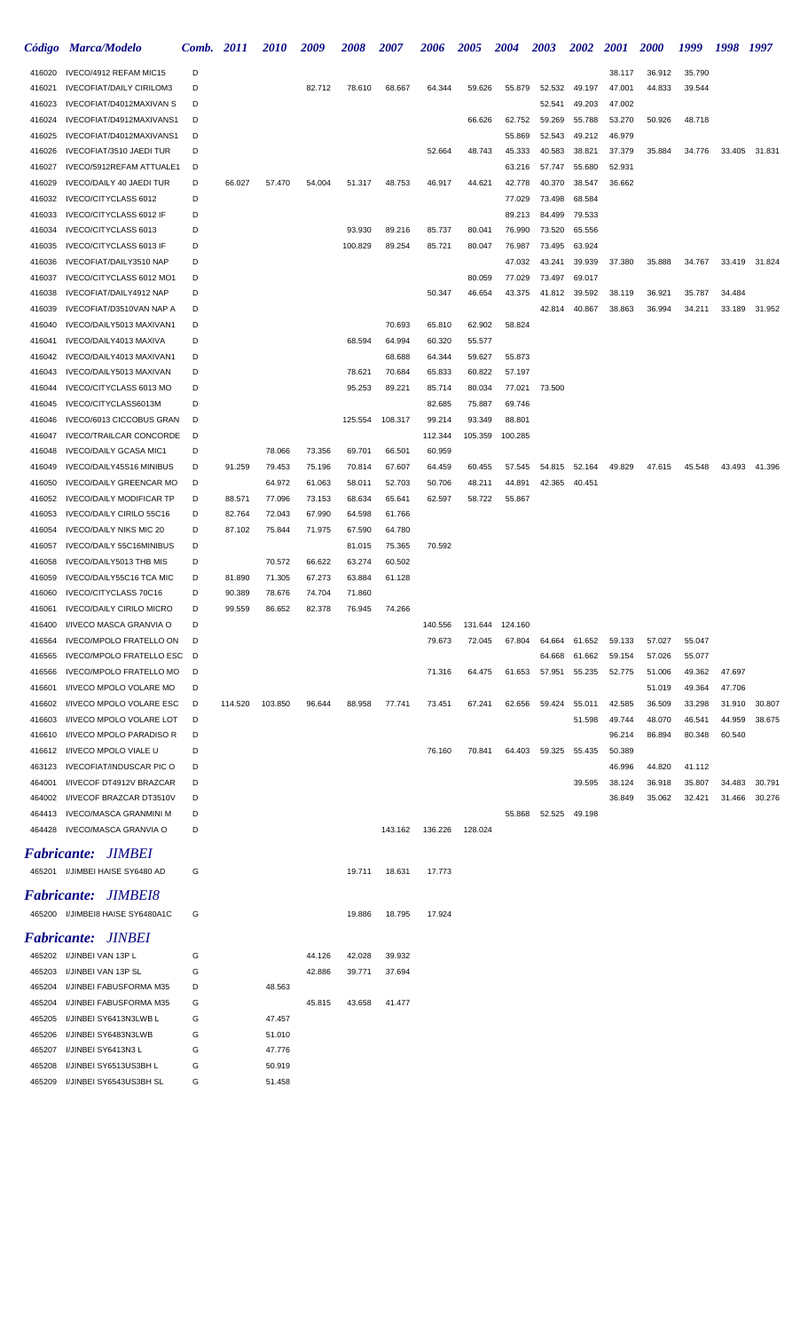| <b>Código</b>             | <b>Marca/Modelo</b>                                      | Comb.  | <i>2011</i> | <i>2010</i> | 2009   | 2008    | 2007    | 2006    | <b>2005</b> | 2004            | <b>2003</b> | 2002   | <i>2001</i>      | <b>2000</b> | 1999   | 1998   | 1997   |
|---------------------------|----------------------------------------------------------|--------|-------------|-------------|--------|---------|---------|---------|-------------|-----------------|-------------|--------|------------------|-------------|--------|--------|--------|
| 416020                    | IVECO/4912 REFAM MIC15                                   | D      |             |             |        |         |         |         |             |                 |             |        | 38.117           | 36.912      | 35.790 |        |        |
| 416021                    | <b>IVECOFIAT/DAILY CIRILOM3</b>                          | D      |             |             | 82.712 | 78.610  | 68.667  | 64.344  | 59.626      | 55.879          | 52.532      | 49.197 | 47.001           | 44.833      | 39.544 |        |        |
| 416023                    | IVECOFIAT/D4012MAXIVAN S                                 | D      |             |             |        |         |         |         |             |                 | 52.541      | 49.203 | 47.002           |             |        |        |        |
| 416024                    | IVECOFIAT/D4912MAXIVANS1                                 | D      |             |             |        |         |         |         | 66.626      | 62.752          | 59.269      | 55.788 | 53.270           | 50.926      | 48.718 |        |        |
| 416025                    | IVECOFIAT/D4012MAXIVANS1                                 | D      |             |             |        |         |         |         |             | 55.869          | 52.543      | 49.212 | 46.979           |             |        |        |        |
| 416026                    | IVECOFIAT/3510 JAEDI TUR                                 | D      |             |             |        |         |         | 52.664  | 48.743      | 45.333          | 40.583      | 38.821 | 37.379           | 35.884      | 34.776 | 33.405 | 31.831 |
| 416027                    | IVECO/5912REFAM ATTUALE1                                 | D      |             |             |        |         |         |         |             | 63.216          | 57.747      | 55.680 | 52.931           |             |        |        |        |
| 416029                    | <b>IVECO/DAILY 40 JAEDI TUR</b>                          | D      | 66.027      | 57.470      | 54.004 | 51.317  | 48.753  | 46.917  | 44.621      | 42.778          | 40.370      | 38.547 | 36.662           |             |        |        |        |
| 416032                    | IVECO/CITYCLASS 6012                                     | D      |             |             |        |         |         |         |             | 77.029          | 73.498      | 68.584 |                  |             |        |        |        |
| 416033                    | IVECO/CITYCLASS 6012 IF                                  | D      |             |             |        |         |         |         |             | 89.213          | 84.499      | 79.533 |                  |             |        |        |        |
| 416034                    | IVECO/CITYCLASS 6013                                     | D      |             |             |        | 93.930  | 89.216  | 85.737  | 80.041      | 76.990          | 73.520      | 65.556 |                  |             |        |        |        |
| 416035                    | IVECO/CITYCLASS 6013 IF                                  | D      |             |             |        | 100.829 | 89.254  | 85.721  | 80.047      | 76.987          | 73.495      | 63.924 |                  |             |        |        |        |
| 416036                    | IVECOFIAT/DAILY3510 NAP                                  | D      |             |             |        |         |         |         |             | 47.032          | 43.241      | 39.939 | 37.380           | 35.888      | 34.767 | 33.419 | 31.824 |
| 416037                    | IVECO/CITYCLASS 6012 MO1                                 | D      |             |             |        |         |         |         | 80.059      | 77.029          | 73.497      | 69.017 |                  |             |        |        |        |
| 416038                    | IVECOFIAT/DAILY4912 NAP                                  | D      |             |             |        |         |         | 50.347  | 46.654      | 43.375          | 41.812      | 39.592 | 38.119           | 36.921      | 35.787 | 34.484 |        |
| 416039                    | IVECOFIAT/D3510VAN NAP A                                 | D      |             |             |        |         |         |         |             |                 | 42.814      | 40.867 | 38.863           | 36.994      | 34.211 | 33.189 | 31.952 |
| 416040                    | IVECO/DAILY5013 MAXIVAN1                                 | D      |             |             |        |         | 70.693  | 65.810  | 62.902      | 58.824          |             |        |                  |             |        |        |        |
| 416041                    | IVECO/DAILY4013 MAXIVA                                   | D      |             |             |        | 68.594  | 64.994  | 60.320  | 55.577      |                 |             |        |                  |             |        |        |        |
| 416042                    | IVECO/DAILY4013 MAXIVAN1                                 | D      |             |             |        |         | 68.688  | 64.344  | 59.627      | 55.873          |             |        |                  |             |        |        |        |
| 416043                    | IVECO/DAILY5013 MAXIVAN                                  | D      |             |             |        | 78.621  | 70.684  | 65.833  | 60.822      | 57.197          |             |        |                  |             |        |        |        |
| 416044                    | IVECO/CITYCLASS 6013 MO                                  | D      |             |             |        | 95.253  | 89.221  | 85.714  | 80.034      | 77.021          | 73.500      |        |                  |             |        |        |        |
| 416045                    | IVECO/CITYCLASS6013M                                     | D      |             |             |        |         |         | 82.685  | 75.887      | 69.746          |             |        |                  |             |        |        |        |
| 416046                    | IVECO/6013 CICCOBUS GRAN                                 | D      |             |             |        | 125.554 | 108.317 | 99.214  | 93.349      | 88.801          |             |        |                  |             |        |        |        |
| 416047                    | <b>IVECO/TRAILCAR CONCORDE</b>                           | D      |             |             |        |         |         | 112.344 | 105.359     | 100.285         |             |        |                  |             |        |        |        |
| 416048                    | <b>IVECO/DAILY GCASA MIC1</b>                            | D      |             | 78.066      | 73.356 | 69.701  | 66.501  | 60.959  |             |                 |             |        |                  |             |        |        |        |
| 416049                    | IVECO/DAILY45S16 MINIBUS                                 | D      | 91.259      | 79.453      | 75.196 | 70.814  | 67.607  | 64.459  | 60.455      | 57.545          | 54.815      | 52.164 | 49.829           | 47.615      | 45.548 | 43.493 | 41.396 |
| 416050                    | <b>IVECO/DAILY GREENCAR MO</b>                           | D      |             | 64.972      | 61.063 | 58.011  | 52.703  | 50.706  | 48.211      | 44.891          | 42.365      | 40.451 |                  |             |        |        |        |
| 416052                    | <b>IVECO/DAILY MODIFICAR TP</b>                          | D      | 88.571      | 77.096      | 73.153 | 68.634  | 65.641  | 62.597  | 58.722      | 55.867          |             |        |                  |             |        |        |        |
| 416053                    | IVECO/DAILY CIRILO 55C16                                 | D      | 82.764      | 72.043      | 67.990 | 64.598  | 61.766  |         |             |                 |             |        |                  |             |        |        |        |
| 416054                    | <b>IVECO/DAILY NIKS MIC 20</b>                           | D      | 87.102      | 75.844      | 71.975 | 67.590  | 64.780  |         |             |                 |             |        |                  |             |        |        |        |
| 416057                    | IVECO/DAILY 55C16MINIBUS                                 | D      |             |             |        | 81.015  | 75.365  | 70.592  |             |                 |             |        |                  |             |        |        |        |
| 416058                    | IVECO/DAILY5013 THB MIS                                  | D      |             | 70.572      | 66.622 | 63.274  | 60.502  |         |             |                 |             |        |                  |             |        |        |        |
| 416059                    | IVECO/DAILY55C16 TCA MIC                                 | D      | 81.890      | 71.305      | 67.273 | 63.884  | 61.128  |         |             |                 |             |        |                  |             |        |        |        |
| 416060                    | IVECO/CITYCLASS 70C16                                    | D      | 90.389      | 78.676      | 74.704 | 71.860  |         |         |             |                 |             |        |                  |             |        |        |        |
| 416061                    | <b>IVECO/DAILY CIRILO MICRO</b>                          | D      | 99.559      | 86.652      | 82.378 | 76.945  | 74.266  |         |             |                 |             |        |                  |             |        |        |        |
| 416400                    | I/IVECO MASCA GRANVIA O                                  | D      |             |             |        |         |         | 140.556 |             | 131.644 124.160 |             |        |                  |             |        |        |        |
| 416564                    | <b>IVECO/MPOLO FRATELLO ON</b>                           | D      |             |             |        |         |         | 79.673  | 72.045      | 67.804          | 64.664      | 61.652 | 59.133           | 57.027      | 55.047 |        |        |
| 416565                    | IVECO/MPOLO FRATELLO ESC                                 | D      |             |             |        |         |         |         |             |                 | 64.668      | 61.662 | 59.154           | 57.026      | 55.077 |        |        |
| 416566                    | <b>IVECO/MPOLO FRATELLO MO</b>                           | D      |             |             |        |         |         | 71.316  | 64.475      | 61.653          | 57.951      | 55.235 | 52.775           | 51.006      | 49.362 | 47.697 |        |
| 416601                    | I/IVECO MPOLO VOLARE MO                                  | D      |             |             |        |         |         |         |             |                 |             |        |                  | 51.019      | 49.364 | 47.706 |        |
| 416602                    | I/IVECO MPOLO VOLARE ESC                                 | D      | 114.520     | 103.850     | 96.644 | 88.958  | 77.741  | 73.451  | 67.241      | 62.656          | 59.424      | 55.011 | 42.585           | 36.509      | 33.298 | 31.910 | 30.807 |
| 416603                    | I/IVECO MPOLO VOLARE LOT                                 | D      |             |             |        |         |         |         |             |                 |             | 51.598 | 49.744           | 48.070      | 46.541 | 44.959 | 38.675 |
| 416610                    | I/IVECO MPOLO PARADISO R                                 | D      |             |             |        |         |         |         |             |                 |             |        | 96.214           | 86.894      | 80.348 | 60.540 |        |
| 416612<br>463123          | I/IVECO MPOLO VIALE U<br><b>IVECOFIAT/INDUSCAR PIC O</b> | D<br>D |             |             |        |         |         | 76.160  | 70.841      | 64.403          | 59.325      | 55.435 | 50.389<br>46.996 | 44.820      | 41.112 |        |        |
| 464001                    | I/IVECOF DT4912V BRAZCAR                                 | D      |             |             |        |         |         |         |             |                 |             | 39.595 | 38.124           | 36.918      | 35.807 | 34.483 | 30.791 |
| 464002                    | I/IVECOF BRAZCAR DT3510V                                 | D      |             |             |        |         |         |         |             |                 |             |        | 36.849           | 35.062      | 32.421 | 31.466 | 30.276 |
| 464413                    | <b>IVECO/MASCA GRANMINI M</b>                            | D      |             |             |        |         |         |         |             | 55.868          | 52.525      | 49.198 |                  |             |        |        |        |
| 464428                    | IVECO/MASCA GRANVIA O                                    | D      |             |             |        |         | 143.162 | 136.226 | 128.024     |                 |             |        |                  |             |        |        |        |
|                           |                                                          |        |             |             |        |         |         |         |             |                 |             |        |                  |             |        |        |        |
| <i><b>Fabricante:</b></i> | <i>JIMBEI</i>                                            |        |             |             |        |         |         |         |             |                 |             |        |                  |             |        |        |        |
|                           | 465201 I/JIMBEI HAISE SY6480 AD                          | G      |             |             |        | 19.711  | 18.631  | 17.773  |             |                 |             |        |                  |             |        |        |        |
|                           | Fabricante: JIMBE18                                      |        |             |             |        |         |         |         |             |                 |             |        |                  |             |        |        |        |
|                           |                                                          | G      |             |             |        |         |         |         |             |                 |             |        |                  |             |        |        |        |
| 465200                    | I/JIMBEI8 HAISE SY6480A1C                                |        |             |             |        | 19.886  | 18.795  | 17.924  |             |                 |             |        |                  |             |        |        |        |
|                           | <b>Fabricante: JINBEI</b>                                |        |             |             |        |         |         |         |             |                 |             |        |                  |             |        |        |        |
| 465202                    | I/JINBEI VAN 13P L                                       | G      |             |             | 44.126 | 42.028  | 39.932  |         |             |                 |             |        |                  |             |        |        |        |
| 465203                    | I/JINBEI VAN 13P SL                                      | G      |             |             | 42.886 | 39.771  | 37.694  |         |             |                 |             |        |                  |             |        |        |        |
| 465204                    | I/JINBEI FABUSFORMA M35                                  | D      |             | 48.563      |        |         |         |         |             |                 |             |        |                  |             |        |        |        |
| 465204                    | I/JINBEI FABUSFORMA M35                                  | G      |             |             | 45.815 | 43.658  | 41.477  |         |             |                 |             |        |                  |             |        |        |        |
| 465205                    | I/JINBEI SY6413N3LWB L                                   | G      |             | 47.457      |        |         |         |         |             |                 |             |        |                  |             |        |        |        |
| 465206                    | I/JINBEI SY6483N3LWB                                     | G      |             | 51.010      |        |         |         |         |             |                 |             |        |                  |             |        |        |        |
| 465207                    | I/JINBEI SY6413N3 L                                      | G      |             | 47.776      |        |         |         |         |             |                 |             |        |                  |             |        |        |        |
| 465208                    | I/JINBEI SY6513US3BH L                                   | G      |             | 50.919      |        |         |         |         |             |                 |             |        |                  |             |        |        |        |
| 465209                    | I/JINBEI SY6543US3BH SL                                  | G      |             | 51.458      |        |         |         |         |             |                 |             |        |                  |             |        |        |        |
|                           |                                                          |        |             |             |        |         |         |         |             |                 |             |        |                  |             |        |        |        |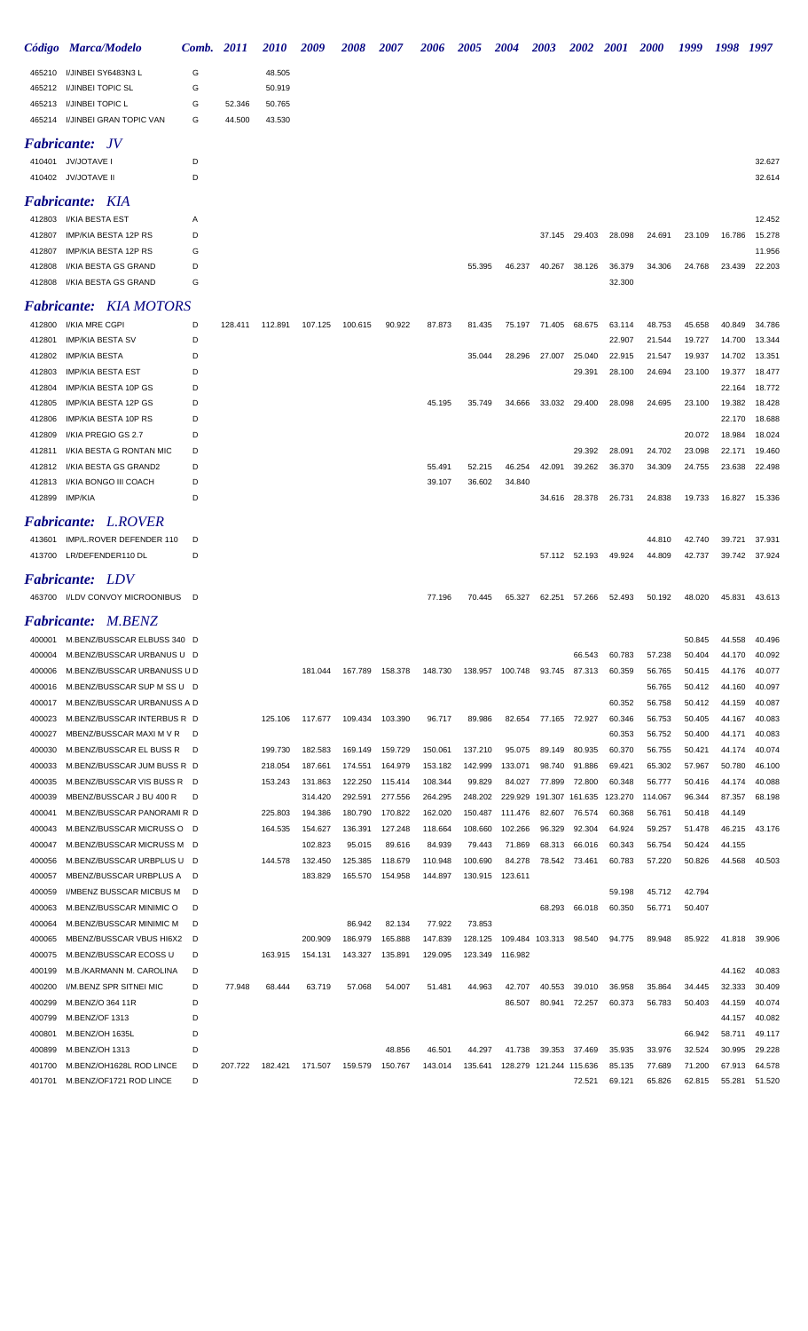|                  | Código Marca/Modelo                                       | Comb. 2011 |         | <i>2010</i>        | 2009               | 2008               | <b>2007</b>        | 2006               | <b>2005</b>        | <b>2004</b>        | <b>2003</b>      | <b>2002</b>      | <b>2001</b>      | <b>2000</b>      | 1999             | 1998             | 1997             |
|------------------|-----------------------------------------------------------|------------|---------|--------------------|--------------------|--------------------|--------------------|--------------------|--------------------|--------------------|------------------|------------------|------------------|------------------|------------------|------------------|------------------|
| 465210           | I/JINBEI SY6483N3 L                                       | G          |         | 48.505             |                    |                    |                    |                    |                    |                    |                  |                  |                  |                  |                  |                  |                  |
| 465212           | <b>I/JINBEI TOPIC SL</b>                                  | G          |         | 50.919             |                    |                    |                    |                    |                    |                    |                  |                  |                  |                  |                  |                  |                  |
| 465213           | I/JINBEI TOPIC L                                          | G          | 52.346  | 50.765             |                    |                    |                    |                    |                    |                    |                  |                  |                  |                  |                  |                  |                  |
| 465214           | I/JINBEI GRAN TOPIC VAN                                   | G          | 44.500  | 43.530             |                    |                    |                    |                    |                    |                    |                  |                  |                  |                  |                  |                  |                  |
|                  | <i>Fabricante:</i><br>JV                                  |            |         |                    |                    |                    |                    |                    |                    |                    |                  |                  |                  |                  |                  |                  |                  |
|                  | 410401 JV/JOTAVE I                                        | D          |         |                    |                    |                    |                    |                    |                    |                    |                  |                  |                  |                  |                  |                  | 32.627           |
|                  | 410402 JV/JOTAVE II                                       | D          |         |                    |                    |                    |                    |                    |                    |                    |                  |                  |                  |                  |                  |                  | 32.614           |
|                  | <b>Fabricante: KIA</b>                                    |            |         |                    |                    |                    |                    |                    |                    |                    |                  |                  |                  |                  |                  |                  |                  |
| 412803           | I/KIA BESTA EST                                           | Α          |         |                    |                    |                    |                    |                    |                    |                    |                  |                  |                  |                  |                  |                  | 12.452           |
| 412807           | IMP/KIA BESTA 12P RS                                      | D          |         |                    |                    |                    |                    |                    |                    |                    | 37.145           | 29.403           | 28.098           | 24.691           | 23.109           | 16.786           | 15.278           |
| 412807           | IMP/KIA BESTA 12P RS                                      | G          |         |                    |                    |                    |                    |                    |                    |                    |                  |                  |                  |                  |                  |                  | 11.956           |
| 412808           | I/KIA BESTA GS GRAND                                      | D          |         |                    |                    |                    |                    |                    | 55.395             | 46.237             | 40.267           | 38.126           | 36.379           | 34.306           | 24.768           | 23.439           | 22.203           |
| 412808           | I/KIA BESTA GS GRAND                                      | G          |         |                    |                    |                    |                    |                    |                    |                    |                  |                  | 32.300           |                  |                  |                  |                  |
|                  | <b>Fabricante:</b> KIA MOTORS                             |            |         |                    |                    |                    |                    |                    |                    |                    |                  |                  |                  |                  |                  |                  |                  |
| 412800           | <b>I/KIA MRE CGPI</b>                                     | D          | 128.411 | 112.891            | 107.125            | 100.615            | 90.922             | 87.873             | 81.435             |                    | 75.197 71.405    | 68.675           | 63.114           | 48.753           | 45.658           | 40.849           | 34.786           |
| 412801           | <b>IMP/KIA BESTA SV</b>                                   | D          |         |                    |                    |                    |                    |                    |                    |                    |                  |                  | 22.907           | 21.544           | 19.727           | 14.700           | 13.344           |
| 412802           | <b>IMP/KIA BESTA</b>                                      | D          |         |                    |                    |                    |                    |                    | 35.044             | 28.296             | 27.007           | 25.040           | 22.915           | 21.547           | 19.937           | 14.702           | 13.351           |
| 412803           | <b>IMP/KIA BESTA EST</b>                                  | D          |         |                    |                    |                    |                    |                    |                    |                    |                  | 29.391           | 28.100           | 24.694           | 23.100           | 19.377           | 18.477           |
| 412804           | IMP/KIA BESTA 10P GS                                      | D          |         |                    |                    |                    |                    |                    |                    |                    |                  |                  |                  |                  |                  | 22.164           | 18.772           |
| 412805           | IMP/KIA BESTA 12P GS                                      | D          |         |                    |                    |                    |                    | 45.195             | 35.749             | 34.666             | 33.032           | 29.400           | 28.098           | 24.695           | 23.100           | 19.382           | 18.428           |
| 412806<br>412809 | IMP/KIA BESTA 10P RS<br>I/KIA PREGIO GS 2.7               | D<br>D     |         |                    |                    |                    |                    |                    |                    |                    |                  |                  |                  |                  | 20.072           | 22.170<br>18.984 | 18.688<br>18.024 |
| 412811           | I/KIA BESTA G RONTAN MIC                                  | D          |         |                    |                    |                    |                    |                    |                    |                    |                  | 29.392           | 28.091           | 24.702           | 23.098           | 22.171           | 19.460           |
| 412812           | I/KIA BESTA GS GRAND2                                     | D          |         |                    |                    |                    |                    | 55.491             | 52.215             | 46.254             | 42.091           | 39.262           | 36.370           | 34.309           | 24.755           | 23.638           | 22.498           |
| 412813           | I/KIA BONGO III COACH                                     | D          |         |                    |                    |                    |                    | 39.107             | 36.602             | 34.840             |                  |                  |                  |                  |                  |                  |                  |
| 412899           | IMP/KIA                                                   | D          |         |                    |                    |                    |                    |                    |                    |                    | 34.616           | 28.378           | 26.731           | 24.838           | 19.733           | 16.827           | 15.336           |
|                  | <b>Fabricante:</b> L.ROVER                                |            |         |                    |                    |                    |                    |                    |                    |                    |                  |                  |                  |                  |                  |                  |                  |
| 413601           | IMP/L.ROVER DEFENDER 110                                  | D          |         |                    |                    |                    |                    |                    |                    |                    |                  |                  |                  | 44.810           | 42.740           | 39.721           | 37.931           |
|                  | 413700 LR/DEFENDER110 DL                                  | D          |         |                    |                    |                    |                    |                    |                    |                    |                  | 57.112 52.193    | 49.924           | 44.809           | 42.737           | 39.742           | 37.924           |
|                  | <b>Fabricante: LDV</b>                                    |            |         |                    |                    |                    |                    |                    |                    |                    |                  |                  |                  |                  |                  |                  |                  |
|                  | 463700 I/LDV CONVOY MICROONIBUS D                         |            |         |                    |                    |                    |                    | 77.196             | 70.445             | 65.327             | 62.251           | 57.266           | 52.493           | 50.192           | 48.020           | 45.831           | 43.613           |
|                  |                                                           |            |         |                    |                    |                    |                    |                    |                    |                    |                  |                  |                  |                  |                  |                  |                  |
|                  | <b>Fabricante: M.BENZ</b>                                 |            |         |                    |                    |                    |                    |                    |                    |                    |                  |                  |                  |                  |                  |                  |                  |
| 400001           | M.BENZ/BUSSCAR ELBUSS 340                                 | D          |         |                    |                    |                    |                    |                    |                    |                    |                  |                  |                  |                  | 50.845           | 44.558           | 40.496           |
| 400004           | M.BENZ/BUSSCAR URBANUS U D<br>M.BENZ/BUSSCAR URBANUSS U D |            |         |                    |                    | 167.789            |                    |                    |                    |                    |                  | 66.543           | 60.783<br>60.359 | 57.238           | 50.404           | 44.170           | 40.092<br>40.077 |
| 400006<br>400016 | M.BENZ/BUSSCAR SUP M SS U D                               |            |         |                    | 181.044            |                    | 158.378            | 148.730            |                    | 138.957 100.748    | 93.745           | 87.313           |                  | 56.765<br>56.765 | 50.415<br>50.412 | 44.176<br>44.160 | 40.097           |
| 400017           | M.BENZ/BUSSCAR URBANUSS A D                               |            |         |                    |                    |                    |                    |                    |                    |                    |                  |                  | 60.352           | 56.758           | 50.412           | 44.159           | 40.087           |
| 400023           | M.BENZ/BUSSCAR INTERBUS R D                               |            |         | 125.106            | 117.677            | 109.434            | 103.390            | 96.717             | 89.986             | 82.654             | 77.165           | 72.927           | 60.346           | 56.753           | 50.405           | 44.167           | 40.083           |
| 400027           | MBENZ/BUSSCAR MAXI M V R                                  | D          |         |                    |                    |                    |                    |                    |                    |                    |                  |                  | 60.353           | 56.752           | 50.400           | 44.171           | 40.083           |
| 400030           | M.BENZ/BUSSCAR EL BUSS R                                  | D          |         | 199.730            | 182.583            | 169.149            | 159.729            | 150.061            | 137.210            | 95.075             | 89.149           | 80.935           | 60.370           | 56.755           | 50.421           | 44.174           | 40.074           |
| 400033           | M.BENZ/BUSSCAR JUM BUSS R D                               |            |         | 218.054            | 187.661            | 174.551            | 164.979            | 153.182            | 142.999            | 133.071            | 98.740           | 91.886           | 69.421           | 65.302           | 57.967           | 50.780           | 46.100           |
| 400035           | M.BENZ/BUSSCAR VIS BUSS R D                               |            |         | 153.243            | 131.863            | 122.250            | 115.414            | 108.344            | 99.829             | 84.027             | 77.899           | 72.800           | 60.348           | 56.777           | 50.416           | 44.174           | 40.088           |
| 400039           | MBENZ/BUSSCAR J BU 400 R                                  | D          |         |                    | 314.420            | 292.591            | 277.556            | 264.295            | 248.202            | 229.929            | 191.307          | 161.635          | 123.270          | 114.067          | 96.344           | 87.357           | 68.198           |
| 400041<br>400043 | M.BENZ/BUSSCAR PANORAMI R D<br>M.BENZ/BUSSCAR MICRUSS O D |            |         | 225.803<br>164.535 | 194.386<br>154.627 | 180.790<br>136.391 | 170.822<br>127.248 | 162.020<br>118.664 | 150.487<br>108.660 | 111.476<br>102.266 | 82.607<br>96.329 | 76.574<br>92.304 | 60.368<br>64.924 | 56.761<br>59.257 | 50.418<br>51.478 | 44.149<br>46.215 | 43.176           |
| 400047           | M.BENZ/BUSSCAR MICRUSS M D                                |            |         |                    | 102.823            | 95.015             | 89.616             | 84.939             | 79.443             | 71.869             | 68.313           | 66.016           | 60.343           | 56.754           | 50.424           | 44.155           |                  |
| 400056           | M.BENZ/BUSSCAR URBPLUS U D                                |            |         | 144.578            | 132.450            | 125.385            | 118.679            | 110.948            | 100.690            | 84.278             | 78.542           | 73.461           | 60.783           | 57.220           | 50.826           | 44.568           | 40.503           |
| 400057           | MBENZ/BUSSCAR URBPLUS A                                   | D          |         |                    | 183.829            | 165.570            | 154.958            | 144.897            | 130.915            | 123.611            |                  |                  |                  |                  |                  |                  |                  |
| 400059           | I/MBENZ BUSSCAR MICBUS M                                  | D          |         |                    |                    |                    |                    |                    |                    |                    |                  |                  | 59.198           | 45.712           | 42.794           |                  |                  |
| 400063           | M.BENZ/BUSSCAR MINIMIC O                                  | D          |         |                    |                    |                    |                    |                    |                    |                    | 68.293           | 66.018           | 60.350           | 56.771           | 50.407           |                  |                  |
| 400064           | M.BENZ/BUSSCAR MINIMIC M                                  | D          |         |                    |                    | 86.942             | 82.134             | 77.922             | 73.853             |                    |                  |                  |                  |                  |                  |                  |                  |
| 400065           | MBENZ/BUSSCAR VBUS HI6X2                                  | D          |         |                    | 200.909            | 186.979            | 165.888            | 147.839            | 128.125            | 109.484            | 103.313          | 98.540           | 94.775           | 89.948           | 85.922           | 41.818           | 39.906           |
| 400075           | M.BENZ/BUSSCAR ECOSS U                                    | D          |         | 163.915            | 154.131            | 143.327            | 135.891            | 129.095            | 123.349            | 116.982            |                  |                  |                  |                  |                  |                  |                  |
| 400199           | M.B./KARMANN M. CAROLINA                                  | D          |         |                    |                    |                    |                    |                    |                    |                    |                  |                  |                  |                  |                  | 44.162           | 40.083           |
| 400200<br>400299 | I/M.BENZ SPR SITNEI MIC<br>M.BENZ/O 364 11R               | D<br>D     | 77.948  | 68.444             | 63.719             | 57.068             | 54.007             | 51.481             | 44.963             | 42.707<br>86.507   | 40.553<br>80.941 | 39.010<br>72.257 | 36.958<br>60.373 | 35.864<br>56.783 | 34.445<br>50.403 | 32.333<br>44.159 | 30.409<br>40.074 |
| 400799           | M.BENZ/OF 1313                                            | D          |         |                    |                    |                    |                    |                    |                    |                    |                  |                  |                  |                  |                  | 44.157           | 40.082           |
| 400801           | M.BENZ/OH 1635L                                           | D          |         |                    |                    |                    |                    |                    |                    |                    |                  |                  |                  |                  | 66.942           | 58.711           | 49.117           |
| 400899           | M.BENZ/OH 1313                                            | D          |         |                    |                    |                    | 48.856             | 46.501             | 44.297             | 41.738             | 39.353           | 37.469           | 35.935           | 33.976           | 32.524           | 30.995           | 29.228           |
| 401700           | M.BENZ/OH1628L ROD LINCE                                  | D          | 207.722 | 182.421            | 171.507            | 159.579            | 150.767            | 143.014            | 135.641            | 128.279            | 121.244 115.636  |                  | 85.135           | 77.689           | 71.200           | 67.913           | 64.578           |
| 401701           | M.BENZ/OF1721 ROD LINCE                                   | D          |         |                    |                    |                    |                    |                    |                    |                    |                  | 72.521           | 69.121           | 65.826           | 62.815           | 55.281           | 51.520           |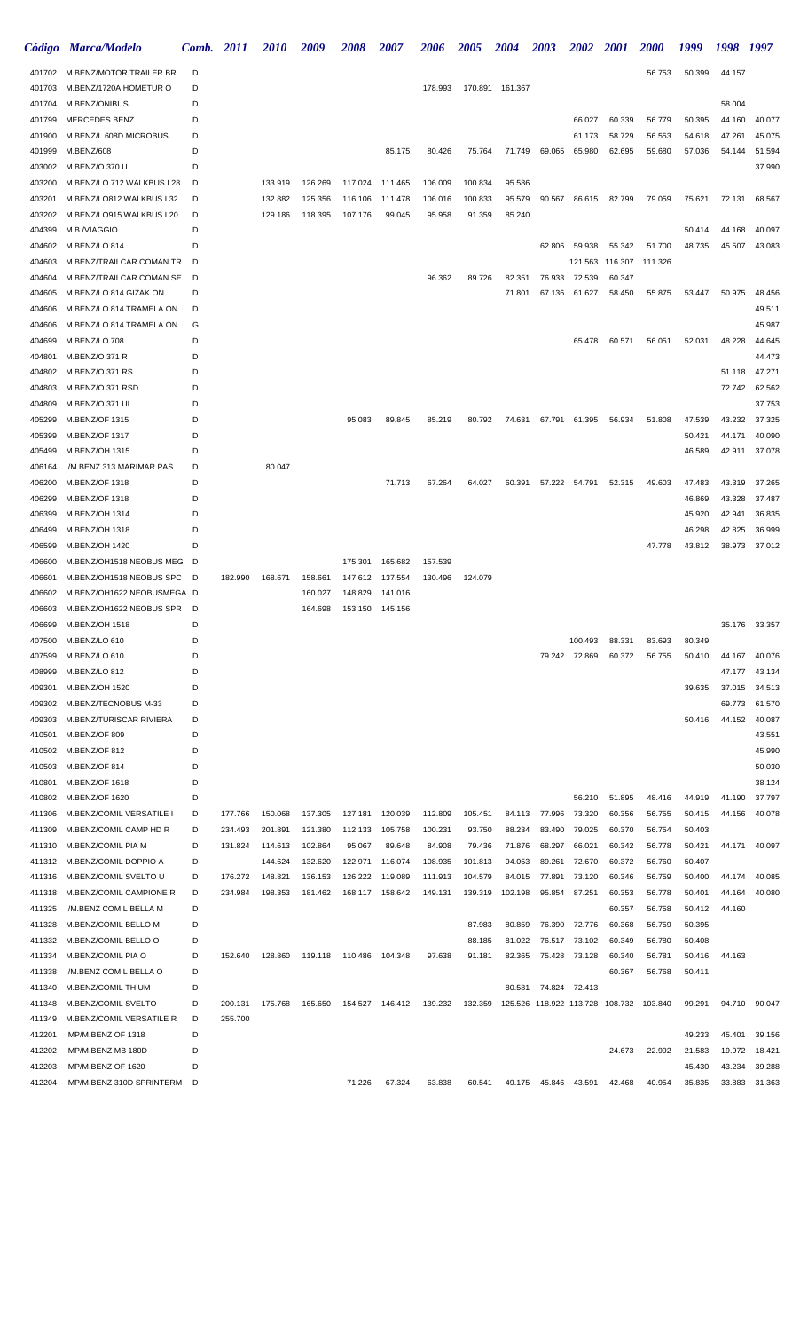|                  | Código Marca/Modelo                       | Comb.  | <b>2011</b> | <i>2010</i> | 2009    | <i><b>2008</b></i>        | 2007            | 2006    | <b>2005</b> | <b>2004</b>      | <b>2003</b>                             | <b>2002</b>   | <b>2001</b>     | <i>2000</i> | 1999             | 1998             | 1997             |
|------------------|-------------------------------------------|--------|-------------|-------------|---------|---------------------------|-----------------|---------|-------------|------------------|-----------------------------------------|---------------|-----------------|-------------|------------------|------------------|------------------|
|                  | 401702 M.BENZ/MOTOR TRAILER BR            | D      |             |             |         |                           |                 |         |             |                  |                                         |               |                 | 56.753      | 50.399           | 44.157           |                  |
| 401703           | M.BENZ/1720A HOMETUR O                    | D      |             |             |         |                           |                 | 178.993 |             | 170.891  161.367 |                                         |               |                 |             |                  |                  |                  |
| 401704           | M.BENZ/ONIBUS                             | D      |             |             |         |                           |                 |         |             |                  |                                         |               |                 |             |                  | 58.004           |                  |
| 401799           | <b>MERCEDES BENZ</b>                      | D      |             |             |         |                           |                 |         |             |                  |                                         | 66.027        | 60.339          | 56.779      | 50.395           | 44.160           | 40.077           |
| 401900           | M.BENZ/L 608D MICROBUS                    | D      |             |             |         |                           |                 |         |             |                  |                                         | 61.173        | 58.729          | 56.553      | 54.618           | 47.261           | 45.075           |
| 401999           | M.BENZ/608                                | D      |             |             |         |                           | 85.175          | 80.426  | 75.764      | 71.749           | 69.065                                  | 65.980        | 62.695          | 59.680      | 57.036           | 54.144           | 51.594           |
| 403002           | M.BENZ/O 370 U                            | D      |             |             |         |                           |                 |         |             |                  |                                         |               |                 |             |                  |                  | 37.990           |
| 403200           | M.BENZ/LO 712 WALKBUS L28                 | D      |             | 133.919     | 126.269 | 117.024                   | 111.465         | 106.009 | 100.834     | 95.586           |                                         |               |                 |             |                  |                  |                  |
| 403201           | M.BENZ/LO812 WALKBUS L32                  | D      |             | 132.882     | 125.356 | 116.106                   | 111.478         | 106.016 | 100.833     | 95.579           | 90.567                                  | 86.615        | 82.799          | 79.059      | 75.621           | 72.131           | 68.567           |
| 403202<br>404399 | M.BENZ/LO915 WALKBUS L20<br>M.B./VIAGGIO  | D<br>D |             | 129.186     | 118.395 | 107.176                   | 99.045          | 95.958  | 91.359      | 85.240           |                                         |               |                 |             | 50.414           | 44.168           | 40.097           |
| 404602           | M.BENZ/LO 814                             | D      |             |             |         |                           |                 |         |             |                  | 62.806                                  | 59.938        | 55.342          | 51.700      | 48.735           | 45.507           | 43.083           |
| 404603           | M.BENZ/TRAILCAR COMAN TR                  | D      |             |             |         |                           |                 |         |             |                  |                                         |               | 121.563 116.307 | 111.326     |                  |                  |                  |
| 404604           | M.BENZ/TRAILCAR COMAN SE                  | D      |             |             |         |                           |                 | 96.362  | 89.726      | 82.351           | 76.933                                  | 72.539        | 60.347          |             |                  |                  |                  |
| 404605           | M.BENZ/LO 814 GIZAK ON                    | D      |             |             |         |                           |                 |         |             | 71.801           | 67.136                                  | 61.627        | 58.450          | 55.875      | 53.447           | 50.975           | 48.456           |
| 404606           | M.BENZ/LO 814 TRAMELA.ON                  | D      |             |             |         |                           |                 |         |             |                  |                                         |               |                 |             |                  |                  | 49.511           |
| 404606           | M.BENZ/LO 814 TRAMELA.ON                  | G      |             |             |         |                           |                 |         |             |                  |                                         |               |                 |             |                  |                  | 45.987           |
| 404699           | M.BENZ/LO 708                             | D      |             |             |         |                           |                 |         |             |                  |                                         | 65.478        | 60.571          | 56.051      | 52.031           | 48.228           | 44.645           |
| 404801           | M.BENZ/O 371 R                            | D      |             |             |         |                           |                 |         |             |                  |                                         |               |                 |             |                  |                  | 44.473           |
| 404802           | M.BENZ/O 371 RS                           | D      |             |             |         |                           |                 |         |             |                  |                                         |               |                 |             |                  | 51.118           | 47.271           |
| 404803           | M.BENZ/O 371 RSD                          | D      |             |             |         |                           |                 |         |             |                  |                                         |               |                 |             |                  | 72.742           | 62.562           |
| 404809           | M.BENZ/O 371 UL                           | D      |             |             |         |                           |                 |         |             |                  |                                         |               |                 |             |                  |                  | 37.753           |
| 405299           | M.BENZ/OF 1315                            | D      |             |             |         | 95.083                    | 89.845          | 85.219  | 80.792      | 74.631           |                                         | 67.791 61.395 | 56.934          | 51.808      | 47.539           | 43.232           | 37.325           |
| 405399           | M.BENZ/OF 1317                            | D      |             |             |         |                           |                 |         |             |                  |                                         |               |                 |             | 50.421           | 44.171           | 40.090           |
| 405499           | M.BENZ/OH 1315                            | D      |             |             |         |                           |                 |         |             |                  |                                         |               |                 |             | 46.589           | 42.911           | 37.078           |
| 406164           | I/M.BENZ 313 MARIMAR PAS                  | D      |             | 80.047      |         |                           |                 |         |             |                  |                                         |               |                 |             |                  |                  |                  |
| 406200<br>406299 | M.BENZ/OF 1318<br>M.BENZ/OF 1318          | D<br>D |             |             |         |                           | 71.713          | 67.264  | 64.027      | 60.391           |                                         | 57.222 54.791 | 52.315          | 49.603      | 47.483<br>46.869 | 43.319<br>43.328 | 37.265<br>37.487 |
| 406399           | M.BENZ/OH 1314                            | D      |             |             |         |                           |                 |         |             |                  |                                         |               |                 |             | 45.920           | 42.941           | 36.835           |
| 406499           | M.BENZ/OH 1318                            | D      |             |             |         |                           |                 |         |             |                  |                                         |               |                 |             | 46.298           | 42.825           | 36.999           |
| 406599           | M.BENZ/OH 1420                            | D      |             |             |         |                           |                 |         |             |                  |                                         |               |                 | 47.778      | 43.812           | 38.973           | 37.012           |
| 406600           | M.BENZ/OH1518 NEOBUS MEG D                |        |             |             |         | 175.301                   | 165.682         | 157.539 |             |                  |                                         |               |                 |             |                  |                  |                  |
| 406601           | M.BENZ/OH1518 NEOBUS SPC                  | - D    | 182.990     | 168.671     | 158.661 | 147.612                   | 137.554         | 130.496 | 124.079     |                  |                                         |               |                 |             |                  |                  |                  |
| 406602           | M.BENZ/OH1622 NEOBUSMEGA D                |        |             |             | 160.027 | 148.829                   | 141.016         |         |             |                  |                                         |               |                 |             |                  |                  |                  |
| 406603           | M.BENZ/OH1622 NEOBUS SPR                  | - D    |             |             | 164.698 | 153.150                   | 145.156         |         |             |                  |                                         |               |                 |             |                  |                  |                  |
| 406699           | M.BENZ/OH 1518                            | D      |             |             |         |                           |                 |         |             |                  |                                         |               |                 |             |                  | 35.176           | 33.357           |
| 407500           | M.BENZ/LO 610                             | D      |             |             |         |                           |                 |         |             |                  |                                         | 100.493       | 88.331          | 83.693      | 80.349           |                  |                  |
| 407599           | M.BENZ/LO 610                             | D      |             |             |         |                           |                 |         |             |                  |                                         | 79.242 72.869 | 60.372          | 56.755      | 50.410           | 44.167           | 40.076           |
| 408999           | M.BENZ/LO 812                             | D      |             |             |         |                           |                 |         |             |                  |                                         |               |                 |             |                  | 47.177           | 43.134           |
| 409301           | M.BENZ/OH 1520                            | D      |             |             |         |                           |                 |         |             |                  |                                         |               |                 |             | 39.635           | 37.015           | 34.513           |
| 409302           | M.BENZ/TECNOBUS M-33                      | D      |             |             |         |                           |                 |         |             |                  |                                         |               |                 |             |                  | 69.773           | 61.570           |
| 409303<br>410501 | M.BENZ/TURISCAR RIVIERA<br>M.BENZ/OF 809  | D<br>D |             |             |         |                           |                 |         |             |                  |                                         |               |                 |             | 50.416           | 44.152           | 40.087<br>43.551 |
| 410502           | M.BENZ/OF 812                             | D      |             |             |         |                           |                 |         |             |                  |                                         |               |                 |             |                  |                  | 45.990           |
| 410503           | M.BENZ/OF 814                             | D      |             |             |         |                           |                 |         |             |                  |                                         |               |                 |             |                  |                  | 50.030           |
| 410801           | M.BENZ/OF 1618                            | D      |             |             |         |                           |                 |         |             |                  |                                         |               |                 |             |                  |                  | 38.124           |
| 410802           | M.BENZ/OF 1620                            | D      |             |             |         |                           |                 |         |             |                  |                                         | 56.210        | 51.895          | 48.416      | 44.919           | 41.190           | 37.797           |
| 411306           | M.BENZ/COMIL VERSATILE I                  | D      | 177.766     | 150.068     | 137.305 | 127.181                   | 120.039         | 112.809 | 105.451     | 84.113           | 77.996                                  | 73.320        | 60.356          | 56.755      | 50.415           | 44.156           | 40.078           |
| 411309           | M.BENZ/COMIL CAMP HD R                    | D      | 234.493     | 201.891     | 121.380 | 112.133                   | 105.758         | 100.231 | 93.750      | 88.234           | 83.490                                  | 79.025        | 60.370          | 56.754      | 50.403           |                  |                  |
| 411310           | M.BENZ/COMIL PIA M                        | D      | 131.824     | 114.613     | 102.864 | 95.067                    | 89.648          | 84.908  | 79.436      | 71.876           | 68.297                                  | 66.021        | 60.342          | 56.778      | 50.421           | 44.171           | 40.097           |
|                  | 411312 M.BENZ/COMIL DOPPIO A              | D      |             | 144.624     | 132.620 | 122.971                   | 116.074         | 108.935 | 101.813     | 94.053           | 89.261                                  | 72.670        | 60.372          | 56.760      | 50.407           |                  |                  |
| 411316           | M.BENZ/COMIL SVELTO U                     | D      | 176.272     | 148.821     | 136.153 | 126.222                   | 119.089         | 111.913 | 104.579     | 84.015           | 77.891                                  | 73.120        | 60.346          | 56.759      | 50.400           | 44.174           | 40.085           |
| 411318           | M.BENZ/COMIL CAMPIONE R                   | D      | 234.984     | 198.353     | 181.462 | 168.117                   | 158.642         | 149.131 | 139.319     | 102.198          | 95.854                                  | 87.251        | 60.353          | 56.778      | 50.401           | 44.164           | 40.080           |
| 411325           | I/M.BENZ COMIL BELLA M                    | D      |             |             |         |                           |                 |         |             |                  |                                         |               | 60.357          | 56.758      | 50.412           | 44.160           |                  |
| 411328           | M.BENZ/COMIL BELLO M                      | D      |             |             |         |                           |                 |         | 87.983      | 80.859           | 76.390                                  | 72.776        | 60.368          | 56.759      | 50.395           |                  |                  |
| 411332           | M.BENZ/COMIL BELLO O                      | D      |             |             |         |                           |                 |         | 88.185      | 81.022           |                                         | 76.517 73.102 | 60.349          | 56.780      | 50.408           |                  |                  |
| 411334           | M.BENZ/COMIL PIA O                        | D      | 152.640     | 128.860     |         | 119.118  110.486  104.348 |                 | 97.638  | 91.181      | 82.365           | 75.428                                  | 73.128        | 60.340          | 56.781      | 50.416           | 44.163           |                  |
| 411338           | I/M.BENZ COMIL BELLA O                    | D      |             |             |         |                           |                 |         |             |                  |                                         |               | 60.367          | 56.768      | 50.411           |                  |                  |
| 411340<br>411348 | M.BENZ/COMIL TH UM<br>M.BENZ/COMIL SVELTO | D<br>D | 200.131     | 175.768     | 165.650 |                           | 154.527 146.412 | 139.232 | 132.359     | 80.581           | 125.526 118.922 113.728 108.732 103.840 | 74.824 72.413 |                 |             | 99.291           | 94.710           | 90.047           |
| 411349           | M.BENZ/COMIL VERSATILE R                  | D      | 255.700     |             |         |                           |                 |         |             |                  |                                         |               |                 |             |                  |                  |                  |
| 412201           | IMP/M.BENZ OF 1318                        | D      |             |             |         |                           |                 |         |             |                  |                                         |               |                 |             | 49.233           | 45.401           | 39.156           |
| 412202           | IMP/M.BENZ MB 180D                        | D      |             |             |         |                           |                 |         |             |                  |                                         |               | 24.673          | 22.992      | 21.583           | 19.972           | 18.421           |
| 412203           | IMP/M.BENZ OF 1620                        | D      |             |             |         |                           |                 |         |             |                  |                                         |               |                 |             | 45.430           | 43.234           | 39.288           |
| 412204           | IMP/M.BENZ 310D SPRINTERM                 | D      |             |             |         | 71.226                    | 67.324          | 63.838  | 60.541      | 49.175           | 45.846                                  | 43.591        | 42.468          | 40.954      | 35.835           | 33.883           | 31.363           |
|                  |                                           |        |             |             |         |                           |                 |         |             |                  |                                         |               |                 |             |                  |                  |                  |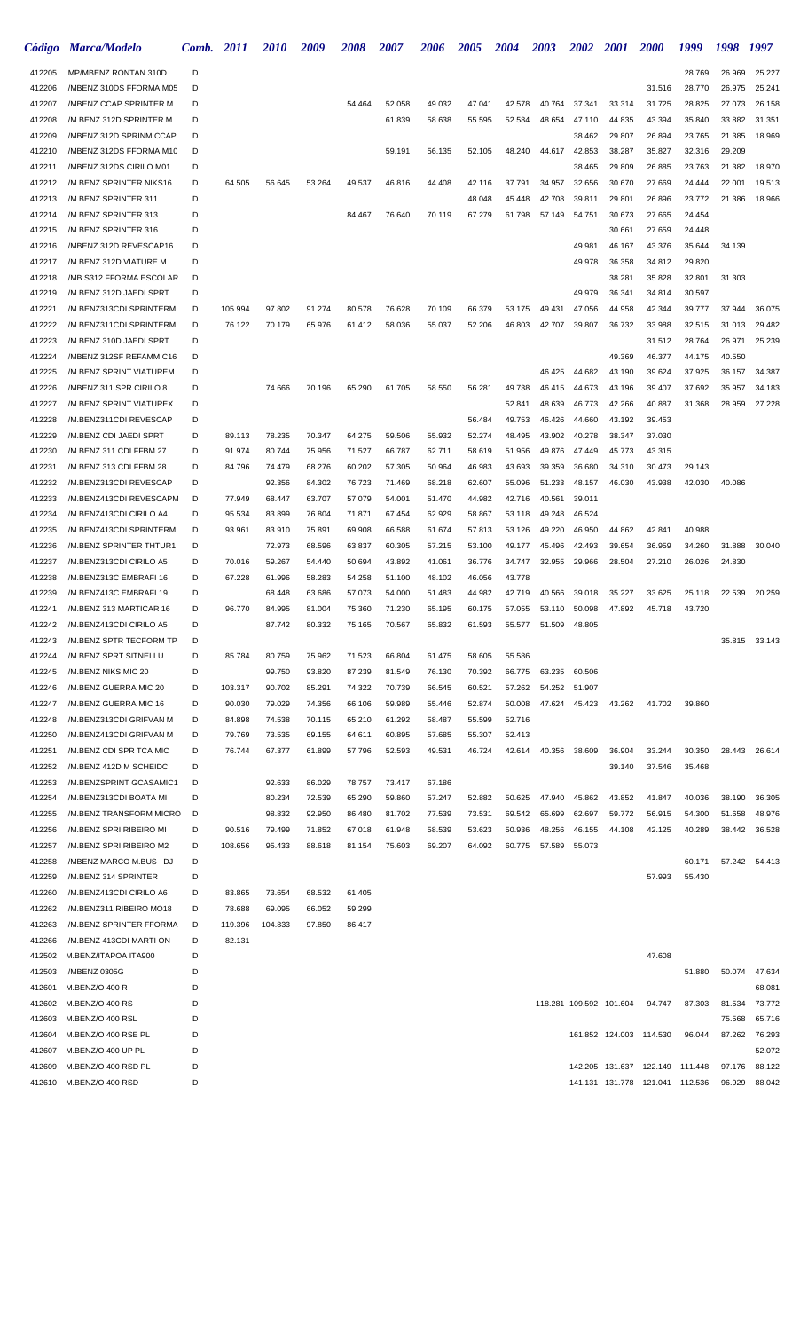| Código           | <b>Marca/Modelo</b>                                  | Comb.  | 2011             | <i>2010</i>      | 2009             | <i><b>2008</b></i> | <i><b>2007</b></i> | <i><b>2006</b></i> | 2005             | <b>2004</b>      | 2003             | <b>2002</b>             | <b>2001</b>      | <i><b>2000</b></i>              | 1999             | 1998             | 1997             |
|------------------|------------------------------------------------------|--------|------------------|------------------|------------------|--------------------|--------------------|--------------------|------------------|------------------|------------------|-------------------------|------------------|---------------------------------|------------------|------------------|------------------|
| 412205           | IMP/MBENZ RONTAN 310D                                | D      |                  |                  |                  |                    |                    |                    |                  |                  |                  |                         |                  |                                 | 28.769           | 26.969           | 25.227           |
| 412206           | I/MBENZ 310DS FFORMA M05                             | D      |                  |                  |                  |                    |                    |                    |                  |                  |                  |                         |                  | 31.516                          | 28.770           | 26.975           | 25.241           |
| 412207           | I/MBENZ CCAP SPRINTER M                              | D      |                  |                  |                  | 54.464             | 52.058             | 49.032             | 47.041           | 42.578           | 40.764           | 37.341                  | 33.314           | 31.725                          | 28.825           | 27.073           | 26.158           |
| 412208           | I/M.BENZ 312D SPRINTER M                             | D      |                  |                  |                  |                    | 61.839             | 58.638             | 55.595           | 52.584           | 48.654           | 47.110                  | 44.835           | 43.394                          | 35.840           | 33.882           | 31.351           |
| 412209           | I/MBENZ 312D SPRINM CCAP                             | D      |                  |                  |                  |                    |                    |                    |                  |                  |                  | 38.462                  | 29.807           | 26.894                          | 23.765           | 21.385           | 18.969           |
| 412210           | I/MBENZ 312DS FFORMA M10                             | D      |                  |                  |                  |                    | 59.191             | 56.135             | 52.105           | 48.240           | 44.617           | 42.853                  | 38.287           | 35.827                          | 32.316           | 29.209           |                  |
| 412211           | I/MBENZ 312DS CIRILO M01                             | D      |                  |                  |                  |                    |                    |                    |                  |                  |                  | 38.465                  | 29.809           | 26.885                          | 23.763           | 21.382           | 18.970           |
| 412212           | I/M.BENZ SPRINTER NIKS16                             | D      | 64.505           | 56.645           | 53.264           | 49.537             | 46.816             | 44.408             | 42.116           | 37.791           | 34.957           | 32.656                  | 30.670           | 27.669                          | 24.444           | 22.001           | 19.513           |
| 412213           | I/M.BENZ SPRINTER 311                                | D      |                  |                  |                  |                    |                    |                    | 48.048           | 45.448           | 42.708           | 39.811                  | 29.801           | 26.896                          | 23.772           | 21.386           | 18.966           |
| 412214           | I/M.BENZ SPRINTER 313<br>I/M.BENZ SPRINTER 316       | D<br>D |                  |                  |                  | 84.467             | 76.640             | 70.119             | 67.279           | 61.798           | 57.149           | 54.751                  | 30.673           | 27.665<br>27.659                | 24.454           |                  |                  |
| 412215<br>412216 | I/MBENZ 312D REVESCAP16                              | D      |                  |                  |                  |                    |                    |                    |                  |                  |                  | 49.981                  | 30.661<br>46.167 | 43.376                          | 24.448<br>35.644 | 34.139           |                  |
| 412217           | I/M.BENZ 312D VIATURE M                              | D      |                  |                  |                  |                    |                    |                    |                  |                  |                  | 49.978                  | 36.358           | 34.812                          | 29.820           |                  |                  |
| 412218           | I/MB S312 FFORMA ESCOLAR                             | D      |                  |                  |                  |                    |                    |                    |                  |                  |                  |                         | 38.281           | 35.828                          | 32.801           | 31.303           |                  |
| 412219           | I/M.BENZ 312D JAEDI SPRT                             | D      |                  |                  |                  |                    |                    |                    |                  |                  |                  | 49.979                  | 36.341           | 34.814                          | 30.597           |                  |                  |
| 412221           | I/M.BENZ313CDI SPRINTERM                             | D      | 105.994          | 97.802           | 91.274           | 80.578             | 76.628             | 70.109             | 66.379           | 53.175           | 49.431           | 47.056                  | 44.958           | 42.344                          | 39.777           | 37.944           | 36.075           |
| 412222           | I/M.BENZ311CDI SPRINTERM                             | D      | 76.122           | 70.179           | 65.976           | 61.412             | 58.036             | 55.037             | 52.206           | 46.803           | 42.707           | 39.807                  | 36.732           | 33.988                          | 32.515           | 31.013           | 29.482           |
| 412223           | I/M.BENZ 310D JAEDI SPRT                             | D      |                  |                  |                  |                    |                    |                    |                  |                  |                  |                         |                  | 31.512                          | 28.764           | 26.971           | 25.239           |
| 412224           | I/MBENZ 312SF REFAMMIC16                             | D      |                  |                  |                  |                    |                    |                    |                  |                  |                  |                         | 49.369           | 46.377                          | 44.175           | 40.550           |                  |
| 412225           | I/M.BENZ SPRINT VIATUREM                             | D      |                  |                  |                  |                    |                    |                    |                  |                  | 46.425           | 44.682                  | 43.190           | 39.624                          | 37.925           | 36.157           | 34.387           |
| 412226           | I/MBENZ 311 SPR CIRILO 8                             | D      |                  | 74.666           | 70.196           | 65.290             | 61.705             | 58.550             | 56.281           | 49.738           | 46.415           | 44.673                  | 43.196           | 39.407                          | 37.692           | 35.957           | 34.183           |
| 412227           | I/M.BENZ SPRINT VIATUREX                             | D      |                  |                  |                  |                    |                    |                    |                  | 52.841           | 48.639           | 46.773                  | 42.266           | 40.887                          | 31.368           | 28.959           | 27.228           |
| 412228           | I/M.BENZ311CDI REVESCAP                              | D      |                  |                  |                  |                    |                    |                    | 56.484           | 49.753           | 46.426           | 44.660                  | 43.192           | 39.453                          |                  |                  |                  |
| 412229           | I/M.BENZ CDI JAEDI SPRT                              | D      | 89.113           | 78.235           | 70.347           | 64.275             | 59.506             | 55.932             | 52.274           | 48.495           | 43.902           | 40.278                  | 38.347           | 37.030                          |                  |                  |                  |
| 412230           | I/M.BENZ 311 CDI FFBM 27                             | D      | 91.974           | 80.744           | 75.956           | 71.527             | 66.787             | 62.711             | 58.619           | 51.956           | 49.876           | 47.449                  | 45.773           | 43.315                          |                  |                  |                  |
| 412231           | I/M.BENZ 313 CDI FFBM 28                             | D      | 84.796           | 74.479           | 68.276           | 60.202             | 57.305             | 50.964             | 46.983           | 43.693           | 39.359           | 36.680                  | 34.310           | 30.473                          | 29.143           |                  |                  |
| 412232           | I/M.BENZ313CDI REVESCAP                              | D      |                  | 92.356           | 84.302           | 76.723             | 71.469             | 68.218             | 62.607           | 55.096           | 51.233           | 48.157                  | 46.030           | 43.938                          | 42.030           | 40.086           |                  |
| 412233           | I/M.BENZ413CDI REVESCAPM                             | D      | 77.949           | 68.447           | 63.707           | 57.079             | 54.001             | 51.470             | 44.982           | 42.716           | 40.561           | 39.011                  |                  |                                 |                  |                  |                  |
| 412234<br>412235 | I/M.BENZ413CDI CIRILO A4<br>I/M.BENZ413CDI SPRINTERM | D<br>D | 95.534<br>93.961 | 83.899<br>83.910 | 76.804<br>75.891 | 71.871<br>69.908   | 67.454<br>66.588   | 62.929<br>61.674   | 58.867<br>57.813 | 53.118<br>53.126 | 49.248           | 46.524<br>46.950        | 44.862           | 42.841                          |                  |                  |                  |
| 412236           | I/M.BENZ SPRINTER THTUR1                             | D      |                  | 72.973           | 68.596           | 63.837             | 60.305             | 57.215             | 53.100           | 49.177           | 49.220<br>45.496 | 42.493                  | 39.654           | 36.959                          | 40.988<br>34.260 | 31.888           | 30.040           |
| 412237           | I/M.BENZ313CDI CIRILO A5                             | D      | 70.016           | 59.267           | 54.440           | 50.694             | 43.892             | 41.061             | 36.776           | 34.747           | 32.955           | 29.966                  | 28.504           | 27.210                          | 26.026           | 24.830           |                  |
| 412238           | I/M.BENZ313C EMBRAFI 16                              | D      | 67.228           | 61.996           | 58.283           | 54.258             | 51.100             | 48.102             | 46.056           | 43.778           |                  |                         |                  |                                 |                  |                  |                  |
| 412239           | I/M.BENZ413C EMBRAFI 19                              | D      |                  | 68.448           | 63.686           | 57.073             | 54.000             | 51.483             | 44.982           | 42.719           | 40.566           | 39.018                  | 35.227           | 33.625                          | 25.118           | 22.539           | 20.259           |
| 412241           | I/M.BENZ 313 MARTICAR 16                             | D      | 96.770           | 84.995           | 81.004           | 75.360             | 71.230             | 65.195             | 60.175           | 57.055           | 53.110           | 50.098                  | 47.892           | 45.718                          | 43.720           |                  |                  |
| 412242           | I/M.BENZ413CDI CIRILO A5                             | D      |                  | 87.742           | 80.332           | 75.165             | 70.567             | 65.832             | 61.593           | 55.577           | 51.509           | 48.805                  |                  |                                 |                  |                  |                  |
| 412243           | I/M.BENZ SPTR TECFORM TP                             | D      |                  |                  |                  |                    |                    |                    |                  |                  |                  |                         |                  |                                 |                  |                  | 35.815 33.143    |
| 412244           | I/M.BENZ SPRT SITNEI LU                              | D      | 85.784           | 80.759           | 75.962           | 71.523             | 66.804             | 61.475             | 58.605           | 55.586           |                  |                         |                  |                                 |                  |                  |                  |
| 412245           | I/M.BENZ NIKS MIC 20                                 | D      |                  | 99.750           | 93.820           | 87.239             | 81.549             | 76.130             | 70.392           | 66.775           |                  | 63.235 60.506           |                  |                                 |                  |                  |                  |
| 412246           | I/M.BENZ GUERRA MIC 20                               | D      | 103.317          | 90.702           | 85.291           | 74.322             | 70.739             | 66.545             | 60.521           | 57.262           |                  | 54.252 51.907           |                  |                                 |                  |                  |                  |
| 412247           | I/M.BENZ GUERRA MIC 16                               | D      | 90.030           | 79.029           | 74.356           | 66.106             | 59.989             | 55.446             | 52.874           | 50.008           | 47.624           | 45.423                  | 43.262           | 41.702                          | 39.860           |                  |                  |
| 412248           | I/M.BENZ313CDI GRIFVAN M                             | D      | 84.898           | 74.538           | 70.115           | 65.210             | 61.292             | 58.487             | 55.599           | 52.716           |                  |                         |                  |                                 |                  |                  |                  |
| 412250           | I/M.BENZ413CDI GRIFVAN M                             | D      | 79.769           | 73.535           | 69.155           | 64.611             | 60.895             | 57.685             | 55.307           | 52.413           |                  |                         |                  |                                 |                  |                  |                  |
| 412251           | I/M.BENZ CDI SPR TCA MIC                             | D      | 76.744           | 67.377           | 61.899           | 57.796             | 52.593             | 49.531             | 46.724           | 42.614           | 40.356           | 38.609                  | 36.904           | 33.244                          | 30.350           |                  | 28.443 26.614    |
| 412252           | I/M.BENZ 412D M SCHEIDC                              | D      |                  |                  |                  |                    |                    |                    |                  |                  |                  |                         | 39.140           | 37.546                          | 35.468           |                  |                  |
| 412253           | I/M.BENZSPRINT GCASAMIC1                             | D      |                  | 92.633           | 86.029           | 78.757             | 73.417             | 67.186             |                  |                  |                  |                         |                  |                                 |                  |                  |                  |
| 412254           | I/M.BENZ313CDI BOATA MI                              | D      |                  | 80.234           | 72.539           | 65.290             | 59.860             | 57.247             | 52.882           | 50.625           | 47.940           | 45.862                  | 43.852           | 41.847                          | 40.036           | 38.190           | 36.305           |
| 412255<br>412256 | I/M.BENZ TRANSFORM MICRO<br>I/M.BENZ SPRI RIBEIRO MI | D<br>D | 90.516           | 98.832<br>79.499 | 92.950<br>71.852 | 86.480<br>67.018   | 81.702<br>61.948   | 77.539<br>58.539   | 73.531<br>53.623 | 69.542<br>50.936 | 65.699<br>48.256 | 62.697<br>46.155        | 59.772<br>44.108 | 56.915<br>42.125                | 54.300<br>40.289 | 51.658<br>38.442 | 48.976<br>36.528 |
| 412257           | I/M.BENZ SPRI RIBEIRO M2                             | D      | 108.656          | 95.433           | 88.618           | 81.154             | 75.603             | 69.207             | 64.092           | 60.775           | 57.589           | 55.073                  |                  |                                 |                  |                  |                  |
| 412258           | I/MBENZ MARCO M.BUS DJ                               | D      |                  |                  |                  |                    |                    |                    |                  |                  |                  |                         |                  |                                 | 60.171           | 57.242           | 54.413           |
| 412259           | I/M.BENZ 314 SPRINTER                                | D      |                  |                  |                  |                    |                    |                    |                  |                  |                  |                         |                  | 57.993                          | 55.430           |                  |                  |
| 412260           | I/M.BENZ413CDI CIRILO A6                             | D      | 83.865           | 73.654           | 68.532           | 61.405             |                    |                    |                  |                  |                  |                         |                  |                                 |                  |                  |                  |
| 412262           | I/M.BENZ311 RIBEIRO MO18                             | D      | 78.688           | 69.095           | 66.052           | 59.299             |                    |                    |                  |                  |                  |                         |                  |                                 |                  |                  |                  |
| 412263           | I/M.BENZ SPRINTER FFORMA                             | D      | 119.396          | 104.833          | 97.850           | 86.417             |                    |                    |                  |                  |                  |                         |                  |                                 |                  |                  |                  |
| 412266           | I/M.BENZ 413CDI MARTI ON                             | D      | 82.131           |                  |                  |                    |                    |                    |                  |                  |                  |                         |                  |                                 |                  |                  |                  |
| 412502           | M.BENZ/ITAPOA ITA900                                 | D      |                  |                  |                  |                    |                    |                    |                  |                  |                  |                         |                  | 47.608                          |                  |                  |                  |
| 412503           | I/MBENZ 0305G                                        | D      |                  |                  |                  |                    |                    |                    |                  |                  |                  |                         |                  |                                 | 51.880           | 50.074           | 47.634           |
| 412601           | M.BENZ/O 400 R                                       | D      |                  |                  |                  |                    |                    |                    |                  |                  |                  |                         |                  |                                 |                  |                  | 68.081           |
| 412602           | M.BENZ/O 400 RS                                      | D      |                  |                  |                  |                    |                    |                    |                  |                  |                  | 118.281 109.592 101.604 |                  | 94.747                          | 87.303           | 81.534           | 73.772           |
| 412603           | M.BENZ/O 400 RSL                                     | D      |                  |                  |                  |                    |                    |                    |                  |                  |                  |                         |                  |                                 |                  | 75.568           | 65.716           |
| 412604           | M.BENZ/O 400 RSE PL                                  | D      |                  |                  |                  |                    |                    |                    |                  |                  |                  |                         |                  | 161.852 124.003 114.530         | 96.044           | 87.262           | 76.293           |
| 412607           | M.BENZ/O 400 UP PL                                   | D      |                  |                  |                  |                    |                    |                    |                  |                  |                  |                         |                  |                                 |                  |                  | 52.072           |
| 412609           | M.BENZ/O 400 RSD PL                                  | D      |                  |                  |                  |                    |                    |                    |                  |                  |                  |                         |                  | 142.205 131.637 122.149         | 111.448          | 97.176           | 88.122           |
|                  | 412610 M.BENZ/O 400 RSD                              | D      |                  |                  |                  |                    |                    |                    |                  |                  |                  |                         |                  | 141.131 131.778 121.041 112.536 |                  | 96.929           | 88.042           |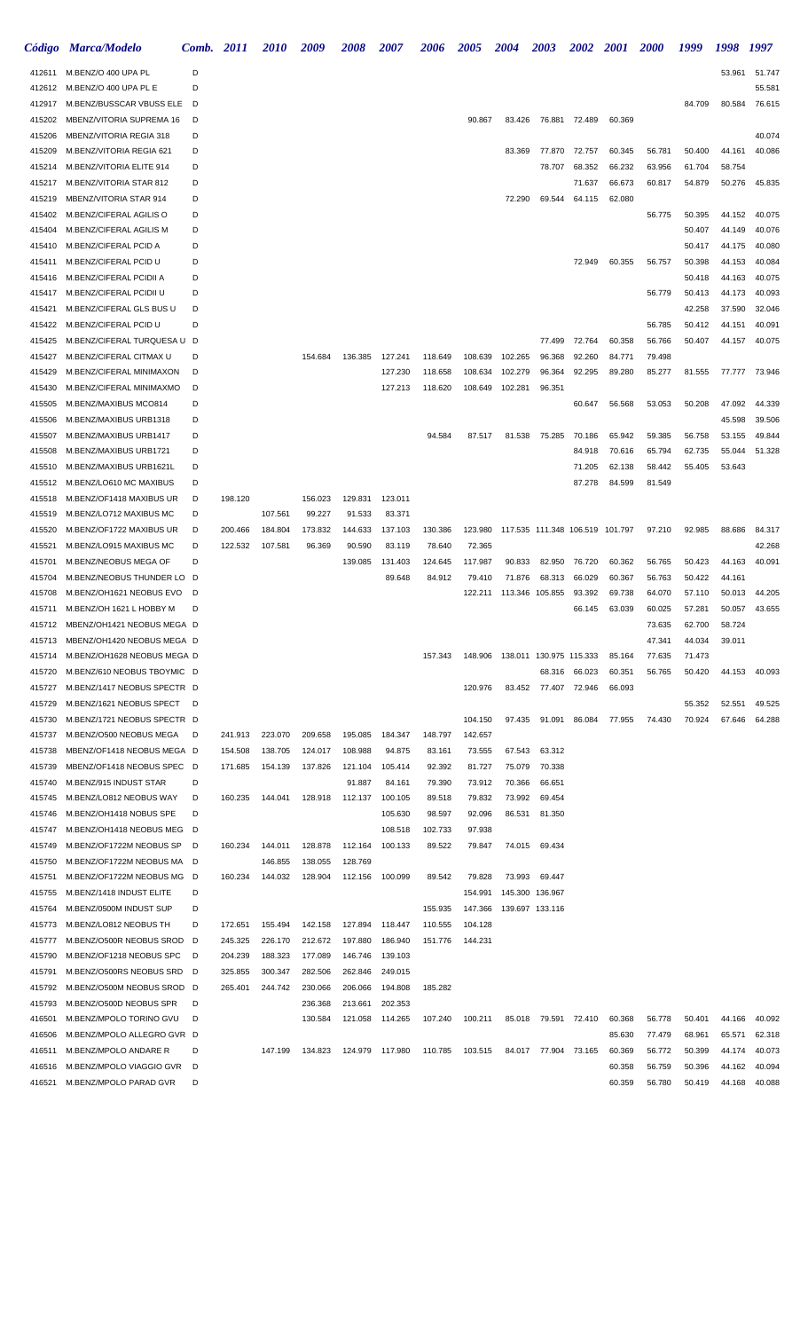| <i><b>Código</b></i> | <b>Marca/Modelo</b>                                    | <b>Comb.</b> 2011 |         | <i>2010</i> | 2009               | 2008               | <i><b>2007</b></i> | 2006    | <i><b>2005</b></i> | 2004    | <b>2003</b>                     | <b>2002</b> | <i>2001</i> | <b>2000</b> | 1999             | 1998             | 1997             |
|----------------------|--------------------------------------------------------|-------------------|---------|-------------|--------------------|--------------------|--------------------|---------|--------------------|---------|---------------------------------|-------------|-------------|-------------|------------------|------------------|------------------|
| 412611               | M.BENZ/O 400 UPA PL                                    | D                 |         |             |                    |                    |                    |         |                    |         |                                 |             |             |             |                  | 53.961           | 51.747           |
| 412612               | M.BENZ/O 400 UPA PL E                                  | D                 |         |             |                    |                    |                    |         |                    |         |                                 |             |             |             |                  |                  | 55.581           |
| 412917               | M.BENZ/BUSSCAR VBUSS ELE                               | D                 |         |             |                    |                    |                    |         |                    |         |                                 |             |             |             | 84.709           | 80.584           | 76.615           |
| 415202               | MBENZ/VITORIA SUPREMA 16                               | D                 |         |             |                    |                    |                    |         | 90.867             | 83.426  | 76.881                          | 72.489      | 60.369      |             |                  |                  |                  |
| 415206               | MBENZ/VITORIA REGIA 318                                | D                 |         |             |                    |                    |                    |         |                    |         |                                 |             |             |             |                  |                  | 40.074           |
| 415209               | M.BENZ/VITORIA REGIA 621                               | D                 |         |             |                    |                    |                    |         |                    | 83.369  | 77.870                          | 72.757      | 60.345      | 56.781      | 50.400           | 44.161           | 40.086           |
| 415214               | M.BENZ/VITORIA ELITE 914                               | D                 |         |             |                    |                    |                    |         |                    |         | 78.707                          | 68.352      | 66.232      | 63.956      | 61.704           | 58.754           |                  |
| 415217               | M.BENZ/VITORIA STAR 812                                | D                 |         |             |                    |                    |                    |         |                    |         |                                 | 71.637      | 66.673      | 60.817      | 54.879           | 50.276           | 45.835           |
| 415219               | MBENZ/VITORIA STAR 914                                 | D                 |         |             |                    |                    |                    |         |                    | 72.290  | 69.544                          | 64.115      | 62.080      |             |                  |                  |                  |
| 415402               | M.BENZ/CIFERAL AGILIS O                                | D                 |         |             |                    |                    |                    |         |                    |         |                                 |             |             | 56.775      | 50.395           | 44.152           | 40.075           |
| 415404               | M.BENZ/CIFERAL AGILIS M                                | D                 |         |             |                    |                    |                    |         |                    |         |                                 |             |             |             | 50.407           | 44.149           | 40.076           |
| 415410               | M.BENZ/CIFERAL PCID A                                  | D                 |         |             |                    |                    |                    |         |                    |         |                                 |             |             |             | 50.417           | 44.175           | 40.080           |
| 415411               | M.BENZ/CIFERAL PCID U                                  | D                 |         |             |                    |                    |                    |         |                    |         |                                 | 72.949      | 60.355      | 56.757      | 50.398           | 44.153           | 40.084           |
| 415416<br>415417     | M.BENZ/CIFERAL PCIDII A                                | D<br>D            |         |             |                    |                    |                    |         |                    |         |                                 |             |             |             | 50.418           | 44.163<br>44.173 | 40.075<br>40.093 |
| 415421               | M.BENZ/CIFERAL PCIDII U<br>M.BENZ/CIFERAL GLS BUS U    | D                 |         |             |                    |                    |                    |         |                    |         |                                 |             |             | 56.779      | 50.413<br>42.258 | 37.590           | 32.046           |
| 415422               | M.BENZ/CIFERAL PCID U                                  | D                 |         |             |                    |                    |                    |         |                    |         |                                 |             |             | 56.785      | 50.412           | 44.151           | 40.091           |
| 415425               | M.BENZ/CIFERAL TURQUESA U                              | - D               |         |             |                    |                    |                    |         |                    |         | 77.499                          | 72.764      | 60.358      | 56.766      | 50.407           | 44.157           | 40.075           |
| 415427               | M.BENZ/CIFERAL CITMAX U                                | D                 |         |             | 154.684            | 136.385            | 127.241            | 118.649 | 108.639            | 102.265 | 96.368                          | 92.260      | 84.771      | 79.498      |                  |                  |                  |
| 415429               | M.BENZ/CIFERAL MINIMAXON                               | D                 |         |             |                    |                    | 127.230            | 118.658 | 108.634            | 102.279 | 96.364                          | 92.295      | 89.280      | 85.277      | 81.555           | 77.777           | 73.946           |
| 415430               | M.BENZ/CIFERAL MINIMAXMO                               | D                 |         |             |                    |                    | 127.213            | 118.620 | 108.649            | 102.281 | 96.351                          |             |             |             |                  |                  |                  |
| 415505               | M.BENZ/MAXIBUS MCO814                                  | D                 |         |             |                    |                    |                    |         |                    |         |                                 | 60.647      | 56.568      | 53.053      | 50.208           | 47.092           | 44.339           |
| 415506               | M.BENZ/MAXIBUS URB1318                                 | D                 |         |             |                    |                    |                    |         |                    |         |                                 |             |             |             |                  | 45.598           | 39.506           |
| 415507               | M.BENZ/MAXIBUS URB1417                                 | D                 |         |             |                    |                    |                    | 94.584  | 87.517             | 81.538  | 75.285                          | 70.186      | 65.942      | 59.385      | 56.758           | 53.155           | 49.844           |
| 415508               | M.BENZ/MAXIBUS URB1721                                 | D                 |         |             |                    |                    |                    |         |                    |         |                                 | 84.918      | 70.616      | 65.794      | 62.735           | 55.044           | 51.328           |
| 415510               | M.BENZ/MAXIBUS URB1621L                                | D                 |         |             |                    |                    |                    |         |                    |         |                                 | 71.205      | 62.138      | 58.442      | 55.405           | 53.643           |                  |
| 415512               | M.BENZ/LO610 MC MAXIBUS                                | D                 |         |             |                    |                    |                    |         |                    |         |                                 | 87.278      | 84.599      | 81.549      |                  |                  |                  |
| 415518               | M.BENZ/OF1418 MAXIBUS UR                               | D                 | 198.120 |             | 156.023            | 129.831            | 123.011            |         |                    |         |                                 |             |             |             |                  |                  |                  |
| 415519               | M.BENZ/LO712 MAXIBUS MC                                | D                 |         | 107.561     | 99.227             | 91.533             | 83.371             |         |                    |         |                                 |             |             |             |                  |                  |                  |
| 415520               | M.BENZ/OF1722 MAXIBUS UR                               | D                 | 200.466 | 184.804     | 173.832            | 144.633            | 137.103            | 130.386 | 123.980            |         | 117.535 111.348 106.519 101.797 |             |             | 97.210      | 92.985           | 88.686           | 84.317           |
| 415521               | M.BENZ/LO915 MAXIBUS MC                                | D                 | 122.532 | 107.581     | 96.369             | 90.590             | 83.119             | 78.640  | 72.365             |         |                                 |             |             |             |                  |                  | 42.268           |
| 415701               | M.BENZ/NEOBUS MEGA OF                                  | D                 |         |             |                    | 139.085            | 131.403            | 124.645 | 117.987            | 90.833  | 82.950                          | 76.720      | 60.362      | 56.765      | 50.423           | 44.163           | 40.091           |
| 415704               | M.BENZ/NEOBUS THUNDER LO D                             |                   |         |             |                    |                    | 89.648             | 84.912  | 79.410             | 71.876  | 68.313                          | 66.029      | 60.367      | 56.763      | 50.422           | 44.161           |                  |
| 415708               | M.BENZ/OH1621 NEOBUS EVO                               | D                 |         |             |                    |                    |                    |         | 122.211            |         | 113.346 105.855                 | 93.392      | 69.738      | 64.070      | 57.110           | 50.013           | 44.205           |
| 415711               | M.BENZ/OH 1621 L HOBBY M                               | D                 |         |             |                    |                    |                    |         |                    |         |                                 | 66.145      | 63.039      | 60.025      | 57.281           | 50.057           | 43.655           |
| 415712               | MBENZ/OH1421 NEOBUS MEGA D                             |                   |         |             |                    |                    |                    |         |                    |         |                                 |             |             | 73.635      | 62.700           | 58.724           |                  |
| 415713               | MBENZ/OH1420 NEOBUS MEGA D                             |                   |         |             |                    |                    |                    |         |                    |         |                                 |             |             | 47.341      | 44.034           | 39.011           |                  |
| 415714               | M.BENZ/OH1628 NEOBUS MEGA D                            |                   |         |             |                    |                    |                    | 157.343 | 148.906            |         | 138.011 130.975 115.333         |             | 85.164      | 77.635      | 71.473           |                  |                  |
| 415720               | M.BENZ/610 NEOBUS TBOYMIC D                            |                   |         |             |                    |                    |                    |         |                    |         | 68.316                          | 66.023      | 60.351      | 56.765      | 50.420           | 44.153           | 40.093           |
| 415727               | M.BENZ/1417 NEOBUS SPECTR D                            |                   |         |             |                    |                    |                    |         | 120.976            |         | 83.452 77.407 72.946            |             | 66.093      |             |                  |                  |                  |
| 415729               | M.BENZ/1621 NEOBUS SPECT D                             |                   |         |             |                    |                    |                    |         |                    |         |                                 |             |             |             | 55.352           | 52.551           | 49.525           |
| 415730               | M.BENZ/1721 NEOBUS SPECTR D                            |                   |         |             |                    |                    |                    |         | 104.150            | 97.435  | 91.091                          | 86.084      | 77.955      | 74.430      | 70.924           | 67.646           | 64.288           |
| 415737               | M.BENZ/O500 NEOBUS MEGA                                | D                 | 241.913 | 223.070     | 209.658            | 195.085            | 184.347            | 148.797 | 142.657            |         |                                 |             |             |             |                  |                  |                  |
| 415738               | MBENZ/OF1418 NEOBUS MEGA D                             |                   | 154.508 | 138.705     | 124.017            | 108.988            | 94.875             | 83.161  | 73.555             | 67.543  | 63.312                          |             |             |             |                  |                  |                  |
| 415739               | MBENZ/OF1418 NEOBUS SPEC D                             |                   | 171.685 | 154.139     | 137.826            | 121.104            | 105.414            | 92.392  | 81.727             | 75.079  | 70.338                          |             |             |             |                  |                  |                  |
| 415740               | M.BENZ/915 INDUST STAR                                 | D                 |         |             |                    | 91.887             | 84.161             | 79.390  | 73.912             | 70.366  | 66.651                          |             |             |             |                  |                  |                  |
| 415745               | M.BENZ/LO812 NEOBUS WAY                                | D                 | 160.235 | 144.041     | 128.918            | 112.137            | 100.105            | 89.518  | 79.832             | 73.992  | 69.454                          |             |             |             |                  |                  |                  |
| 415746               | M.BENZ/OH1418 NOBUS SPE                                | D                 |         |             |                    |                    | 105.630            | 98.597  | 92.096             | 86.531  | 81.350                          |             |             |             |                  |                  |                  |
| 415747               | M.BENZ/OH1418 NEOBUS MEG D                             |                   |         |             |                    |                    | 108.518            | 102.733 | 97.938             |         |                                 |             |             |             |                  |                  |                  |
| 415749               | M.BENZ/OF1722M NEOBUS SP D                             |                   | 160.234 | 144.011     | 128.878            | 112.164            | 100.133            | 89.522  | 79.847             |         | 74.015 69.434                   |             |             |             |                  |                  |                  |
| 415750               | M.BENZ/OF1722M NEOBUS MA D                             |                   |         | 146.855     | 138.055            | 128.769            |                    |         |                    |         |                                 |             |             |             |                  |                  |                  |
| 415751               | M.BENZ/OF1722M NEOBUS MG D                             |                   | 160.234 | 144.032     | 128.904            | 112.156            | 100.099            | 89.542  | 79.828             | 73.993  | 69.447                          |             |             |             |                  |                  |                  |
| 415755               | M.BENZ/1418 INDUST ELITE                               | D                 |         |             |                    |                    |                    |         | 154.991            |         | 145.300 136.967                 |             |             |             |                  |                  |                  |
| 415764               | M.BENZ/0500M INDUST SUP                                | D                 |         |             |                    |                    |                    | 155.935 | 147.366            |         | 139.697 133.116                 |             |             |             |                  |                  |                  |
| 415773               | M.BENZ/LO812 NEOBUS TH                                 | D                 | 172.651 | 155.494     | 142.158            | 127.894            | 118.447            | 110.555 | 104.128            |         |                                 |             |             |             |                  |                  |                  |
| 415777               | M.BENZ/O500R NEOBUS SROD                               | - D               | 245.325 | 226.170     | 212.672            | 197.880            | 186.940            | 151.776 | 144.231            |         |                                 |             |             |             |                  |                  |                  |
| 415790               | M.BENZ/OF1218 NEOBUS SPC                               | D                 | 204.239 | 188.323     | 177.089            | 146.746            | 139.103            |         |                    |         |                                 |             |             |             |                  |                  |                  |
| 415791               | M.BENZ/O500RS NEOBUS SRD<br>M.BENZ/O500M NEOBUS SROD D | D                 | 325.855 | 300.347     | 282.506            | 262.846            | 249.015            |         |                    |         |                                 |             |             |             |                  |                  |                  |
| 415792               |                                                        | D                 | 265.401 | 244.742     | 230.066            | 206.066            | 194.808            | 185.282 |                    |         |                                 |             |             |             |                  |                  |                  |
| 415793<br>416501     | M.BENZ/O500D NEOBUS SPR<br>M.BENZ/MPOLO TORINO GVU     | D                 |         |             | 236.368<br>130.584 | 213.661<br>121.058 | 202.353<br>114.265 | 107.240 | 100.211            | 85.018  | 79.591                          | 72.410      | 60.368      | 56.778      | 50.401           | 44.166           | 40.092           |
| 416506               | M.BENZ/MPOLO ALLEGRO GVR D                             |                   |         |             |                    |                    |                    |         |                    |         |                                 |             | 85.630      | 77.479      | 68.961           | 65.571           | 62.318           |
| 416511               | M.BENZ/MPOLO ANDARE R                                  | D                 |         | 147.199     | 134.823            | 124.979            | 117.980            | 110.785 | 103.515            |         | 84.017 77.904                   | 73.165      | 60.369      | 56.772      | 50.399           | 44.174           | 40.073           |
| 416516               | M.BENZ/MPOLO VIAGGIO GVR                               | D                 |         |             |                    |                    |                    |         |                    |         |                                 |             | 60.358      | 56.759      | 50.396           | 44.162           | 40.094           |
| 416521               | M.BENZ/MPOLO PARAD GVR                                 | D                 |         |             |                    |                    |                    |         |                    |         |                                 |             | 60.359      | 56.780      | 50.419           | 44.168           | 40.088           |
|                      |                                                        |                   |         |             |                    |                    |                    |         |                    |         |                                 |             |             |             |                  |                  |                  |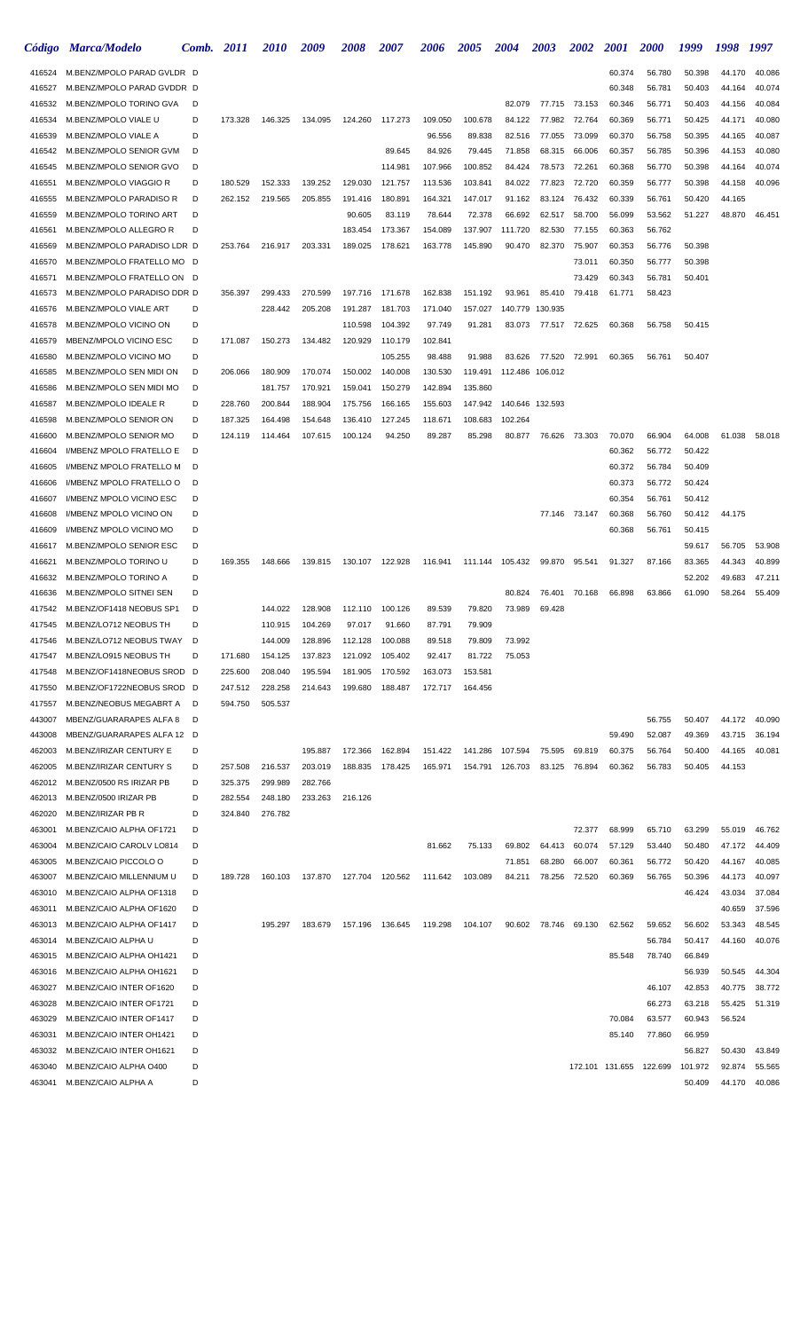|                  | Código Marca/Modelo                                  | Comb.  | <i>2011</i>        | <i>2010</i>        | 2009               | <i><b>2008</b></i> | <i><b>2007</b></i> | <i><b>2006</b></i> | 2005               | <b>2004</b>      | 2003             | 2002             | <i>2001</i>      | <b>2000</b>      | 1999             | 1998             | 1997             |
|------------------|------------------------------------------------------|--------|--------------------|--------------------|--------------------|--------------------|--------------------|--------------------|--------------------|------------------|------------------|------------------|------------------|------------------|------------------|------------------|------------------|
| 416524           | M.BENZ/MPOLO PARAD GVLDR D                           |        |                    |                    |                    |                    |                    |                    |                    |                  |                  |                  | 60.374           | 56.780           | 50.398           | 44.170           | 40.086           |
| 416527           | M.BENZ/MPOLO PARAD GVDDR D                           |        |                    |                    |                    |                    |                    |                    |                    |                  |                  |                  | 60.348           | 56.781           | 50.403           | 44.164           | 40.074           |
| 416532           | M.BENZ/MPOLO TORINO GVA                              | D      |                    |                    |                    |                    |                    |                    |                    | 82.079           | 77.715           | 73.153           | 60.346           | 56.771           | 50.403           | 44.156           | 40.084           |
| 416534           | M.BENZ/MPOLO VIALE U                                 | D      | 173.328            | 146.325            | 134.095            | 124.260            | 117.273            | 109.050            | 100.678            | 84.122           | 77.982           | 72.764           | 60.369           | 56.771           | 50.425           | 44.171           | 40.080           |
| 416539           | M.BENZ/MPOLO VIALE A                                 | D      |                    |                    |                    |                    |                    | 96.556             | 89.838             | 82.516           | 77.055           | 73.099           | 60.370           | 56.758           | 50.395           | 44.165           | 40.087           |
| 416542           | M.BENZ/MPOLO SENIOR GVM                              | D      |                    |                    |                    |                    | 89.645             | 84.926             | 79.445             | 71.858           | 68.315           | 66.006           | 60.357           | 56.785           | 50.396           | 44.153           | 40.080           |
| 416545<br>416551 | M.BENZ/MPOLO SENIOR GVO<br>M.BENZ/MPOLO VIAGGIO R    | D<br>D | 180.529            | 152.333            | 139.252            | 129.030            | 114.981<br>121.757 | 107.966<br>113.536 | 100.852<br>103.841 | 84.424<br>84.022 | 78.573<br>77.823 | 72.261<br>72.720 | 60.368<br>60.359 | 56.770<br>56.777 | 50.398<br>50.398 | 44.164<br>44.158 | 40.074<br>40.096 |
| 416555           | M.BENZ/MPOLO PARADISO R                              | D      | 262.152            | 219.565            | 205.855            | 191.416            | 180.891            | 164.321            | 147.017            | 91.162           | 83.124           | 76.432           | 60.339           | 56.761           | 50.420           | 44.165           |                  |
| 416559           | M.BENZ/MPOLO TORINO ART                              | D      |                    |                    |                    | 90.605             | 83.119             | 78.644             | 72.378             | 66.692           | 62.517           | 58.700           | 56.099           | 53.562           | 51.227           | 48.870           | 46.451           |
| 416561           | M.BENZ/MPOLO ALLEGRO R                               | D      |                    |                    |                    | 183.454            | 173.367            | 154.089            | 137.907            | 111.720          | 82.530           | 77.155           | 60.363           | 56.762           |                  |                  |                  |
| 416569           | M.BENZ/MPOLO PARADISO LDR D                          |        | 253.764            | 216.917            | 203.331            | 189.025            | 178.621            | 163.778            | 145.890            | 90.470           | 82.370           | 75.907           | 60.353           | 56.776           | 50.398           |                  |                  |
| 416570           | M.BENZ/MPOLO FRATELLO MO D                           |        |                    |                    |                    |                    |                    |                    |                    |                  |                  | 73.011           | 60.350           | 56.777           | 50.398           |                  |                  |
| 416571           | M.BENZ/MPOLO FRATELLO ON D                           |        |                    |                    |                    |                    |                    |                    |                    |                  |                  | 73.429           | 60.343           | 56.781           | 50.401           |                  |                  |
| 416573           | M.BENZ/MPOLO PARADISO DDR D                          |        | 356.397            | 299.433            | 270.599            | 197.716            | 171.678            | 162.838            | 151.192            | 93.961           | 85.410           | 79.418           | 61.771           | 58.423           |                  |                  |                  |
| 416576           | M.BENZ/MPOLO VIALE ART                               | D      |                    | 228.442            | 205.208            | 191.287            | 181.703            | 171.040            | 157.027            | 140.779          | 130.935          |                  |                  |                  |                  |                  |                  |
| 416578           | M.BENZ/MPOLO VICINO ON                               | D      |                    |                    |                    | 110.598            | 104.392            | 97.749             | 91.281             | 83.073           |                  | 77.517 72.625    | 60.368           | 56.758           | 50.415           |                  |                  |
| 416579           | MBENZ/MPOLO VICINO ESC                               | D      | 171.087            | 150.273            | 134.482            | 120.929            | 110.179            | 102.841            |                    |                  |                  |                  |                  |                  |                  |                  |                  |
| 416580           | M.BENZ/MPOLO VICINO MO                               | D      |                    |                    |                    |                    | 105.255            | 98.488             | 91.988             | 83.626           | 77.520           | 72.991           | 60.365           | 56.761           | 50.407           |                  |                  |
| 416585<br>416586 | M.BENZ/MPOLO SEN MIDI ON<br>M.BENZ/MPOLO SEN MIDI MO | D<br>D | 206.066            | 180.909            | 170.074            | 150.002<br>159.041 | 140.008<br>150.279 | 130.530<br>142.894 | 119.491<br>135.860 |                  | 112.486 106.012  |                  |                  |                  |                  |                  |                  |
| 416587           | M.BENZ/MPOLO IDEALE R                                | D      | 228.760            | 181.757<br>200.844 | 170.921<br>188.904 | 175.756            | 166.165            | 155.603            | 147.942            |                  | 140.646 132.593  |                  |                  |                  |                  |                  |                  |
| 416598           | M.BENZ/MPOLO SENIOR ON                               | D      | 187.325            | 164.498            | 154.648            | 136.410            | 127.245            | 118.671            | 108.683            | 102.264          |                  |                  |                  |                  |                  |                  |                  |
| 416600           | M.BENZ/MPOLO SENIOR MO                               | D      | 124.119            | 114.464            | 107.615            | 100.124            | 94.250             | 89.287             | 85.298             | 80.877           |                  | 76.626 73.303    | 70.070           | 66.904           | 64.008           | 61.038           | 58.018           |
| 416604           | I/MBENZ MPOLO FRATELLO E                             | D      |                    |                    |                    |                    |                    |                    |                    |                  |                  |                  | 60.362           | 56.772           | 50.422           |                  |                  |
| 416605           | I/MBENZ MPOLO FRATELLO M                             | D      |                    |                    |                    |                    |                    |                    |                    |                  |                  |                  | 60.372           | 56.784           | 50.409           |                  |                  |
| 416606           | I/MBENZ MPOLO FRATELLO O                             | D      |                    |                    |                    |                    |                    |                    |                    |                  |                  |                  | 60.373           | 56.772           | 50.424           |                  |                  |
| 416607           | I/MBENZ MPOLO VICINO ESC                             | D      |                    |                    |                    |                    |                    |                    |                    |                  |                  |                  | 60.354           | 56.761           | 50.412           |                  |                  |
| 416608           | I/MBENZ MPOLO VICINO ON                              | D      |                    |                    |                    |                    |                    |                    |                    |                  |                  | 77.146 73.147    | 60.368           | 56.760           | 50.412           | 44.175           |                  |
| 416609           | I/MBENZ MPOLO VICINO MO                              | D      |                    |                    |                    |                    |                    |                    |                    |                  |                  |                  | 60.368           | 56.761           | 50.415           |                  |                  |
| 416617           | M.BENZ/MPOLO SENIOR ESC                              | D      |                    |                    |                    |                    |                    |                    |                    |                  |                  |                  |                  |                  | 59.617           | 56.705           | 53.908           |
| 416621           | M.BENZ/MPOLO TORINO U                                | D      | 169.355            | 148.666            | 139.815            |                    | 130.107 122.928    | 116.941            |                    | 111.144 105.432  | 99.870           | 95.541           | 91.327           | 87.166           | 83.365           | 44.343           | 40.899           |
| 416632           | M.BENZ/MPOLO TORINO A                                | D<br>D |                    |                    |                    |                    |                    |                    |                    |                  |                  |                  |                  |                  | 52.202           | 49.683           | 47.211           |
| 416636<br>417542 | M.BENZ/MPOLO SITNEI SEN<br>M.BENZ/OF1418 NEOBUS SP1  | D      |                    | 144.022            | 128.908            | 112.110            | 100.126            | 89.539             | 79.820             | 80.824<br>73.989 | 76.401<br>69.428 | 70.168           | 66.898           | 63.866           | 61.090           | 58.264           | 55.409           |
| 417545           | M.BENZ/LO712 NEOBUS TH                               | D      |                    | 110.915            | 104.269            | 97.017             | 91.660             | 87.791             | 79.909             |                  |                  |                  |                  |                  |                  |                  |                  |
| 417546           | M.BENZ/LO712 NEOBUS TWAY                             | D      |                    | 144.009            | 128.896            | 112.128            | 100.088            | 89.518             | 79.809             | 73.992           |                  |                  |                  |                  |                  |                  |                  |
| 417547           | M.BENZ/LO915 NEOBUS TH                               | D      | 171.680            | 154.125            | 137.823            | 121.092            | 105.402            | 92.417             | 81.722             | 75.053           |                  |                  |                  |                  |                  |                  |                  |
| 417548           | M.BENZ/OF1418NEOBUS SROD D                           |        | 225.600            | 208.040            | 195.594            | 181.905            | 170.592            | 163.073            | 153.581            |                  |                  |                  |                  |                  |                  |                  |                  |
| 417550           | M.BENZ/OF1722NEOBUS SROD D                           |        | 247.512            | 228.258            | 214.643            | 199.680            | 188.487            | 172.717            | 164.456            |                  |                  |                  |                  |                  |                  |                  |                  |
| 417557           | M.BENZ/NEOBUS MEGABRT A                              | D      | 594.750            | 505.537            |                    |                    |                    |                    |                    |                  |                  |                  |                  |                  |                  |                  |                  |
| 443007           | MBENZ/GUARARAPES ALFA 8                              | D      |                    |                    |                    |                    |                    |                    |                    |                  |                  |                  |                  | 56.755           | 50.407           | 44.172           | 40.090           |
| 443008           | MBENZ/GUARARAPES ALFA 12 D                           |        |                    |                    |                    |                    |                    |                    |                    |                  |                  |                  | 59.490           | 52.087           | 49.369           | 43.715           | 36.194           |
| 462003           | M.BENZ/IRIZAR CENTURY E                              | D      |                    |                    | 195.887            | 172.366            | 162.894            | 151.422            |                    | 141.286 107.594  | 75.595           | 69.819           | 60.375           | 56.764           | 50.400           | 44.165           | 40.081           |
| 462005           | M.BENZ/IRIZAR CENTURY S                              | D      | 257.508            | 216.537            | 203.019            |                    | 188.835 178.425    | 165.971            |                    | 154.791 126.703  | 83.125           | 76.894           | 60.362           | 56.783           | 50.405           | 44.153           |                  |
| 462012<br>462013 | M.BENZ/0500 RS IRIZAR PB<br>M.BENZ/0500 IRIZAR PB    | D<br>D | 325.375<br>282.554 | 299.989<br>248.180 | 282.766<br>233.263 | 216.126            |                    |                    |                    |                  |                  |                  |                  |                  |                  |                  |                  |
| 462020           | M.BENZ/IRIZAR PB R                                   | D      | 324.840            | 276.782            |                    |                    |                    |                    |                    |                  |                  |                  |                  |                  |                  |                  |                  |
| 463001           | M.BENZ/CAIO ALPHA OF1721                             | D      |                    |                    |                    |                    |                    |                    |                    |                  |                  | 72.377           | 68.999           | 65.710           | 63.299           | 55.019           | 46.762           |
| 463004           | M.BENZ/CAIO CAROLV LO814                             | D      |                    |                    |                    |                    |                    | 81.662             | 75.133             | 69.802           | 64.413           | 60.074           | 57.129           | 53.440           | 50.480           | 47.172           | 44.409           |
| 463005           | M.BENZ/CAIO PICCOLO O                                | D      |                    |                    |                    |                    |                    |                    |                    | 71.851           | 68.280           | 66.007           | 60.361           | 56.772           | 50.420           | 44.167           | 40.085           |
| 463007           | M.BENZ/CAIO MILLENNIUM U                             | D      | 189.728            | 160.103            | 137.870            | 127.704 120.562    |                    | 111.642            | 103.089            | 84.211           |                  | 78.256 72.520    | 60.369           | 56.765           | 50.396           | 44.173           | 40.097           |
| 463010           | M.BENZ/CAIO ALPHA OF1318                             | D      |                    |                    |                    |                    |                    |                    |                    |                  |                  |                  |                  |                  | 46.424           | 43.034           | 37.084           |
| 463011           | M.BENZ/CAIO ALPHA OF1620                             | D      |                    |                    |                    |                    |                    |                    |                    |                  |                  |                  |                  |                  |                  | 40.659           | 37.596           |
| 463013           | M.BENZ/CAIO ALPHA OF1417                             | D      |                    | 195.297            | 183.679            |                    | 157.196 136.645    | 119.298            | 104.107            | 90.602           | 78.746           | 69.130           | 62.562           | 59.652           | 56.602           | 53.343           | 48.545           |
| 463014           | M.BENZ/CAIO ALPHA U                                  | D      |                    |                    |                    |                    |                    |                    |                    |                  |                  |                  |                  | 56.784           | 50.417           | 44.160           | 40.076           |
| 463015           | M.BENZ/CAIO ALPHA OH1421                             | D      |                    |                    |                    |                    |                    |                    |                    |                  |                  |                  | 85.548           | 78.740           | 66.849           |                  |                  |
| 463016<br>463027 | M.BENZ/CAIO ALPHA OH1621<br>M.BENZ/CAIO INTER OF1620 | D<br>D |                    |                    |                    |                    |                    |                    |                    |                  |                  |                  |                  | 46.107           | 56.939<br>42.853 | 50.545<br>40.775 | 44.304<br>38.772 |
| 463028           | M.BENZ/CAIO INTER OF1721                             | D      |                    |                    |                    |                    |                    |                    |                    |                  |                  |                  |                  | 66.273           | 63.218           | 55.425           | 51.319           |
| 463029           | M.BENZ/CAIO INTER OF1417                             | D      |                    |                    |                    |                    |                    |                    |                    |                  |                  |                  | 70.084           | 63.577           | 60.943           | 56.524           |                  |
| 463031           | M.BENZ/CAIO INTER OH1421                             | D      |                    |                    |                    |                    |                    |                    |                    |                  |                  |                  | 85.140           | 77.860           | 66.959           |                  |                  |
| 463032           | M.BENZ/CAIO INTER OH1621                             | D      |                    |                    |                    |                    |                    |                    |                    |                  |                  |                  |                  |                  | 56.827           | 50.430           | 43.849           |
| 463040           | M.BENZ/CAIO ALPHA O400                               | D      |                    |                    |                    |                    |                    |                    |                    |                  |                  |                  | 172.101 131.655  | 122.699          | 101.972          | 92.874           | 55.565           |
| 463041           | M.BENZ/CAIO ALPHA A                                  | D      |                    |                    |                    |                    |                    |                    |                    |                  |                  |                  |                  |                  | 50.409           | 44.170           | 40.086           |
|                  |                                                      |        |                    |                    |                    |                    |                    |                    |                    |                  |                  |                  |                  |                  |                  |                  |                  |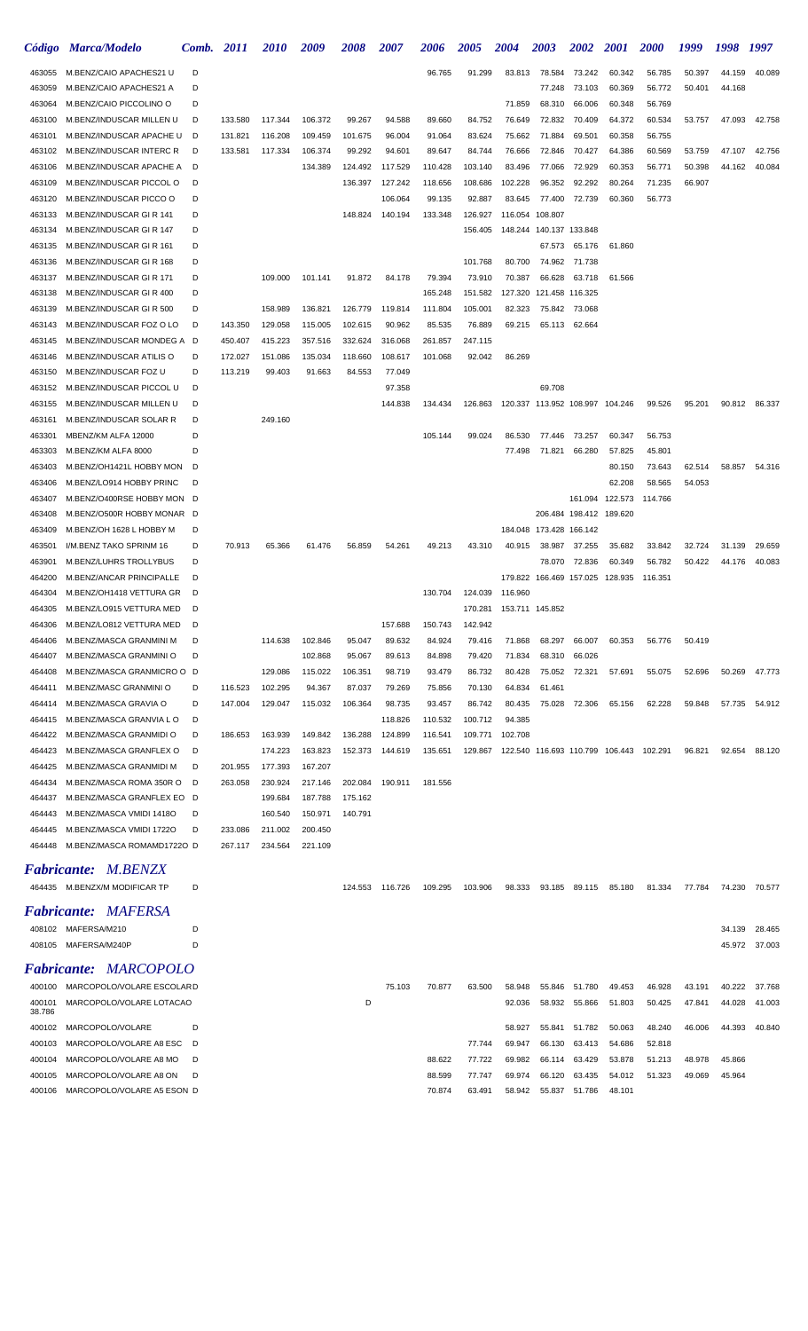|                  | Código Marca/Modelo                                      | Comb. | <i>2011</i> | <i><b>2010</b></i> | 2009    | 2008    | 2007            | <i><b>2006</b></i> | <b>2005</b> | 2004    | <i><b>2003</b></i>              | 2002                    | <b>2001</b>     | <b>2000</b>                             | 1999   | 1998   | 1997          |
|------------------|----------------------------------------------------------|-------|-------------|--------------------|---------|---------|-----------------|--------------------|-------------|---------|---------------------------------|-------------------------|-----------------|-----------------------------------------|--------|--------|---------------|
| 463055           | M.BENZ/CAIO APACHES21 U                                  | D     |             |                    |         |         |                 | 96.765             | 91.299      | 83.813  | 78.584                          | 73.242                  | 60.342          | 56.785                                  | 50.397 | 44.159 | 40.089        |
| 463059           | M.BENZ/CAIO APACHES21 A                                  | D     |             |                    |         |         |                 |                    |             |         | 77.248                          | 73.103                  | 60.369          | 56.772                                  | 50.401 | 44.168 |               |
| 463064           | M.BENZ/CAIO PICCOLINO O                                  | D     |             |                    |         |         |                 |                    |             | 71.859  | 68.310                          | 66.006                  | 60.348          | 56.769                                  |        |        |               |
| 463100           | M.BENZ/INDUSCAR MILLEN U                                 | D     | 133.580     | 117.344            | 106.372 | 99.267  | 94.588          | 89.660             | 84.752      | 76.649  | 72.832                          | 70.409                  | 64.372          | 60.534                                  | 53.757 | 47.093 | 42.758        |
| 463101           | M.BENZ/INDUSCAR APACHE U                                 | D     | 131.821     | 116.208            | 109.459 | 101.675 | 96.004          | 91.064             | 83.624      | 75.662  | 71.884                          | 69.501                  | 60.358          | 56.755                                  |        |        |               |
| 463102           | M.BENZ/INDUSCAR INTERC R                                 | D     | 133.581     | 117.334            | 106.374 | 99.292  | 94.601          | 89.647             | 84.744      | 76.666  | 72.846                          | 70.427                  | 64.386          | 60.569                                  | 53.759 | 47.107 | 42.756        |
| 463106           | M.BENZ/INDUSCAR APACHE A                                 | D     |             |                    | 134.389 | 124.492 | 117.529         | 110.428            | 103.140     | 83.496  | 77.066                          | 72.929                  | 60.353          | 56.771                                  | 50.398 | 44.162 | 40.084        |
| 463109           | M.BENZ/INDUSCAR PICCOL O                                 | D     |             |                    |         | 136.397 | 127.242         | 118.656            | 108.686     | 102.228 | 96.352                          | 92.292                  | 80.264          | 71.235                                  | 66.907 |        |               |
| 463120           | M.BENZ/INDUSCAR PICCO O                                  | D     |             |                    |         |         | 106.064         | 99.135             | 92.887      | 83.645  | 77.400                          | 72.739                  | 60.360          | 56.773                                  |        |        |               |
| 463133           | M.BENZ/INDUSCAR GIR 141                                  | D     |             |                    |         | 148.824 | 140.194         | 133.348            | 126.927     | 116.054 | 108.807                         |                         |                 |                                         |        |        |               |
| 463134           | M.BENZ/INDUSCAR GIR 147                                  | D     |             |                    |         |         |                 |                    | 156.405     |         | 148.244 140.137 133.848         |                         |                 |                                         |        |        |               |
| 463135           | M.BENZ/INDUSCAR GIR 161                                  | D     |             |                    |         |         |                 |                    |             |         | 67.573                          | 65.176                  | 61.860          |                                         |        |        |               |
| 463136           | M.BENZ/INDUSCAR GIR 168                                  | D     |             |                    |         |         |                 |                    | 101.768     | 80.700  |                                 | 74.962 71.738           |                 |                                         |        |        |               |
| 463137           | M.BENZ/INDUSCAR GIR 171                                  | D     |             | 109.000            | 101.141 | 91.872  | 84.178          | 79.394             | 73.910      | 70.387  | 66.628                          | 63.718                  | 61.566          |                                         |        |        |               |
| 463138           | M.BENZ/INDUSCAR GIR 400                                  | D     |             |                    |         |         |                 | 165.248            | 151.582     | 127.320 | 121.458 116.325                 |                         |                 |                                         |        |        |               |
| 463139           | M.BENZ/INDUSCAR GIR 500                                  | D     |             | 158.989            | 136.821 | 126.779 | 119.814         | 111.804            | 105.001     | 82.323  |                                 | 75.842 73.068           |                 |                                         |        |        |               |
| 463143           | M.BENZ/INDUSCAR FOZ O LO                                 | D     | 143.350     | 129.058            | 115.005 | 102.615 | 90.962          | 85.535             | 76.889      | 69.215  | 65.113                          | 62.664                  |                 |                                         |        |        |               |
| 463145           | M.BENZ/INDUSCAR MONDEG A                                 | D     | 450.407     | 415.223            | 357.516 | 332.624 | 316.068         | 261.857            | 247.115     |         |                                 |                         |                 |                                         |        |        |               |
| 463146           | M.BENZ/INDUSCAR ATILIS O                                 | D     | 172.027     | 151.086            | 135.034 | 118.660 | 108.617         | 101.068            | 92.042      | 86.269  |                                 |                         |                 |                                         |        |        |               |
| 463150           | M.BENZ/INDUSCAR FOZ U                                    | D     | 113.219     | 99.403             | 91.663  | 84.553  | 77.049          |                    |             |         |                                 |                         |                 |                                         |        |        |               |
| 463152           | M.BENZ/INDUSCAR PICCOL U                                 | D     |             |                    |         |         | 97.358          |                    |             |         | 69.708                          |                         |                 |                                         |        |        |               |
| 463155           | M.BENZ/INDUSCAR MILLEN U                                 | D     |             |                    |         |         | 144.838         | 134.434            | 126.863     |         | 120.337 113.952 108.997 104.246 |                         |                 | 99.526                                  | 95.201 |        | 90.812 86.337 |
| 463161           | M.BENZ/INDUSCAR SOLAR R                                  | D     |             | 249.160            |         |         |                 |                    |             |         |                                 |                         |                 |                                         |        |        |               |
| 463301           | MBENZ/KM ALFA 12000                                      | D     |             |                    |         |         |                 | 105.144            | 99.024      | 86.530  |                                 | 77.446 73.257           | 60.347          | 56.753                                  |        |        |               |
| 463303           | M.BENZ/KM ALFA 8000                                      | D     |             |                    |         |         |                 |                    |             | 77.498  | 71.821                          | 66.280                  | 57.825          | 45.801                                  |        |        |               |
| 463403           | M.BENZ/OH1421L HOBBY MON                                 | D     |             |                    |         |         |                 |                    |             |         |                                 |                         | 80.150          | 73.643                                  | 62.514 | 58.857 | 54.316        |
| 463406           | M.BENZ/LO914 HOBBY PRINC                                 | D     |             |                    |         |         |                 |                    |             |         |                                 |                         | 62.208          | 58.565                                  | 54.053 |        |               |
| 463407<br>463408 | M.BENZ/O400RSE HOBBY MON D<br>M.BENZ/O500R HOBBY MONAR D |       |             |                    |         |         |                 |                    |             |         |                                 | 206.484 198.412 189.620 | 161.094 122.573 | 114.766                                 |        |        |               |
| 463409           | M.BENZ/OH 1628 L HOBBY M                                 | D     |             |                    |         |         |                 |                    |             |         | 184.048 173.428 166.142         |                         |                 |                                         |        |        |               |
| 463501           | I/M.BENZ TAKO SPRINM 16                                  | D     | 70.913      | 65.366             | 61.476  | 56.859  | 54.261          | 49.213             | 43.310      | 40.915  | 38.987                          | 37.255                  | 35.682          | 33.842                                  | 32.724 | 31.139 | 29.659        |
| 463901           | M.BENZ/LUHRS TROLLYBUS                                   | D     |             |                    |         |         |                 |                    |             |         | 78.070                          | 72.836                  | 60.349          | 56.782                                  | 50.422 | 44.176 | 40.083        |
| 464200           | M.BENZ/ANCAR PRINCIPALLE                                 | D     |             |                    |         |         |                 |                    |             |         | 179.822 166.469 157.025 128.935 |                         |                 | 116.351                                 |        |        |               |
| 464304           | M.BENZ/OH1418 VETTURA GR                                 | D     |             |                    |         |         |                 | 130.704            | 124.039     | 116.960 |                                 |                         |                 |                                         |        |        |               |
| 464305           | M.BENZ/LO915 VETTURA MED                                 | D     |             |                    |         |         |                 |                    | 170.281     |         | 153.711 145.852                 |                         |                 |                                         |        |        |               |
| 464306           | M.BENZ/LO812 VETTURA MED                                 | D     |             |                    |         |         | 157.688         | 150.743            | 142.942     |         |                                 |                         |                 |                                         |        |        |               |
| 464406           | M.BENZ/MASCA GRANMINI M                                  | D     |             | 114.638            | 102.846 | 95.047  | 89.632          | 84.924             | 79.416      | 71.868  | 68.297                          | 66.007                  | 60.353          | 56.776                                  | 50.419 |        |               |
| 464407           | M.BENZ/MASCA GRANMINI O                                  | D     |             |                    | 102.868 | 95.067  | 89.613          | 84.898             | 79.420      | 71.834  | 68.310                          | 66.026                  |                 |                                         |        |        |               |
| 464408           | M.BENZ/MASCA GRANMICRO O D                               |       |             | 129.086            | 115.022 | 106.351 | 98.719          | 93.479             | 86.732      | 80.428  | 75.052                          | 72.321                  | 57.691          | 55.075                                  | 52.696 | 50.269 | 47.773        |
| 464411           | M.BENZ/MASC GRANMINI O                                   | D     | 116.523     | 102.295            | 94.367  | 87.037  | 79.269          | 75.856             | 70.130      | 64.834  | 61.461                          |                         |                 |                                         |        |        |               |
| 464414           | M.BENZ/MASCA GRAVIA O                                    | D     | 147.004     | 129.047            | 115.032 | 106.364 | 98.735          | 93.457             | 86.742      | 80.435  | 75.028                          | 72.306                  | 65.156          | 62.228                                  | 59.848 |        | 57.735 54.912 |
| 464415           | M.BENZ/MASCA GRANVIA LO                                  | D     |             |                    |         |         | 118.826         | 110.532            | 100.712     | 94.385  |                                 |                         |                 |                                         |        |        |               |
| 464422           | M.BENZ/MASCA GRANMIDI O                                  | D     | 186.653     | 163.939            | 149.842 | 136.288 | 124.899         | 116.541            | 109.771     | 102.708 |                                 |                         |                 |                                         |        |        |               |
| 464423           | M.BENZ/MASCA GRANFLEX O                                  | D     |             | 174.223            | 163.823 | 152.373 | 144.619         | 135.651            | 129.867     |         |                                 |                         |                 | 122.540 116.693 110.799 106.443 102.291 | 96.821 | 92.654 | 88.120        |
| 464425           | M.BENZ/MASCA GRANMIDI M                                  | D     | 201.955     | 177.393            | 167.207 |         |                 |                    |             |         |                                 |                         |                 |                                         |        |        |               |
| 464434           | M.BENZ/MASCA ROMA 350R O                                 | D     | 263.058     | 230.924            | 217.146 | 202.084 | 190.911         | 181.556            |             |         |                                 |                         |                 |                                         |        |        |               |
| 464437           | M.BENZ/MASCA GRANFLEX EO D                               |       |             | 199.684            | 187.788 | 175.162 |                 |                    |             |         |                                 |                         |                 |                                         |        |        |               |
| 464443           | M.BENZ/MASCA VMIDI 1418O                                 | D     |             | 160.540            | 150.971 | 140.791 |                 |                    |             |         |                                 |                         |                 |                                         |        |        |               |
| 464445           | M.BENZ/MASCA VMIDI 1722O                                 | D     | 233.086     | 211.002            | 200.450 |         |                 |                    |             |         |                                 |                         |                 |                                         |        |        |               |
| 464448           | M.BENZ/MASCA ROMAMD1722O D                               |       | 267.117     | 234.564            | 221.109 |         |                 |                    |             |         |                                 |                         |                 |                                         |        |        |               |
|                  | <i>M.BENZX</i>                                           |       |             |                    |         |         |                 |                    |             |         |                                 |                         |                 |                                         |        |        |               |
| Fabricante:      |                                                          |       |             |                    |         |         |                 |                    |             |         |                                 |                         |                 |                                         |        |        |               |
|                  | 464435 M.BENZX/M MODIFICAR TP                            | D     |             |                    |         |         | 124.553 116.726 | 109.295            | 103.906     | 98.333  | 93.185                          | 89.115                  | 85.180          | 81.334                                  | 77.784 |        | 74.230 70.577 |
|                  | <b>Fabricante: MAFERSA</b>                               |       |             |                    |         |         |                 |                    |             |         |                                 |                         |                 |                                         |        |        |               |
|                  | 408102 MAFERSA/M210                                      | D     |             |                    |         |         |                 |                    |             |         |                                 |                         |                 |                                         |        | 34.139 | 28.465        |
|                  | 408105 MAFERSA/M240P                                     | D     |             |                    |         |         |                 |                    |             |         |                                 |                         |                 |                                         |        |        | 45.972 37.003 |
|                  |                                                          |       |             |                    |         |         |                 |                    |             |         |                                 |                         |                 |                                         |        |        |               |
|                  | <b>Fabricante: MARCOPOLO</b>                             |       |             |                    |         |         |                 |                    |             |         |                                 |                         |                 |                                         |        |        |               |
| 400100           | MARCOPOLO/VOLARE ESCOLARD                                |       |             |                    |         |         | 75.103          | 70.877             | 63.500      | 58.948  | 55.846                          | 51.780                  | 49.453          | 46.928                                  | 43.191 | 40.222 | 37.768        |
| 400101<br>38.786 | MARCOPOLO/VOLARE LOTACAO                                 |       |             |                    |         | D       |                 |                    |             | 92.036  | 58.932                          | 55.866                  | 51.803          | 50.425                                  | 47.841 | 44.028 | 41.003        |
| 400102           | MARCOPOLO/VOLARE                                         | D     |             |                    |         |         |                 |                    |             | 58.927  | 55.841                          | 51.782                  | 50.063          | 48.240                                  | 46.006 | 44.393 | 40.840        |
| 400103           | MARCOPOLO/VOLARE A8 ESC                                  | D     |             |                    |         |         |                 |                    | 77.744      | 69.947  | 66.130                          | 63.413                  | 54.686          | 52.818                                  |        |        |               |
| 400104           | MARCOPOLO/VOLARE A8 MO                                   | D     |             |                    |         |         |                 | 88.622             | 77.722      | 69.982  | 66.114                          | 63.429                  | 53.878          | 51.213                                  | 48.978 | 45.866 |               |
| 400105           | MARCOPOLO/VOLARE A8 ON                                   | D     |             |                    |         |         |                 | 88.599             | 77.747      | 69.974  | 66.120                          | 63.435                  | 54.012          | 51.323                                  | 49.069 | 45.964 |               |
| 400106           | MARCOPOLO/VOLARE A5 ESON D                               |       |             |                    |         |         |                 | 70.874             | 63.491      | 58.942  | 55.837                          | 51.786                  | 48.101          |                                         |        |        |               |
|                  |                                                          |       |             |                    |         |         |                 |                    |             |         |                                 |                         |                 |                                         |        |        |               |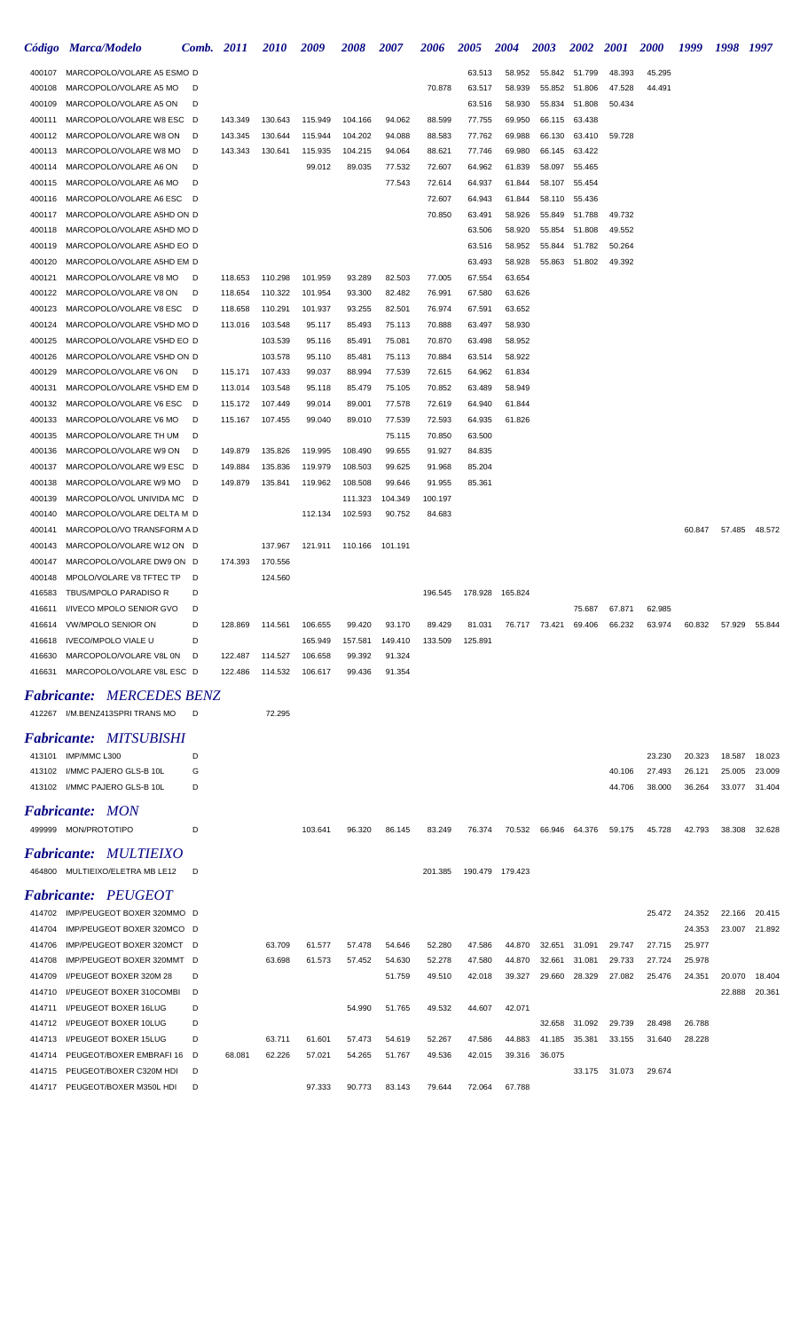|                  | Código Marca/Modelo                                      | Comb.  | <i>2011</i> | <i>2010</i> | 2009    | <i><b>2008</b></i> | 2007    | 2006    | <i><b>2005</b></i> | 2004             | 2003             | 2002             | <i>2001</i>      | <b>2000</b>      | 1999   | 1998   | 1997          |
|------------------|----------------------------------------------------------|--------|-------------|-------------|---------|--------------------|---------|---------|--------------------|------------------|------------------|------------------|------------------|------------------|--------|--------|---------------|
| 400107           | MARCOPOLO/VOLARE A5 ESMO D                               |        |             |             |         |                    |         |         | 63.513             | 58.952           | 55.842           | 51.799           | 48.393           | 45.295           |        |        |               |
| 400108           | MARCOPOLO/VOLARE A5 MO                                   | D      |             |             |         |                    |         | 70.878  | 63.517             | 58.939           | 55.852           | 51.806           | 47.528           | 44.491           |        |        |               |
| 400109           | MARCOPOLO/VOLARE A5 ON                                   | D      |             |             |         |                    |         |         | 63.516             | 58.930           | 55.834           | 51.808           | 50.434           |                  |        |        |               |
| 400111           | MARCOPOLO/VOLARE W8 ESC D                                |        | 143.349     | 130.643     | 115.949 | 104.166            | 94.062  | 88.599  | 77.755             | 69.950           | 66.115           | 63.438           |                  |                  |        |        |               |
| 400112           | MARCOPOLO/VOLARE W8 ON                                   | - D    | 143.345     | 130.644     | 115.944 | 104.202            | 94.088  | 88.583  | 77.762             | 69.988           | 66.130           | 63.410           | 59.728           |                  |        |        |               |
| 400113           | MARCOPOLO/VOLARE W8 MO                                   | D      | 143.343     | 130.641     | 115.935 | 104.215            | 94.064  | 88.621  | 77.746             | 69.980           | 66.145           | 63.422           |                  |                  |        |        |               |
| 400114           | MARCOPOLO/VOLARE A6 ON                                   | D      |             |             | 99.012  | 89.035             | 77.532  | 72.607  | 64.962             | 61.839           | 58.097           | 55.465           |                  |                  |        |        |               |
| 400115           | MARCOPOLO/VOLARE A6 MO                                   | D      |             |             |         |                    | 77.543  | 72.614  | 64.937             | 61.844           | 58.107           | 55.454           |                  |                  |        |        |               |
| 400116           | MARCOPOLO/VOLARE A6 ESC D                                |        |             |             |         |                    |         | 72.607  | 64.943             | 61.844           | 58.110           | 55.436           |                  |                  |        |        |               |
| 400117           | MARCOPOLO/VOLARE A5HD ON D                               |        |             |             |         |                    |         | 70.850  | 63.491             | 58.926           | 55.849           | 51.788           | 49.732           |                  |        |        |               |
| 400118<br>400119 | MARCOPOLO/VOLARE A5HD MO D                               |        |             |             |         |                    |         |         | 63.506             | 58.920           | 55.854           | 51.808<br>51.782 | 49.552           |                  |        |        |               |
| 400120           | MARCOPOLO/VOLARE A5HD EO D<br>MARCOPOLO/VOLARE A5HD EM D |        |             |             |         |                    |         |         | 63.516<br>63.493   | 58.952<br>58.928 | 55.844<br>55.863 | 51.802           | 50.264<br>49.392 |                  |        |        |               |
| 400121           | MARCOPOLO/VOLARE V8 MO                                   | D      | 118.653     | 110.298     | 101.959 | 93.289             | 82.503  | 77.005  | 67.554             | 63.654           |                  |                  |                  |                  |        |        |               |
| 400122           | MARCOPOLO/VOLARE V8 ON                                   | D      | 118.654     | 110.322     | 101.954 | 93.300             | 82.482  | 76.991  | 67.580             | 63.626           |                  |                  |                  |                  |        |        |               |
| 400123           | MARCOPOLO/VOLARE V8 ESC D                                |        | 118.658     | 110.291     | 101.937 | 93.255             | 82.501  | 76.974  | 67.591             | 63.652           |                  |                  |                  |                  |        |        |               |
| 400124           | MARCOPOLO/VOLARE V5HD MO D                               |        | 113.016     | 103.548     | 95.117  | 85.493             | 75.113  | 70.888  | 63.497             | 58.930           |                  |                  |                  |                  |        |        |               |
| 400125           | MARCOPOLO/VOLARE V5HD EO D                               |        |             | 103.539     | 95.116  | 85.491             | 75.081  | 70.870  | 63.498             | 58.952           |                  |                  |                  |                  |        |        |               |
| 400126           | MARCOPOLO/VOLARE V5HD ON D                               |        |             | 103.578     | 95.110  | 85.481             | 75.113  | 70.884  | 63.514             | 58.922           |                  |                  |                  |                  |        |        |               |
| 400129           | MARCOPOLO/VOLARE V6 ON                                   | - D    | 115.171     | 107.433     | 99.037  | 88.994             | 77.539  | 72.615  | 64.962             | 61.834           |                  |                  |                  |                  |        |        |               |
| 400131           | MARCOPOLO/VOLARE V5HD EM D                               |        | 113.014     | 103.548     | 95.118  | 85.479             | 75.105  | 70.852  | 63.489             | 58.949           |                  |                  |                  |                  |        |        |               |
| 400132           | MARCOPOLO/VOLARE V6 ESC D                                |        | 115.172     | 107.449     | 99.014  | 89.001             | 77.578  | 72.619  | 64.940             | 61.844           |                  |                  |                  |                  |        |        |               |
| 400133           | MARCOPOLO/VOLARE V6 MO                                   | D      | 115.167     | 107.455     | 99.040  | 89.010             | 77.539  | 72.593  | 64.935             | 61.826           |                  |                  |                  |                  |        |        |               |
| 400135           | MARCOPOLO/VOLARE TH UM                                   | D      |             |             |         |                    | 75.115  | 70.850  | 63.500             |                  |                  |                  |                  |                  |        |        |               |
| 400136           | MARCOPOLO/VOLARE W9 ON                                   | D      | 149.879     | 135.826     | 119.995 | 108.490            | 99.655  | 91.927  | 84.835             |                  |                  |                  |                  |                  |        |        |               |
| 400137           | MARCOPOLO/VOLARE W9 ESC D                                |        | 149.884     | 135.836     | 119.979 | 108.503            | 99.625  | 91.968  | 85.204             |                  |                  |                  |                  |                  |        |        |               |
| 400138           | MARCOPOLO/VOLARE W9 MO                                   | - D    | 149.879     | 135.841     | 119.962 | 108.508            | 99.646  | 91.955  | 85.361             |                  |                  |                  |                  |                  |        |        |               |
| 400139           | MARCOPOLO/VOL UNIVIDA MC D                               |        |             |             |         | 111.323            | 104.349 | 100.197 |                    |                  |                  |                  |                  |                  |        |        |               |
| 400140           | MARCOPOLO/VOLARE DELTA M D                               |        |             |             | 112.134 | 102.593            | 90.752  | 84.683  |                    |                  |                  |                  |                  |                  |        |        |               |
| 400141           | MARCOPOLO/VO TRANSFORM A D                               |        |             |             |         |                    |         |         |                    |                  |                  |                  |                  |                  | 60.847 |        | 57.485 48.572 |
| 400143           | MARCOPOLO/VOLARE W12 ON D                                |        |             | 137.967     | 121.911 | 110.166            | 101.191 |         |                    |                  |                  |                  |                  |                  |        |        |               |
| 400147           | MARCOPOLO/VOLARE DW9 ON D                                |        | 174.393     | 170.556     |         |                    |         |         |                    |                  |                  |                  |                  |                  |        |        |               |
| 400148           | MPOLO/VOLARE V8 TFTEC TP                                 | D      |             | 124.560     |         |                    |         |         |                    |                  |                  |                  |                  |                  |        |        |               |
| 416583           | TBUS/MPOLO PARADISO R                                    | D      |             |             |         |                    |         | 196.545 |                    | 178.928 165.824  |                  |                  |                  |                  |        |        |               |
| 416611           | I/IVECO MPOLO SENIOR GVO<br>416614 VW/MPOLO SENIOR ON    | D<br>D | 128.869     | 114.561     | 106.655 | 99.420             | 93.170  | 89.429  | 81.031             |                  | 73.421           | 75.687<br>69.406 | 67.871<br>66.232 | 62.985<br>63.974 | 60.832 | 57.929 | 55.844        |
| 416618           | IVECO/MPOLO VIALE U                                      | D      |             |             | 165.949 | 157.581            | 149.410 | 133.509 | 125.891            | 76.717           |                  |                  |                  |                  |        |        |               |
| 416630           | MARCOPOLO/VOLARE V8L 0N                                  | D      | 122.487     | 114.527     | 106.658 | 99.392             | 91.324  |         |                    |                  |                  |                  |                  |                  |        |        |               |
| 416631           | MARCOPOLO/VOLARE V8L ESC D                               |        | 122.486     | 114.532     | 106.617 | 99.436             | 91.354  |         |                    |                  |                  |                  |                  |                  |        |        |               |
|                  |                                                          |        |             |             |         |                    |         |         |                    |                  |                  |                  |                  |                  |        |        |               |
|                  | <b>Fabricante: MERCEDES BENZ</b>                         |        |             |             |         |                    |         |         |                    |                  |                  |                  |                  |                  |        |        |               |
|                  | 412267 I/M.BENZ413SPRI TRANS MO                          | D      |             | 72.295      |         |                    |         |         |                    |                  |                  |                  |                  |                  |        |        |               |
|                  | <b>Fabricante: MITSUBISHI</b>                            |        |             |             |         |                    |         |         |                    |                  |                  |                  |                  |                  |        |        |               |
|                  | 413101 IMP/MMC L300                                      | D      |             |             |         |                    |         |         |                    |                  |                  |                  |                  | 23.230           | 20.323 | 18.587 | 18.023        |
|                  | 413102 I/MMC PAJERO GLS-B 10L                            | G      |             |             |         |                    |         |         |                    |                  |                  |                  | 40.106           | 27.493           | 26.121 | 25.005 | 23.009        |
|                  | 413102 I/MMC PAJERO GLS-B 10L                            | D      |             |             |         |                    |         |         |                    |                  |                  |                  | 44.706           | 38.000           | 36.264 | 33.077 | 31.404        |
|                  |                                                          |        |             |             |         |                    |         |         |                    |                  |                  |                  |                  |                  |        |        |               |
|                  | <b>Fabricante: MON</b>                                   |        |             |             |         |                    |         |         |                    |                  |                  |                  |                  |                  |        |        |               |
|                  | 499999 MON/PROTOTIPO                                     | D      |             |             | 103.641 | 96.320             | 86.145  | 83.249  | 76.374             | 70.532           | 66.946           | 64.376           | 59.175           | 45.728           | 42.793 | 38.308 | 32.628        |
|                  | Fabricante: MULTIEIXO                                    |        |             |             |         |                    |         |         |                    |                  |                  |                  |                  |                  |        |        |               |
|                  | 464800 MULTIEIXO/ELETRA MB LE12                          | D      |             |             |         |                    |         | 201.385 |                    | 190.479 179.423  |                  |                  |                  |                  |        |        |               |
|                  | <b>Fabricante: PEUGEOT</b>                               |        |             |             |         |                    |         |         |                    |                  |                  |                  |                  |                  |        |        |               |
|                  | 414702 IMP/PEUGEOT BOXER 320MMO D                        |        |             |             |         |                    |         |         |                    |                  |                  |                  |                  | 25.472           | 24.352 | 22.166 | 20.415        |
| 414704           | IMP/PEUGEOT BOXER 320MCO D                               |        |             |             |         |                    |         |         |                    |                  |                  |                  |                  |                  | 24.353 | 23.007 | 21.892        |
| 414706           | IMP/PEUGEOT BOXER 320MCT D                               |        |             | 63.709      | 61.577  | 57.478             | 54.646  | 52.280  | 47.586             | 44.870           | 32.651           | 31.091           | 29.747           | 27.715           | 25.977 |        |               |
| 414708           | IMP/PEUGEOT BOXER 320MMT D                               |        |             | 63.698      | 61.573  | 57.452             | 54.630  | 52.278  | 47.580             | 44.870           | 32.661           | 31.081           | 29.733           | 27.724           | 25.978 |        |               |
| 414709           | I/PEUGEOT BOXER 320M 28                                  | D      |             |             |         |                    | 51.759  | 49.510  | 42.018             | 39.327           | 29.660           | 28.329           | 27.082           | 25.476           | 24.351 | 20.070 | 18.404        |
| 414710           | I/PEUGEOT BOXER 310COMBI                                 | D      |             |             |         |                    |         |         |                    |                  |                  |                  |                  |                  |        | 22.888 | 20.361        |
| 414711           | I/PEUGEOT BOXER 16LUG                                    | D      |             |             |         | 54.990             | 51.765  | 49.532  | 44.607             | 42.071           |                  |                  |                  |                  |        |        |               |
| 414712           | I/PEUGEOT BOXER 10LUG                                    | D      |             |             |         |                    |         |         |                    |                  | 32.658           | 31.092           | 29.739           | 28.498           | 26.788 |        |               |
| 414713           | I/PEUGEOT BOXER 15LUG                                    | D      |             | 63.711      | 61.601  | 57.473             | 54.619  | 52.267  | 47.586             | 44.883           | 41.185           | 35.381           | 33.155           | 31.640           | 28.228 |        |               |
| 414714           | PEUGEOT/BOXER EMBRAFI 16                                 | - D    | 68.081      | 62.226      | 57.021  | 54.265             | 51.767  | 49.536  | 42.015             | 39.316           | 36.075           |                  |                  |                  |        |        |               |
| 414715           | PEUGEOT/BOXER C320M HDI                                  | D      |             |             |         |                    |         |         |                    |                  |                  | 33.175           | 31.073           | 29.674           |        |        |               |
|                  | 414717 PEUGEOT/BOXER M350L HDI                           | D      |             |             | 97.333  | 90.773             | 83.143  | 79.644  | 72.064             | 67.788           |                  |                  |                  |                  |        |        |               |
|                  |                                                          |        |             |             |         |                    |         |         |                    |                  |                  |                  |                  |                  |        |        |               |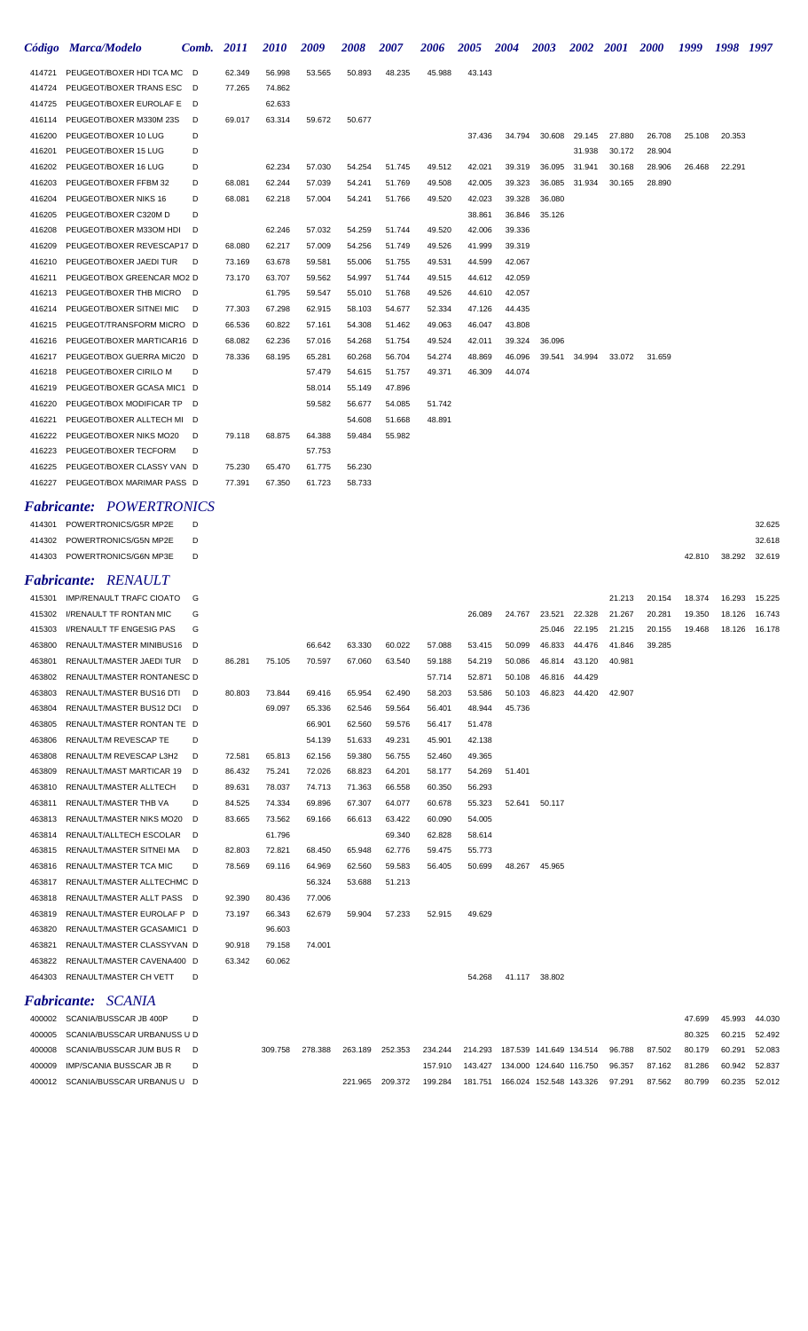|        | Código Marca/Modelo             | Comb. | 2011   | 2010   | 2009   | 2008   | 2007   | 2006   | <b>2005</b> | <b>2004</b> | 2003   | <i><b>2002</b></i> | <b>2001</b> | <b>2000</b> | 1999   | 1998   | 1997          |
|--------|---------------------------------|-------|--------|--------|--------|--------|--------|--------|-------------|-------------|--------|--------------------|-------------|-------------|--------|--------|---------------|
| 414721 | PEUGEOT/BOXER HDI TCA MC D      |       | 62.349 | 56.998 | 53.565 | 50.893 | 48.235 | 45.988 | 43.143      |             |        |                    |             |             |        |        |               |
| 414724 | PEUGEOT/BOXER TRANS ESC         | - D   | 77.265 | 74.862 |        |        |        |        |             |             |        |                    |             |             |        |        |               |
| 414725 | PEUGEOT/BOXER EUROLAF E         | - D   |        | 62.633 |        |        |        |        |             |             |        |                    |             |             |        |        |               |
| 416114 | PEUGEOT/BOXER M330M 23S         | D     | 69.017 | 63.314 | 59.672 | 50.677 |        |        |             |             |        |                    |             |             |        |        |               |
| 416200 | PEUGEOT/BOXER 10 LUG            | D     |        |        |        |        |        |        | 37.436      | 34.794      | 30.608 | 29.145             | 27.880      | 26.708      | 25.108 | 20.353 |               |
| 416201 | PEUGEOT/BOXER 15 LUG            | D     |        |        |        |        |        |        |             |             |        | 31.938             | 30.172      | 28.904      |        |        |               |
| 416202 | PEUGEOT/BOXER 16 LUG            | D     |        | 62.234 | 57.030 | 54.254 | 51.745 | 49.512 | 42.021      | 39.319      | 36.095 | 31.941             | 30.168      | 28.906      | 26.468 | 22.291 |               |
| 416203 | PEUGEOT/BOXER FFBM 32           | D     | 68.081 | 62.244 | 57.039 | 54.241 | 51.769 | 49.508 | 42.005      | 39.323      | 36.085 | 31.934             | 30.165      | 28.890      |        |        |               |
| 416204 | PEUGEOT/BOXER NIKS 16           | D     | 68.081 | 62.218 | 57.004 | 54.241 | 51.766 | 49.520 | 42.023      | 39.328      | 36.080 |                    |             |             |        |        |               |
| 416205 | PEUGEOT/BOXER C320M D           | D     |        |        |        |        |        |        | 38.861      | 36.846      | 35.126 |                    |             |             |        |        |               |
| 416208 | PEUGEOT/BOXER M330M HDI         | D     |        | 62.246 | 57.032 | 54.259 | 51.744 | 49.520 | 42.006      | 39.336      |        |                    |             |             |        |        |               |
| 416209 | PEUGEOT/BOXER REVESCAP17 D      |       | 68.080 | 62.217 | 57.009 | 54.256 | 51.749 | 49.526 | 41.999      | 39.319      |        |                    |             |             |        |        |               |
| 416210 | PEUGEOT/BOXER JAEDI TUR         | D     | 73.169 | 63.678 | 59.581 | 55.006 | 51.755 | 49.531 | 44.599      | 42.067      |        |                    |             |             |        |        |               |
| 416211 | PEUGEOT/BOX GREENCAR MO2 D      |       | 73.170 | 63.707 | 59.562 | 54.997 | 51.744 | 49.515 | 44.612      | 42.059      |        |                    |             |             |        |        |               |
| 416213 | PEUGEOT/BOXER THB MICRO         | D     |        | 61.795 | 59.547 | 55.010 | 51.768 | 49.526 | 44.610      | 42.057      |        |                    |             |             |        |        |               |
| 416214 | PEUGEOT/BOXER SITNEI MIC        | D     | 77.303 | 67.298 | 62.915 | 58.103 | 54.677 | 52.334 | 47.126      | 44.435      |        |                    |             |             |        |        |               |
| 416215 | PEUGEOT/TRANSFORM MICRO D       |       | 66.536 | 60.822 | 57.161 | 54.308 | 51.462 | 49.063 | 46.047      | 43.808      |        |                    |             |             |        |        |               |
| 416216 | PEUGEOT/BOXER MARTICAR16 D      |       | 68.082 | 62.236 | 57.016 | 54.268 | 51.754 | 49.524 | 42.011      | 39.324      | 36.096 |                    |             |             |        |        |               |
| 416217 | PEUGEOT/BOX GUERRA MIC20 D      |       | 78.336 | 68.195 | 65.281 | 60.268 | 56.704 | 54.274 | 48.869      | 46.096      | 39.541 | 34.994             | 33.072      | 31.659      |        |        |               |
| 416218 | PEUGEOT/BOXER CIRILO M          | D     |        |        | 57.479 | 54.615 | 51.757 | 49.371 | 46.309      | 44.074      |        |                    |             |             |        |        |               |
| 416219 | PEUGEOT/BOXER GCASA MIC1 D      |       |        |        | 58.014 | 55.149 | 47.896 |        |             |             |        |                    |             |             |        |        |               |
| 416220 | PEUGEOT/BOX MODIFICAR TP D      |       |        |        | 59.582 | 56.677 | 54.085 | 51.742 |             |             |        |                    |             |             |        |        |               |
| 416221 | PEUGEOT/BOXER ALLTECH MI D      |       |        |        |        | 54.608 | 51.668 | 48.891 |             |             |        |                    |             |             |        |        |               |
| 416222 | PEUGEOT/BOXER NIKS MO20         | D     | 79.118 | 68.875 | 64.388 | 59.484 | 55.982 |        |             |             |        |                    |             |             |        |        |               |
| 416223 | PEUGEOT/BOXER TECFORM           | D     |        |        | 57.753 |        |        |        |             |             |        |                    |             |             |        |        |               |
| 416225 | PEUGEOT/BOXER CLASSY VAN D      |       | 75.230 | 65.470 | 61.775 | 56.230 |        |        |             |             |        |                    |             |             |        |        |               |
| 416227 | PEUGEOT/BOX MARIMAR PASS D      |       | 77.391 | 67.350 | 61.723 | 58.733 |        |        |             |             |        |                    |             |             |        |        |               |
|        | <b>Fabricante: POWERTRONICS</b> |       |        |        |        |        |        |        |             |             |        |                    |             |             |        |        |               |
| 414301 | POWERTRONICS/G5R MP2E           | D     |        |        |        |        |        |        |             |             |        |                    |             |             |        |        | 32.625        |
| 414302 | POWERTRONICS/G5N MP2E           | D     |        |        |        |        |        |        |             |             |        |                    |             |             |        |        | 32.618        |
|        | 414303 POWERTRONICS/G6N MP3E    | D     |        |        |        |        |        |        |             |             |        |                    |             |             | 42.810 | 38.292 | 32.619        |
|        | <b>Fabricante: RENAULT</b>      |       |        |        |        |        |        |        |             |             |        |                    |             |             |        |        |               |
|        | 415301 IMP/RENAULT TRAFC CIOATO | G     |        |        |        |        |        |        |             |             |        |                    | 21.213      | 20.154      | 18.374 |        | 16.293 15.225 |

| 415302 | <b>I/RENAULT TF RONTAN MIC</b>  | G   |        |         |         |         |         |         | 26.089 | 24.767                          | 23.521 | 22.328 | 21.267 | 20.281 | 19.350 | 18.126 | 16.743 |
|--------|---------------------------------|-----|--------|---------|---------|---------|---------|---------|--------|---------------------------------|--------|--------|--------|--------|--------|--------|--------|
| 415303 | <b>I/RENAULT TF ENGESIG PAS</b> | G   |        |         |         |         |         |         |        |                                 | 25.046 | 22.195 | 21.215 | 20.155 | 19.468 | 18.126 | 16.178 |
| 463800 | RENAULT/MASTER MINIBUS16 D      |     |        |         | 66.642  | 63.330  | 60.022  | 57.088  | 53.415 | 50.099                          | 46.833 | 44.476 | 41.846 | 39.285 |        |        |        |
| 463801 | RENAULT/MASTER JAEDI TUR D      |     | 86.281 | 75.105  | 70.597  | 67.060  | 63.540  | 59.188  | 54.219 | 50.086                          | 46.814 | 43.120 | 40.981 |        |        |        |        |
| 463802 | RENAULT/MASTER RONTANESC D      |     |        |         |         |         |         | 57.714  | 52.871 | 50.108                          | 46.816 | 44.429 |        |        |        |        |        |
| 463803 | RENAULT/MASTER BUS16 DTI D      |     | 80.803 | 73.844  | 69.416  | 65.954  | 62.490  | 58.203  | 53.586 | 50.103                          | 46.823 | 44.420 | 42.907 |        |        |        |        |
| 463804 | RENAULT/MASTER BUS12 DCI D      |     |        | 69.097  | 65.336  | 62.546  | 59.564  | 56.401  | 48.944 | 45.736                          |        |        |        |        |        |        |        |
| 463805 | RENAULT/MASTER RONTAN TE D      |     |        |         | 66.901  | 62.560  | 59.576  | 56.417  | 51.478 |                                 |        |        |        |        |        |        |        |
| 463806 | <b>RENAULT/M REVESCAP TE</b>    | D   |        |         | 54.139  | 51.633  | 49.231  | 45.901  | 42.138 |                                 |        |        |        |        |        |        |        |
| 463808 | RENAULT/M REVESCAP L3H2         | D   | 72.581 | 65.813  | 62.156  | 59.380  | 56.755  | 52.460  | 49.365 |                                 |        |        |        |        |        |        |        |
| 463809 | RENAULT/MAST MARTICAR 19        | D   | 86.432 | 75.241  | 72.026  | 68.823  | 64.201  | 58.177  | 54.269 | 51.401                          |        |        |        |        |        |        |        |
| 463810 | RENAULT/MASTER ALLTECH          | D   | 89.631 | 78.037  | 74.713  | 71.363  | 66.558  | 60.350  | 56.293 |                                 |        |        |        |        |        |        |        |
| 463811 | <b>RENAULT/MASTER THB VA</b>    | D   | 84.525 | 74.334  | 69.896  | 67.307  | 64.077  | 60.678  | 55.323 | 52.641                          | 50.117 |        |        |        |        |        |        |
| 463813 | RENAULT/MASTER NIKS MO20        | D   | 83.665 | 73.562  | 69.166  | 66.613  | 63.422  | 60.090  | 54.005 |                                 |        |        |        |        |        |        |        |
| 463814 | RENAULT/ALLTECH ESCOLAR         | D   |        | 61.796  |         |         | 69.340  | 62.828  | 58.614 |                                 |        |        |        |        |        |        |        |
| 463815 | RENAULT/MASTER SITNEI MA        | D   | 82.803 | 72.821  | 68.450  | 65.948  | 62.776  | 59.475  | 55.773 |                                 |        |        |        |        |        |        |        |
| 463816 | RENAULT/MASTER TCA MIC          | D   | 78.569 | 69.116  | 64.969  | 62.560  | 59.583  | 56.405  | 50.699 | 48.267                          | 45.965 |        |        |        |        |        |        |
| 463817 | RENAULT/MASTER ALLTECHMC D      |     |        |         | 56.324  | 53.688  | 51.213  |         |        |                                 |        |        |        |        |        |        |        |
| 463818 | RENAULT/MASTER ALLT PASS D      |     | 92.390 | 80.436  | 77.006  |         |         |         |        |                                 |        |        |        |        |        |        |        |
| 463819 | RENAULT/MASTER EUROLAF P D      |     | 73.197 | 66.343  | 62.679  | 59.904  | 57.233  | 52.915  | 49.629 |                                 |        |        |        |        |        |        |        |
| 463820 | RENAULT/MASTER GCASAMIC1 D      |     |        | 96.603  |         |         |         |         |        |                                 |        |        |        |        |        |        |        |
| 463821 | RENAULT/MASTER CLASSYVAN D      |     | 90.918 | 79.158  | 74.001  |         |         |         |        |                                 |        |        |        |        |        |        |        |
| 463822 | RENAULT/MASTER CAVENA400 D      |     | 63.342 | 60.062  |         |         |         |         |        |                                 |        |        |        |        |        |        |        |
| 464303 | RENAULT/MASTER CH VETT          | D   |        |         |         |         |         |         | 54.268 | 41.117                          | 38.802 |        |        |        |        |        |        |
|        | <b>Fabricante: SCANIA</b>       |     |        |         |         |         |         |         |        |                                 |        |        |        |        |        |        |        |
|        | 400002 SCANIA/BUSSCAR JB 400P   | D   |        |         |         |         |         |         |        |                                 |        |        |        |        | 47.699 | 45.993 | 44.030 |
| 400005 | SCANIA/BUSSCAR URBANUSS U D     |     |        |         |         |         |         |         |        |                                 |        |        |        |        | 80.325 | 60.215 | 52.492 |
| 400008 | SCANIA/BUSSCAR JUM BUS R        | - D |        | 309.758 | 278.388 | 263.189 | 252.353 | 234.244 |        | 214.293 187.539 141.649 134.514 |        |        | 96.788 | 87.502 | 80.179 | 60.291 | 52.083 |

 IMP/SCANIA BUSSCAR JB R D 157.910 143.427 134.000 124.640 116.750 96.357 87.162 81.286 60.942 52.837 SCANIA/BUSSCAR URBANUS U D 221.965 209.372 199.284 181.751 166.024 152.548 143.326 97.291 87.562 80.799 60.235 52.012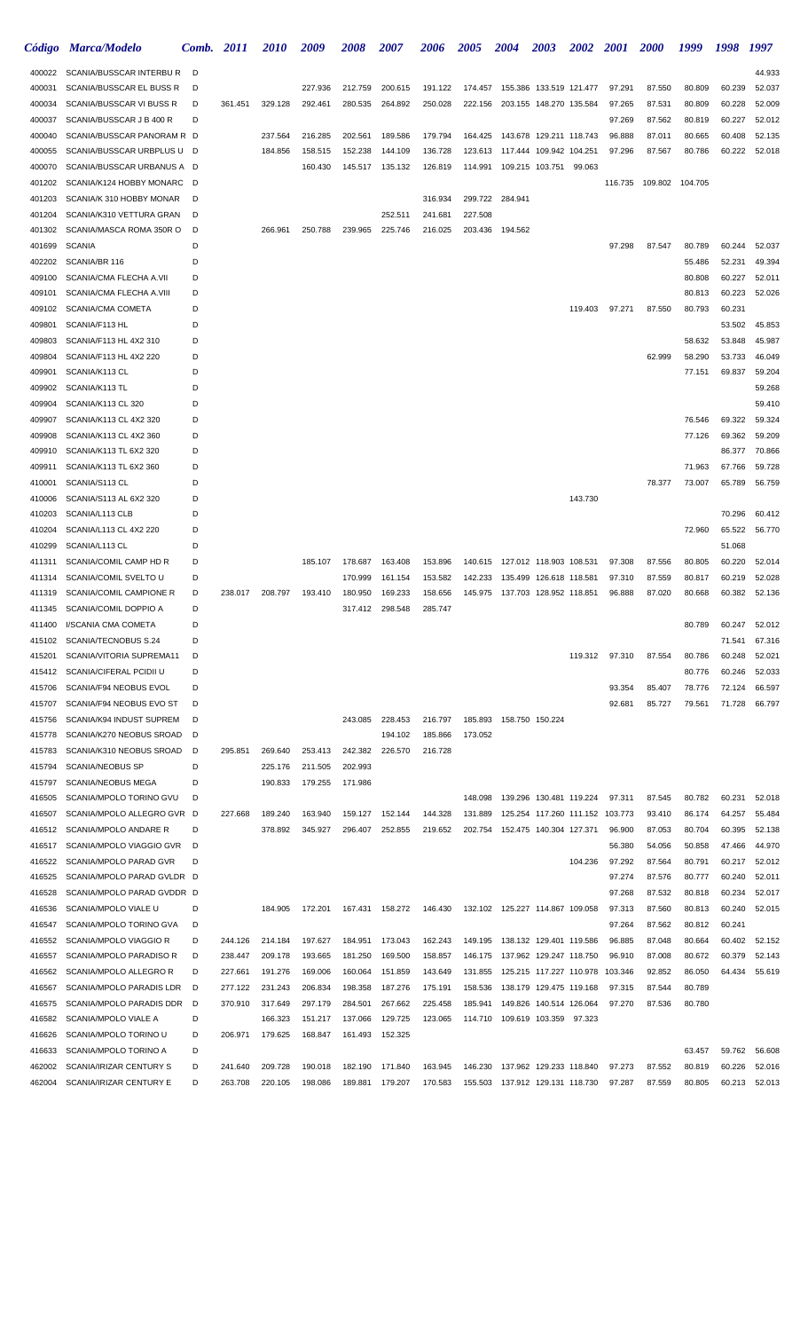|                  | Código Marca/Modelo                                      | Comb.  | <b>2011</b> | <i>2010</i> | 2009    | 2008    | 2007             | <b>2006</b> | <b>2005</b> | <b>2004</b>                        | 2003                            | <b>2002</b> | <b>2001</b>      | <b>2000</b>      | 1999             | 1998             | 1997             |
|------------------|----------------------------------------------------------|--------|-------------|-------------|---------|---------|------------------|-------------|-------------|------------------------------------|---------------------------------|-------------|------------------|------------------|------------------|------------------|------------------|
| 400022           | SCANIA/BUSSCAR INTERBU R                                 | D      |             |             |         |         |                  |             |             |                                    |                                 |             |                  |                  |                  |                  | 44.933           |
| 400031           | SCANIA/BUSSCAR EL BUSS R                                 | D      |             |             | 227.936 | 212.759 | 200.615          | 191.122     | 174.457     |                                    | 155.386 133.519 121.477         |             | 97.291           | 87.550           | 80.809           | 60.239           | 52.037           |
| 400034           | SCANIA/BUSSCAR VI BUSS R                                 | D      | 361.451     | 329.128     | 292.461 | 280.535 | 264.892          | 250.028     | 222.156     |                                    | 203.155 148.270 135.584         |             | 97.265           | 87.531           | 80.809           | 60.228           | 52.009           |
| 400037           | SCANIA/BUSSCAR J B 400 R                                 | D      |             |             |         |         |                  |             |             |                                    |                                 |             | 97.269           | 87.562           | 80.819           | 60.227           | 52.012           |
| 400040           | SCANIA/BUSSCAR PANORAM R D                               |        |             | 237.564     | 216.285 | 202.561 | 189.586          | 179.794     | 164.425     | 143.678 129.211 118.743            |                                 |             | 96.888           | 87.011           | 80.665           | 60.408           | 52.135           |
| 400055           | SCANIA/BUSSCAR URBPLUS U D                               |        |             | 184.856     | 158.515 | 152.238 | 144.109          | 136.728     | 123.613     |                                    | 117.444 109.942 104.251         |             | 97.296           | 87.567           | 80.786           | 60.222           | 52.018           |
| 400070<br>401202 | SCANIA/BUSSCAR URBANUS A D<br>SCANIA/K124 HOBBY MONARC D |        |             |             | 160.430 | 145.517 | 135.132          | 126.819     | 114.991     |                                    | 109.215 103.751                 | 99.063      | 116.735          | 109.802          | 104.705          |                  |                  |
| 401203           | SCANIA/K 310 HOBBY MONAR                                 | D      |             |             |         |         |                  | 316.934     |             | 299.722 284.941                    |                                 |             |                  |                  |                  |                  |                  |
| 401204           | SCANIA/K310 VETTURA GRAN                                 | D      |             |             |         |         | 252.511          | 241.681     | 227.508     |                                    |                                 |             |                  |                  |                  |                  |                  |
| 401302           | SCANIA/MASCA ROMA 350R O                                 | D      |             | 266.961     | 250.788 | 239.965 | 225.746          | 216.025     | 203.436     | 194.562                            |                                 |             |                  |                  |                  |                  |                  |
| 401699           | <b>SCANIA</b>                                            | D      |             |             |         |         |                  |             |             |                                    |                                 |             | 97.298           | 87.547           | 80.789           | 60.244           | 52.037           |
| 402202           | SCANIA/BR 116                                            | D      |             |             |         |         |                  |             |             |                                    |                                 |             |                  |                  | 55.486           | 52.231           | 49.394           |
| 409100           | SCANIA/CMA FLECHA A.VII                                  | D      |             |             |         |         |                  |             |             |                                    |                                 |             |                  |                  | 80.808           | 60.227           | 52.011           |
| 409101           | SCANIA/CMA FLECHA A.VIII                                 | D      |             |             |         |         |                  |             |             |                                    |                                 |             |                  |                  | 80.813           | 60.223           | 52.026           |
| 409102           | <b>SCANIA/CMA COMETA</b>                                 | D      |             |             |         |         |                  |             |             |                                    |                                 | 119.403     | 97.271           | 87.550           | 80.793           | 60.231           |                  |
| 409801           | SCANIA/F113 HL                                           | D      |             |             |         |         |                  |             |             |                                    |                                 |             |                  |                  |                  | 53.502           | 45.853           |
| 409803           | SCANIA/F113 HL 4X2 310                                   | D      |             |             |         |         |                  |             |             |                                    |                                 |             |                  |                  | 58.632           | 53.848           | 45.987           |
| 409804           | SCANIA/F113 HL 4X2 220                                   | D      |             |             |         |         |                  |             |             |                                    |                                 |             |                  | 62.999           | 58.290           | 53.733           | 46.049           |
| 409901           | SCANIA/K113 CL                                           | D      |             |             |         |         |                  |             |             |                                    |                                 |             |                  |                  | 77.151           | 69.837           | 59.204           |
| 409902           | SCANIA/K113 TL                                           | D<br>D |             |             |         |         |                  |             |             |                                    |                                 |             |                  |                  |                  |                  | 59.268<br>59.410 |
| 409904<br>409907 | SCANIA/K113 CL 320<br>SCANIA/K113 CL 4X2 320             | D      |             |             |         |         |                  |             |             |                                    |                                 |             |                  |                  | 76.546           | 69.322           | 59.324           |
| 409908           | SCANIA/K113 CL 4X2 360                                   | D      |             |             |         |         |                  |             |             |                                    |                                 |             |                  |                  | 77.126           | 69.362           | 59.209           |
| 409910           | SCANIA/K113 TL 6X2 320                                   | D      |             |             |         |         |                  |             |             |                                    |                                 |             |                  |                  |                  | 86.377           | 70.866           |
| 409911           | SCANIA/K113 TL 6X2 360                                   | D      |             |             |         |         |                  |             |             |                                    |                                 |             |                  |                  | 71.963           | 67.766           | 59.728           |
| 410001           | SCANIA/S113 CL                                           | D      |             |             |         |         |                  |             |             |                                    |                                 |             |                  | 78.377           | 73.007           | 65.789           | 56.759           |
| 410006           | SCANIA/S113 AL 6X2 320                                   | D      |             |             |         |         |                  |             |             |                                    |                                 | 143.730     |                  |                  |                  |                  |                  |
| 410203           | SCANIA/L113 CLB                                          | D      |             |             |         |         |                  |             |             |                                    |                                 |             |                  |                  |                  | 70.296           | 60.412           |
| 410204           | SCANIA/L113 CL 4X2 220                                   | D      |             |             |         |         |                  |             |             |                                    |                                 |             |                  |                  | 72.960           | 65.522           | 56.770           |
| 410299           | SCANIA/L113 CL                                           | D      |             |             |         |         |                  |             |             |                                    |                                 |             |                  |                  |                  | 51.068           |                  |
| 411311           | SCANIA/COMIL CAMP HD R                                   | D      |             |             | 185.107 | 178.687 | 163.408          | 153.896     |             | 140.615  127.012  118.903  108.531 |                                 |             | 97.308           | 87.556           | 80.805           | 60.220           | 52.014           |
| 411314           | SCANIA/COMIL SVELTO U                                    | D      |             |             |         | 170.999 | 161.154          | 153.582     | 142.233     |                                    | 135.499 126.618 118.581         |             | 97.310           | 87.559           | 80.817           | 60.219           | 52.028           |
| 411319           | SCANIA/COMIL CAMPIONE R                                  | D      | 238.017     | 208.797     | 193.410 | 180.950 | 169.233          | 158.656     |             | 145.975  137.703  128.952  118.851 |                                 |             | 96.888           | 87.020           | 80.668           | 60.382           | 52.136           |
| 411345           | SCANIA/COMIL DOPPIO A                                    | D      |             |             |         | 317.412 | 298.548          | 285.747     |             |                                    |                                 |             |                  |                  |                  |                  |                  |
| 411400           | I/SCANIA CMA COMETA                                      | D<br>D |             |             |         |         |                  |             |             |                                    |                                 |             |                  |                  | 80.789           | 60.247           | 52.012           |
| 415102<br>415201 | SCANIA/TECNOBUS S.24<br>SCANIA/VITORIA SUPREMA11         | D      |             |             |         |         |                  |             |             |                                    |                                 | 119.312     | 97.310           | 87.554           | 80.786           | 71.541<br>60.248 | 67.316<br>52.021 |
| 415412           | SCANIA/CIFERAL PCIDII U                                  | D      |             |             |         |         |                  |             |             |                                    |                                 |             |                  |                  | 80.776           | 60.246           | 52.033           |
| 415706           | SCANIA/F94 NEOBUS EVOL                                   | D      |             |             |         |         |                  |             |             |                                    |                                 |             | 93.354           | 85.407           | 78.776           | 72.124           | 66.597           |
| 415707           | SCANIA/F94 NEOBUS EVO ST                                 | D      |             |             |         |         |                  |             |             |                                    |                                 |             | 92.681           | 85.727           | 79.561           | 71.728           | 66.797           |
| 415756           | SCANIA/K94 INDUST SUPREM                                 | D      |             |             |         | 243.085 | 228.453          | 216.797     |             | 185.893  158.750  150.224          |                                 |             |                  |                  |                  |                  |                  |
| 415778           | SCANIA/K270 NEOBUS SROAD                                 | D      |             |             |         |         | 194.102          | 185.866     | 173.052     |                                    |                                 |             |                  |                  |                  |                  |                  |
| 415783           | SCANIA/K310 NEOBUS SROAD                                 | D      | 295.851     | 269.640     | 253.413 | 242.382 | 226,570          | 216.728     |             |                                    |                                 |             |                  |                  |                  |                  |                  |
| 415794           | <b>SCANIA/NEOBUS SP</b>                                  | D      |             | 225.176     | 211.505 | 202.993 |                  |             |             |                                    |                                 |             |                  |                  |                  |                  |                  |
| 415797           | <b>SCANIA/NEOBUS MEGA</b>                                | D      |             | 190.833     | 179.255 | 171.986 |                  |             |             |                                    |                                 |             |                  |                  |                  |                  |                  |
| 416505           | SCANIA/MPOLO TORINO GVU                                  | D      |             |             |         |         |                  |             | 148.098     |                                    | 139.296 130.481 119.224         |             | 97.311           | 87.545           | 80.782           | 60.231           | 52.018           |
| 416507           | SCANIA/MPOLO ALLEGRO GVR D                               |        | 227.668     | 189.240     | 163.940 | 159.127 | 152.144          | 144.328     | 131.889     |                                    | 125.254 117.260 111.152 103.773 |             |                  | 93.410           | 86.174           | 64.257           | 55.484           |
| 416512           | SCANIA/MPOLO ANDARE R                                    | D      |             | 378.892     | 345.927 | 296.407 | 252.855          | 219.652     |             | 202.754 152.475 140.304 127.371    |                                 |             | 96.900           | 87.053           | 80.704           | 60.395           | 52.138           |
| 416517<br>416522 | SCANIA/MPOLO VIAGGIO GVR<br>SCANIA/MPOLO PARAD GVR       | D<br>D |             |             |         |         |                  |             |             |                                    |                                 | 104.236     | 56.380<br>97.292 | 54.056<br>87.564 | 50.858<br>80.791 | 47.466<br>60.217 | 44.970<br>52.012 |
| 416525           | SCANIA/MPOLO PARAD GVLDR D                               |        |             |             |         |         |                  |             |             |                                    |                                 |             | 97.274           | 87.576           | 80.777           | 60.240           | 52.011           |
| 416528           | SCANIA/MPOLO PARAD GVDDR D                               |        |             |             |         |         |                  |             |             |                                    |                                 |             | 97.268           | 87.532           | 80.818           | 60.234           | 52.017           |
| 416536           | SCANIA/MPOLO VIALE U                                     | D      |             | 184.905     | 172.201 |         | 167.431  158.272 | 146.430     |             | 132.102 125.227 114.867 109.058    |                                 |             | 97.313           | 87.560           | 80.813           | 60.240           | 52.015           |
| 416547           | SCANIA/MPOLO TORINO GVA                                  | D      |             |             |         |         |                  |             |             |                                    |                                 |             | 97.264           | 87.562           | 80.812           | 60.241           |                  |
| 416552           | SCANIA/MPOLO VIAGGIO R                                   | D      | 244.126     | 214.184     | 197.627 | 184.951 | 173.043          | 162.243     | 149.195     | 138.132 129.401 119.586            |                                 |             | 96.885           | 87.048           | 80.664           | 60.402           | 52.152           |
| 416557           | SCANIA/MPOLO PARADISO R                                  | D      | 238.447     | 209.178     | 193.665 | 181.250 | 169.500          | 158.857     |             | 146.175  137.962  129.247  118.750 |                                 |             | 96.910           | 87.008           | 80.672           | 60.379           | 52.143           |
| 416562           | SCANIA/MPOLO ALLEGRO R                                   | D      | 227.661     | 191.276     | 169.006 | 160.064 | 151.859          | 143.649     | 131.855     | 125.215 117.227 110.978            |                                 |             | 103.346          | 92.852           | 86.050           | 64.434           | 55.619           |
| 416567           | SCANIA/MPOLO PARADIS LDR                                 | D      | 277.122     | 231.243     | 206.834 | 198.358 | 187.276          | 175.191     | 158.536     |                                    | 138.179 129.475 119.168         |             | 97.315           | 87.544           | 80.789           |                  |                  |
| 416575           | SCANIA/MPOLO PARADIS DDR D                               |        | 370.910     | 317.649     | 297.179 | 284.501 | 267.662          | 225.458     | 185.941     |                                    | 149.826 140.514 126.064         |             | 97.270           | 87.536           | 80.780           |                  |                  |
| 416582           | SCANIA/MPOLO VIALE A                                     | D      |             | 166.323     | 151.217 | 137.066 | 129.725          | 123.065     | 114.710     | 109.619 103.359                    |                                 | 97.323      |                  |                  |                  |                  |                  |
| 416626           | SCANIA/MPOLO TORINO U                                    | D      | 206.971     | 179.625     | 168.847 | 161.493 | 152.325          |             |             |                                    |                                 |             |                  |                  |                  |                  |                  |
| 416633<br>462002 | SCANIA/MPOLO TORINO A<br>SCANIA/IRIZAR CENTURY S         | D<br>D | 241.640     | 209.728     | 190.018 | 182.190 | 171.840          | 163.945     | 146.230     |                                    | 137.962 129.233 118.840         |             | 97.273           | 87.552           | 63.457           | 59.762<br>60.226 | 56.608<br>52.016 |
| 462004           | SCANIA/IRIZAR CENTURY E                                  | D      | 263.708     | 220.105     | 198.086 | 189.881 | 179.207          | 170.583     |             | 155.503 137.912 129.131 118.730    |                                 |             | 97.287           | 87.559           | 80.819<br>80.805 | 60.213           | 52.013           |
|                  |                                                          |        |             |             |         |         |                  |             |             |                                    |                                 |             |                  |                  |                  |                  |                  |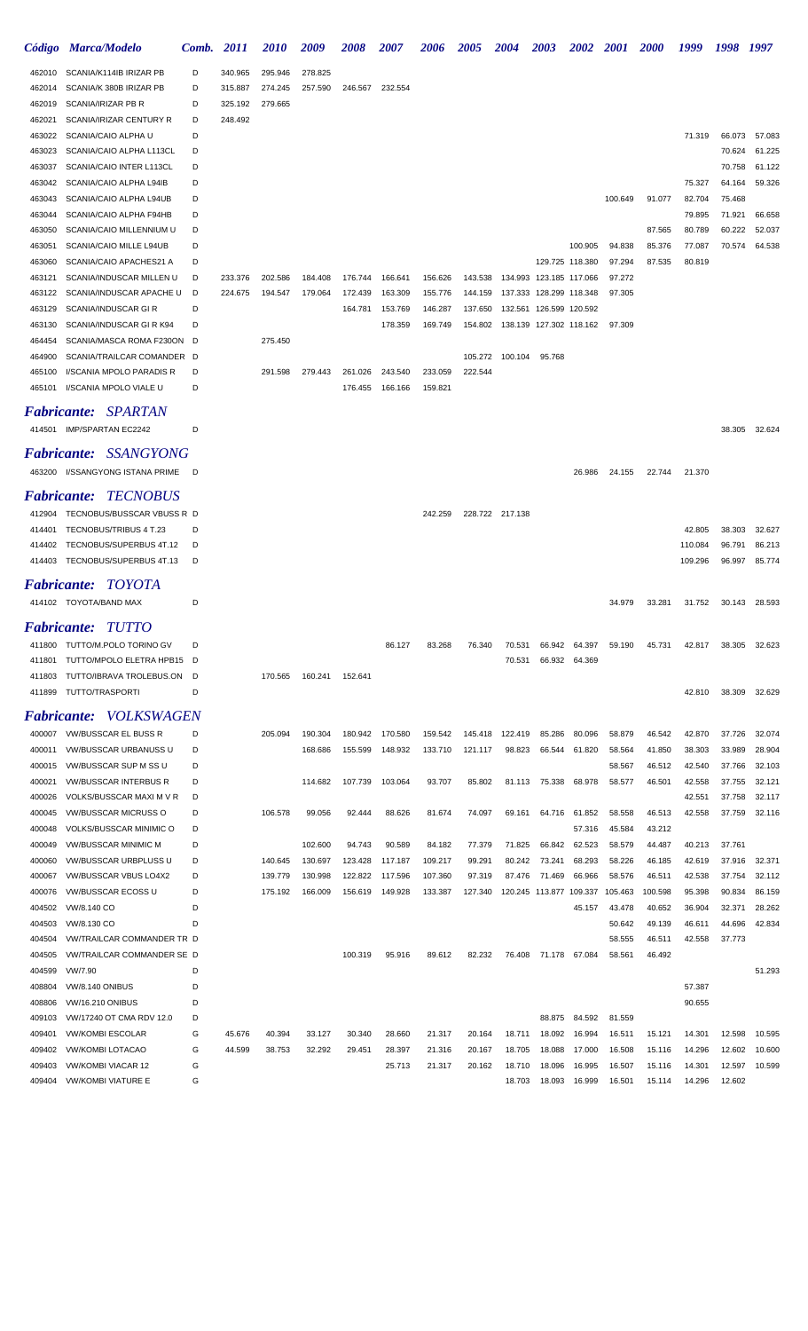|                  | Código Marca/Modelo                                    | Comb.  | <i>2011</i> | <i>2010</i> | 2009    | 2008    | <i><b>2007</b></i> | 2006    | 2005    | <b>2004</b>                        | <b>2003</b>             | <b>2002</b>      | <b>2001</b>      | <b>2000</b>      | 1999              | 1998             | 1997             |
|------------------|--------------------------------------------------------|--------|-------------|-------------|---------|---------|--------------------|---------|---------|------------------------------------|-------------------------|------------------|------------------|------------------|-------------------|------------------|------------------|
| 462010           | SCANIA/K114IB IRIZAR PB                                | D      | 340.965     | 295.946     | 278.825 |         |                    |         |         |                                    |                         |                  |                  |                  |                   |                  |                  |
| 462014           | SCANIA/K 380B IRIZAR PB                                | D      | 315.887     | 274.245     | 257.590 | 246.567 | 232.554            |         |         |                                    |                         |                  |                  |                  |                   |                  |                  |
| 462019           | SCANIA/IRIZAR PB R                                     | D      | 325.192     | 279.665     |         |         |                    |         |         |                                    |                         |                  |                  |                  |                   |                  |                  |
| 462021           | SCANIA/IRIZAR CENTURY R                                | D      | 248.492     |             |         |         |                    |         |         |                                    |                         |                  |                  |                  |                   |                  |                  |
| 463022           | SCANIA/CAIO ALPHA U                                    | D      |             |             |         |         |                    |         |         |                                    |                         |                  |                  |                  | 71.319            | 66.073           | 57.083           |
| 463023           | SCANIA/CAIO ALPHA L113CL                               | D      |             |             |         |         |                    |         |         |                                    |                         |                  |                  |                  |                   | 70.624           | 61.225           |
| 463037           | SCANIA/CAIO INTER L113CL                               | D      |             |             |         |         |                    |         |         |                                    |                         |                  |                  |                  |                   | 70.758           | 61.122           |
| 463042           | SCANIA/CAIO ALPHA L94IB                                | D      |             |             |         |         |                    |         |         |                                    |                         |                  |                  |                  | 75.327            | 64.164           | 59.326           |
| 463043           | SCANIA/CAIO ALPHA L94UB                                | D<br>D |             |             |         |         |                    |         |         |                                    |                         |                  | 100.649          | 91.077           | 82.704            | 75.468           |                  |
| 463044<br>463050 | SCANIA/CAIO ALPHA F94HB<br>SCANIA/CAIO MILLENNIUM U    | D      |             |             |         |         |                    |         |         |                                    |                         |                  |                  | 87.565           | 79.895<br>80.789  | 71.921<br>60.222 | 66.658<br>52.037 |
| 463051           | SCANIA/CAIO MILLE L94UB                                | D      |             |             |         |         |                    |         |         |                                    |                         | 100.905          | 94.838           | 85.376           | 77.087            | 70.574           | 64.538           |
| 463060           | SCANIA/CAIO APACHES21 A                                | D      |             |             |         |         |                    |         |         |                                    |                         | 129.725 118.380  | 97.294           | 87.535           | 80.819            |                  |                  |
| 463121           | SCANIA/INDUSCAR MILLEN U                               | D      | 233.376     | 202.586     | 184.408 | 176.744 | 166.641            | 156.626 | 143.538 |                                    | 134.993 123.185 117.066 |                  | 97.272           |                  |                   |                  |                  |
| 463122           | SCANIA/INDUSCAR APACHE U                               | D      | 224.675     | 194.547     | 179.064 | 172.439 | 163.309            | 155.776 | 144.159 |                                    | 137.333 128.299 118.348 |                  | 97.305           |                  |                   |                  |                  |
| 463129           | SCANIA/INDUSCAR GIR                                    | D      |             |             |         | 164.781 | 153.769            | 146.287 | 137.650 |                                    | 132.561 126.599 120.592 |                  |                  |                  |                   |                  |                  |
| 463130           | SCANIA/INDUSCAR GIR K94                                | D      |             |             |         |         | 178.359            | 169.749 |         | 154.802  138.139  127.302  118.162 |                         |                  | 97.309           |                  |                   |                  |                  |
| 464454           | SCANIA/MASCA ROMA F230ON                               | D      |             | 275.450     |         |         |                    |         |         |                                    |                         |                  |                  |                  |                   |                  |                  |
| 464900           | SCANIA/TRAILCAR COMANDER D                             |        |             |             |         |         |                    |         |         | 105.272 100.104                    | 95.768                  |                  |                  |                  |                   |                  |                  |
| 465100           | I/SCANIA MPOLO PARADIS R                               | D      |             | 291.598     | 279.443 | 261.026 | 243.540            | 233.059 | 222.544 |                                    |                         |                  |                  |                  |                   |                  |                  |
| 465101           | I/SCANIA MPOLO VIALE U                                 | D      |             |             |         | 176.455 | 166.166            | 159.821 |         |                                    |                         |                  |                  |                  |                   |                  |                  |
|                  | <b>Fabricante: SPARTAN</b>                             |        |             |             |         |         |                    |         |         |                                    |                         |                  |                  |                  |                   |                  |                  |
|                  |                                                        | D      |             |             |         |         |                    |         |         |                                    |                         |                  |                  |                  |                   |                  |                  |
|                  | 414501 IMP/SPARTAN EC2242                              |        |             |             |         |         |                    |         |         |                                    |                         |                  |                  |                  |                   | 38.305           | 32.624           |
|                  | Fabricante: SSANGYONG                                  |        |             |             |         |         |                    |         |         |                                    |                         |                  |                  |                  |                   |                  |                  |
|                  | 463200 I/SSANGYONG ISTANA PRIME                        | - D    |             |             |         |         |                    |         |         |                                    |                         | 26.986           | 24.155           | 22.744           | 21.370            |                  |                  |
|                  | <b>Fabricante: TECNOBUS</b>                            |        |             |             |         |         |                    |         |         |                                    |                         |                  |                  |                  |                   |                  |                  |
|                  |                                                        |        |             |             |         |         |                    |         |         |                                    |                         |                  |                  |                  |                   |                  |                  |
| 412904           | TECNOBUS/BUSSCAR VBUSS R D                             |        |             |             |         |         |                    | 242.259 |         | 228.722 217.138                    |                         |                  |                  |                  |                   |                  |                  |
| 414401<br>414402 | TECNOBUS/TRIBUS 4 T.23<br>TECNOBUS/SUPERBUS 4T.12      | D<br>D |             |             |         |         |                    |         |         |                                    |                         |                  |                  |                  | 42.805<br>110.084 | 38.303<br>96.791 | 32.627<br>86.213 |
|                  | 414403 TECNOBUS/SUPERBUS 4T.13                         | D      |             |             |         |         |                    |         |         |                                    |                         |                  |                  |                  | 109.296           | 96.997           | 85.774           |
|                  |                                                        |        |             |             |         |         |                    |         |         |                                    |                         |                  |                  |                  |                   |                  |                  |
|                  | <b>Fabricante: TOYOTA</b>                              |        |             |             |         |         |                    |         |         |                                    |                         |                  |                  |                  |                   |                  |                  |
|                  | 414102 TOYOTA/BAND MAX                                 | D      |             |             |         |         |                    |         |         |                                    |                         |                  | 34.979           | 33.281           | 31.752            | 30.143           | 28.593           |
|                  | <b>Fabricante: TUTTO</b>                               |        |             |             |         |         |                    |         |         |                                    |                         |                  |                  |                  |                   |                  |                  |
| 411800           | TUTTO/M.POLO TORINO GV                                 | D      |             |             |         |         | 86.127             | 83.268  | 76.340  | 70.531                             | 66.942                  | 64.397           | 59.190           | 45.731           | 42.817            | 38.305           | 32.623           |
| 411801           | TUTTO/MPOLO ELETRA HPB15                               | D      |             |             |         |         |                    |         |         | 70.531                             | 66.932                  | 64.369           |                  |                  |                   |                  |                  |
| 411803           | TUTTO/IBRAVA TROLEBUS.ON                               | D      |             | 170.565     | 160.241 | 152.641 |                    |         |         |                                    |                         |                  |                  |                  |                   |                  |                  |
| 411899           | TUTTO/TRASPORTI                                        | D      |             |             |         |         |                    |         |         |                                    |                         |                  |                  |                  | 42.810            | 38.309           | 32.629           |
|                  |                                                        |        |             |             |         |         |                    |         |         |                                    |                         |                  |                  |                  |                   |                  |                  |
| Fabricante:      | <i>VOLKSWAGEN</i>                                      |        |             |             |         |         |                    |         |         |                                    |                         |                  |                  |                  |                   |                  |                  |
| 400007           | VW/BUSSCAR EL BUSS R                                   | D      |             | 205.094     | 190.304 | 180.942 | 170.580            | 159.542 | 145.418 | 122.419                            | 85.286                  | 80.096           | 58.879           | 46.542           | 42.870            | 37.726           | 32.074           |
| 400011           | VW/BUSSCAR URBANUSS U                                  | D      |             |             | 168.686 | 155.599 | 148.932            | 133.710 | 121.117 | 98.823                             | 66.544                  | 61.820           | 58.564           | 41.850           | 38.303            | 33.989           | 28.904           |
| 400015<br>400021 | VW/BUSSCAR SUP M SS U<br><b>VW/BUSSCAR INTERBUS R</b>  | D<br>D |             |             | 114.682 | 107.739 | 103.064            | 93.707  | 85.802  | 81.113                             | 75.338                  | 68.978           | 58.567<br>58.577 | 46.512<br>46.501 | 42.540<br>42.558  | 37.766<br>37.755 | 32.103<br>32.121 |
| 400026           | VOLKS/BUSSCAR MAXI M V R                               | D      |             |             |         |         |                    |         |         |                                    |                         |                  |                  |                  | 42.551            | 37.758           | 32.117           |
| 400045           | <b>VW/BUSSCAR MICRUSS O</b>                            | D      |             | 106.578     | 99.056  | 92.444  | 88.626             | 81.674  | 74.097  | 69.161                             | 64.716                  | 61.852           | 58.558           | 46.513           | 42.558            | 37.759           | 32.116           |
| 400048           | <b>VOLKS/BUSSCAR MINIMIC O</b>                         | D      |             |             |         |         |                    |         |         |                                    |                         | 57.316           | 45.584           | 43.212           |                   |                  |                  |
| 400049           | <b>VW/BUSSCAR MINIMIC M</b>                            | D      |             |             | 102.600 | 94.743  | 90.589             | 84.182  | 77.379  | 71.825                             | 66.842                  | 62.523           | 58.579           | 44.487           | 40.213            | 37.761           |                  |
| 400060           | VW/BUSSCAR URBPLUSS U                                  | D      |             | 140.645     | 130.697 | 123.428 | 117.187            | 109.217 | 99.291  | 80.242                             | 73.241                  | 68.293           | 58.226           | 46.185           | 42.619            | 37.916           | 32.371           |
| 400067           | VW/BUSSCAR VBUS LO4X2                                  | D      |             | 139.779     | 130.998 | 122.822 | 117.596            | 107.360 | 97.319  | 87.476                             | 71.469                  | 66.966           | 58.576           | 46.511           | 42.538            | 37.754           | 32.112           |
| 400076           | VW/BUSSCAR ECOSS U                                     | D      |             | 175.192     | 166.009 | 156.619 | 149.928            | 133.387 | 127.340 |                                    | 120.245 113.877 109.337 |                  | 105.463          | 100.598          | 95.398            | 90.834           | 86.159           |
| 404502           | VW/8.140 CO                                            | D      |             |             |         |         |                    |         |         |                                    |                         | 45.157           | 43.478           | 40.652           | 36.904            | 32.371           | 28.262           |
| 404503           | VW/8.130 CO                                            | D      |             |             |         |         |                    |         |         |                                    |                         |                  | 50.642           | 49.139           | 46.611            | 44.696           | 42.834           |
| 404504           | VW/TRAILCAR COMMANDER TR D                             |        |             |             |         |         |                    |         |         |                                    |                         |                  | 58.555           | 46.511           | 42.558            | 37.773           |                  |
| 404505           | VW/TRAILCAR COMMANDER SE D                             |        |             |             |         | 100.319 | 95.916             | 89.612  | 82.232  | 76.408                             | 71.178                  | 67.084           | 58.561           | 46.492           |                   |                  |                  |
| 404599           | VW/7.90                                                | D      |             |             |         |         |                    |         |         |                                    |                         |                  |                  |                  |                   |                  | 51.293           |
| 408804           | <b>VW/8.140 ONIBUS</b>                                 | D      |             |             |         |         |                    |         |         |                                    |                         |                  |                  |                  | 57.387            |                  |                  |
| 408806           | <b>VW/16.210 ONIBUS</b>                                | D      |             |             |         |         |                    |         |         |                                    |                         |                  |                  |                  | 90.655            |                  |                  |
| 409103           | VW/17240 OT CMA RDV 12.0                               | D      |             |             |         |         |                    |         |         |                                    | 88.875                  | 84.592           | 81.559           |                  |                   |                  |                  |
| 409401           | <b>VW/KOMBI ESCOLAR</b>                                | G      | 45.676      | 40.394      | 33.127  | 30.340  | 28.660             | 21.317  | 20.164  | 18.711                             | 18.092                  | 16.994           | 16.511           | 15.121           | 14.301            | 12.598           | 10.595           |
| 409402           | <b>VW/KOMBI LOTACAO</b>                                | G      | 44.599      | 38.753      | 32.292  | 29.451  | 28.397             | 21.316  | 20.167  | 18.705                             | 18.088                  | 17.000           | 16.508           | 15.116           | 14.296            | 12.602           | 10.600           |
| 409403<br>409404 | <b>VW/KOMBI VIACAR 12</b><br><b>VW/KOMBI VIATURE E</b> | G<br>G |             |             |         |         | 25.713             | 21.317  | 20.162  | 18.710<br>18.703                   | 18.096<br>18.093        | 16.995<br>16.999 | 16.507<br>16.501 | 15.116           | 14.301<br>14.296  | 12.597<br>12.602 | 10.599           |
|                  |                                                        |        |             |             |         |         |                    |         |         |                                    |                         |                  |                  | 15.114           |                   |                  |                  |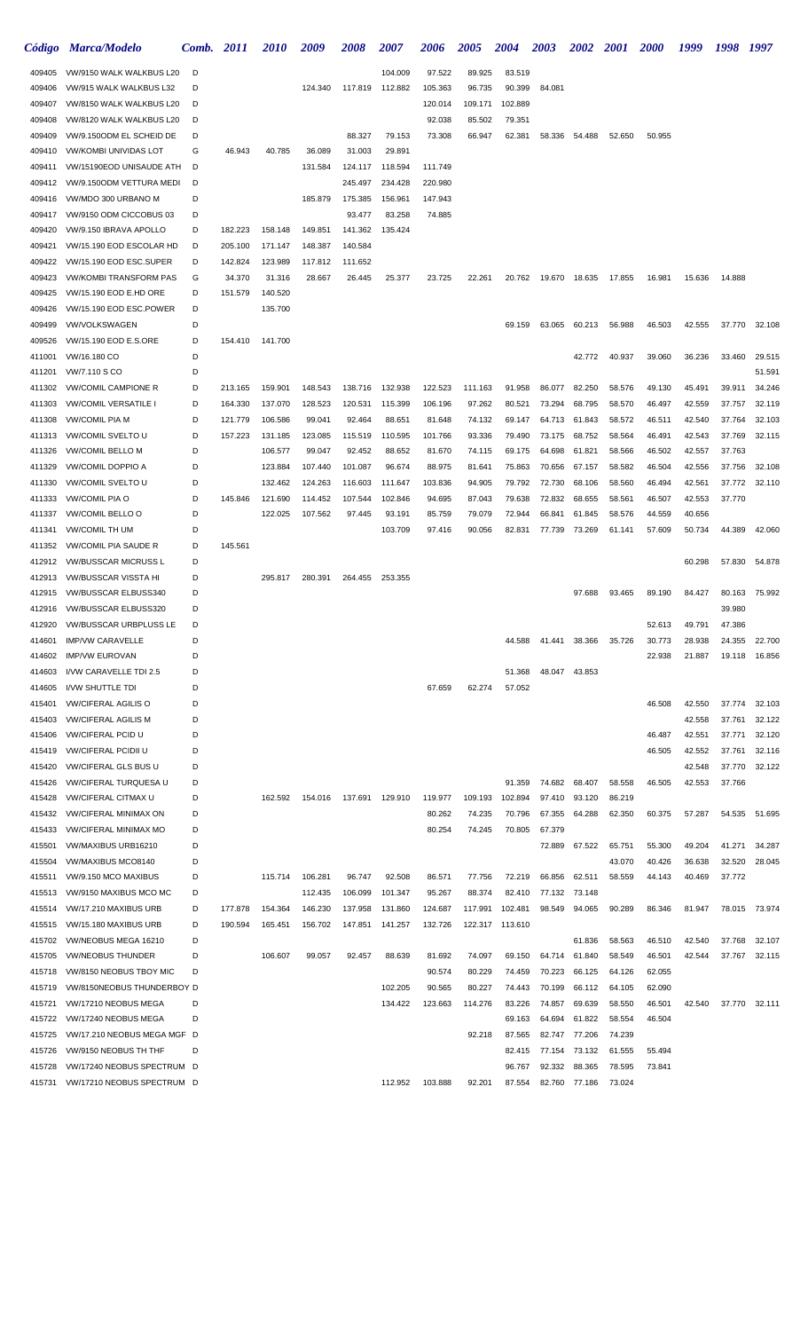|                  | Código Marca/Modelo                                   | Comb.  | <i>2011</i>        | <i>2010</i>        | 2009               | 2008               | 2007            | 2006             | 2005             | <b>2004</b>      | <b>2003</b>      | <b>2002</b>      | <i>2001</i>      | <b>2000</b>      | 1999             | 1998             | 1997          |
|------------------|-------------------------------------------------------|--------|--------------------|--------------------|--------------------|--------------------|-----------------|------------------|------------------|------------------|------------------|------------------|------------------|------------------|------------------|------------------|---------------|
| 409405           | VW/9150 WALK WALKBUS L20                              | D      |                    |                    |                    |                    | 104.009         | 97.522           | 89.925           | 83.519           |                  |                  |                  |                  |                  |                  |               |
| 409406           | VW/915 WALK WALKBUS L32                               | D      |                    |                    | 124.340            | 117.819            | 112.882         | 105.363          | 96.735           | 90.399           | 84.081           |                  |                  |                  |                  |                  |               |
| 409407           | VW/8150 WALK WALKBUS L20                              | D      |                    |                    |                    |                    |                 | 120.014          | 109.171          | 102.889          |                  |                  |                  |                  |                  |                  |               |
| 409408           | VW/8120 WALK WALKBUS L20                              | D      |                    |                    |                    |                    |                 | 92.038           | 85.502           | 79.351           |                  |                  |                  |                  |                  |                  |               |
| 409409           | VW/9.150ODM EL SCHEID DE                              | D      |                    |                    |                    | 88.327             | 79.153          | 73.308           | 66.947           | 62.381           | 58.336           | 54.488           | 52.650           | 50.955           |                  |                  |               |
| 409410           | <b>VW/KOMBI UNIVIDAS LOT</b>                          | G      | 46.943             | 40.785             | 36.089             | 31.003             | 29.891          |                  |                  |                  |                  |                  |                  |                  |                  |                  |               |
| 409411           | VW/15190EOD UNISAUDE ATH                              | D      |                    |                    | 131.584            | 124.117            | 118.594         | 111.749          |                  |                  |                  |                  |                  |                  |                  |                  |               |
| 409412           | VW/9.150ODM VETTURA MEDI                              | D      |                    |                    |                    | 245.497            | 234.428         | 220.980          |                  |                  |                  |                  |                  |                  |                  |                  |               |
| 409416           | VW/MDO 300 URBANO M                                   | D      |                    |                    | 185.879            | 175.385            | 156.961         | 147.943          |                  |                  |                  |                  |                  |                  |                  |                  |               |
| 409417           | VW/9150 ODM CICCOBUS 03                               | D      |                    |                    |                    | 93.477             | 83.258          | 74.885           |                  |                  |                  |                  |                  |                  |                  |                  |               |
| 409420           | VW/9.150 IBRAVA APOLLO                                | D      | 182.223<br>205.100 | 158.148            | 149.851            | 141.362            | 135.424         |                  |                  |                  |                  |                  |                  |                  |                  |                  |               |
| 409421<br>409422 | VW/15.190 EOD ESCOLAR HD<br>VW/15.190 EOD ESC.SUPER   | D<br>D | 142.824            | 171.147<br>123.989 | 148.387<br>117.812 | 140.584<br>111.652 |                 |                  |                  |                  |                  |                  |                  |                  |                  |                  |               |
| 409423           | <b>VW/KOMBI TRANSFORM PAS</b>                         | G      | 34.370             | 31.316             | 28.667             | 26.445             | 25.377          | 23.725           | 22.261           | 20.762           | 19.670           | 18.635           | 17.855           | 16.981           | 15.636           | 14.888           |               |
| 409425           | VW/15.190 EOD E.HD ORE                                | D      | 151.579            | 140.520            |                    |                    |                 |                  |                  |                  |                  |                  |                  |                  |                  |                  |               |
| 409426           | VW/15.190 EOD ESC.POWER                               | D      |                    | 135.700            |                    |                    |                 |                  |                  |                  |                  |                  |                  |                  |                  |                  |               |
| 409499           | <b>VW/VOLKSWAGEN</b>                                  | D      |                    |                    |                    |                    |                 |                  |                  | 69.159           | 63.065           | 60.213           | 56.988           | 46.503           | 42.555           | 37.770           | 32.108        |
| 409526           | VW/15.190 EOD E.S.ORE                                 | D      | 154.410            | 141.700            |                    |                    |                 |                  |                  |                  |                  |                  |                  |                  |                  |                  |               |
| 411001           | VW/16.180 CO                                          | D      |                    |                    |                    |                    |                 |                  |                  |                  |                  | 42.772           | 40.937           | 39.060           | 36.236           | 33.460           | 29.515        |
| 411201           | VW/7.110 S CO                                         | D      |                    |                    |                    |                    |                 |                  |                  |                  |                  |                  |                  |                  |                  |                  | 51.591        |
| 411302           | <b>VW/COMIL CAMPIONE R</b>                            | D      | 213.165            | 159.901            | 148.543            | 138.716            | 132.938         | 122.523          | 111.163          | 91.958           | 86.077           | 82.250           | 58.576           | 49.130           | 45.491           | 39.911           | 34.246        |
| 411303           | <b>VW/COMIL VERSATILE I</b>                           | D      | 164.330            | 137.070            | 128.523            | 120.531            | 115.399         | 106.196          | 97.262           | 80.521           | 73.294           | 68.795           | 58.570           | 46.497           | 42.559           | 37.757           | 32.119        |
| 411308           | <b>VW/COMIL PIA M</b>                                 | D      | 121.779            | 106.586            | 99.041             | 92.464             | 88.651          | 81.648           | 74.132           | 69.147           | 64.713           | 61.843           | 58.572           | 46.511           | 42.540           | 37.764           | 32.103        |
| 411313           | <b>VW/COMIL SVELTO U</b>                              | D      | 157.223            | 131.185            | 123.085            | 115.519            | 110.595         | 101.766          | 93.336           | 79.490           | 73.175           | 68.752           | 58.564           | 46.491           | 42.543           | 37.769           | 32.115        |
| 411326           | <b>VW/COMIL BELLO M</b>                               | D      |                    | 106.577            | 99.047             | 92.452             | 88.652          | 81.670           | 74.115           | 69.175           | 64.698           | 61.821           | 58.566           | 46.502           | 42.557           | 37.763           |               |
| 411329           | <b>VW/COMIL DOPPIO A</b>                              | D      |                    | 123.884            | 107.440            | 101.087            | 96.674          | 88.975           | 81.641           | 75.863           | 70.656           | 67.157           | 58.582           | 46.504           | 42.556           | 37.756           | 32.108        |
| 411330           | VW/COMIL SVELTO U                                     | D      |                    | 132.462            | 124.263            | 116.603            | 111.647         | 103.836          | 94.905           | 79.792           | 72.730           | 68.106           | 58.560           | 46.494           | 42.561           | 37.772           | 32.110        |
| 411333           | <b>VW/COMIL PIA O</b>                                 | D      | 145.846            | 121.690            | 114.452            | 107.544            | 102.846         | 94.695           | 87.043           | 79.638           | 72.832           | 68.655           | 58.561           | 46.507           | 42.553           | 37.770           |               |
| 411337           | VW/COMIL BELLO O                                      | D      |                    | 122.025            | 107.562            | 97.445             | 93.191          | 85.759           | 79.079           | 72.944           | 66.841           | 61.845           | 58.576           | 44.559           | 40.656           |                  |               |
| 411341           | <b>VW/COMIL TH UM</b>                                 | D      |                    |                    |                    |                    | 103.709         | 97.416           | 90.056           | 82.831           | 77.739           | 73.269           | 61.141           | 57.609           | 50.734           | 44.389           | 42.060        |
| 411352           | <b>VW/COMIL PIA SAUDE R</b>                           | D      | 145.561            |                    |                    |                    |                 |                  |                  |                  |                  |                  |                  |                  |                  |                  |               |
| 412912           | <b>VW/BUSSCAR MICRUSS L</b>                           | D      |                    |                    |                    |                    |                 |                  |                  |                  |                  |                  |                  |                  | 60.298           | 57.830           | 54.878        |
| 412913           | <b>VW/BUSSCAR VISSTA HI</b>                           | D      |                    | 295.817            | 280.391            | 264.455            | 253.355         |                  |                  |                  |                  |                  |                  |                  |                  |                  |               |
| 412915           | <b>VW/BUSSCAR ELBUSS340</b>                           | D      |                    |                    |                    |                    |                 |                  |                  |                  |                  | 97.688           | 93.465           | 89.190           | 84.427           | 80.163           | 75.992        |
| 412916           | VW/BUSSCAR ELBUSS320<br><b>VW/BUSSCAR URBPLUSS LE</b> | D<br>D |                    |                    |                    |                    |                 |                  |                  |                  |                  |                  |                  |                  |                  | 39.980<br>47.386 |               |
| 412920<br>414601 | <b>IMP/VW CARAVELLE</b>                               | D      |                    |                    |                    |                    |                 |                  |                  | 44.588           | 41.441           | 38.366           |                  | 52.613           | 49.791           | 24.355           | 22.700        |
| 414602           | <b>IMP/VW EUROVAN</b>                                 | D      |                    |                    |                    |                    |                 |                  |                  |                  |                  |                  | 35.726           | 30.773<br>22.938 | 28.938<br>21.887 | 19.118           | 16.856        |
| 414603           | I/VW CARAVELLE TDI 2.5                                | D      |                    |                    |                    |                    |                 |                  |                  | 51.368           |                  | 48.047 43.853    |                  |                  |                  |                  |               |
| 414605           | I/VW SHUTTLE TDI                                      | D      |                    |                    |                    |                    |                 | 67.659           | 62.274           | 57.052           |                  |                  |                  |                  |                  |                  |               |
| 415401           | <b>VW/CIFERAL AGILIS O</b>                            | D      |                    |                    |                    |                    |                 |                  |                  |                  |                  |                  |                  | 46.508           | 42.550           | 37.774           | 32.103        |
| 415403           | <b>VW/CIFERAL AGILIS M</b>                            | D      |                    |                    |                    |                    |                 |                  |                  |                  |                  |                  |                  |                  | 42.558           | 37.761           | 32.122        |
| 415406           | <b>VW/CIFERAL PCID U</b>                              | D      |                    |                    |                    |                    |                 |                  |                  |                  |                  |                  |                  | 46.487           | 42.551           | 37.771           | 32.120        |
| 415419           | <b>VW/CIFERAL PCIDII U</b>                            | D      |                    |                    |                    |                    |                 |                  |                  |                  |                  |                  |                  | 46.505           | 42.552           | 37.761           | 32.116        |
| 415420           | <b>VW/CIFERAL GLS BUS U</b>                           | D      |                    |                    |                    |                    |                 |                  |                  |                  |                  |                  |                  |                  | 42.548           | 37.770           | 32.122        |
| 415426           | <b>VW/CIFERAL TURQUESA U</b>                          | D      |                    |                    |                    |                    |                 |                  |                  | 91.359           | 74.682           | 68.407           | 58.558           | 46.505           | 42.553           | 37.766           |               |
| 415428           | <b>VW/CIFERAL CITMAX U</b>                            | D      |                    | 162.592            | 154.016            |                    | 137.691 129.910 | 119.977          | 109.193          | 102.894          | 97.410           | 93.120           | 86.219           |                  |                  |                  |               |
| 415432           | <b>VW/CIFERAL MINIMAX ON</b>                          | D      |                    |                    |                    |                    |                 | 80.262           | 74.235           | 70.796           | 67.355           | 64.288           | 62.350           | 60.375           | 57.287           | 54.535           | 51.695        |
| 415433           | <b>VW/CIFERAL MINIMAX MO</b>                          | D      |                    |                    |                    |                    |                 | 80.254           | 74.245           | 70.805           | 67.379           |                  |                  |                  |                  |                  |               |
| 415501           | VW/MAXIBUS URB16210                                   | D      |                    |                    |                    |                    |                 |                  |                  |                  | 72.889           | 67.522           | 65.751           | 55.300           | 49.204           | 41.271           | 34.287        |
| 415504           | VW/MAXIBUS MCO8140                                    | D      |                    |                    |                    |                    |                 |                  |                  |                  |                  |                  | 43.070           | 40.426           | 36.638           | 32.520           | 28.045        |
| 415511           | VW/9.150 MCO MAXIBUS                                  | D      |                    | 115.714            | 106.281            | 96.747             | 92.508          | 86.571           | 77.756           | 72.219           | 66.856           | 62.511           | 58.559           | 44.143           | 40.469           | 37.772           |               |
| 415513           | VW/9150 MAXIBUS MCO MC                                | D      |                    |                    | 112.435            | 106.099            | 101.347         | 95.267           | 88.374           | 82.410           | 77.132           | 73.148           |                  |                  |                  |                  |               |
| 415514           | VW/17.210 MAXIBUS URB                                 | D      | 177.878            | 154.364            | 146.230            | 137.958            | 131.860         | 124.687          | 117.991          | 102.481          | 98.549           | 94.065           | 90.289           | 86.346           | 81.947           |                  | 78.015 73.974 |
| 415515           | VW/15.180 MAXIBUS URB                                 | D      | 190.594            | 165.451            | 156.702            | 147.851            | 141.257         | 132.726          |                  | 122.317 113.610  |                  |                  |                  |                  |                  |                  |               |
| 415702           | VW/NEOBUS MEGA 16210                                  | D<br>D |                    |                    |                    |                    |                 |                  |                  |                  |                  | 61.836           | 58.563           | 46.510           | 42.540           | 37.768           | 32.107        |
| 415705<br>415718 | <b>VW/NEOBUS THUNDER</b><br>VW/8150 NEOBUS TBOY MIC   | D      |                    | 106.607            | 99.057             | 92.457             | 88.639          | 81.692           | 74.097<br>80.229 | 69.150<br>74.459 | 64.714           | 61.840<br>66.125 | 58.549<br>64.126 | 46.501<br>62.055 | 42.544           | 37.767           | 32.115        |
| 415719           | VW/8150NEOBUS THUNDERBOY D                            |        |                    |                    |                    |                    | 102.205         | 90.574<br>90.565 | 80.227           | 74.443           | 70.223<br>70.199 | 66.112           | 64.105           | 62.090           |                  |                  |               |
| 415721           | VW/17210 NEOBUS MEGA                                  | D      |                    |                    |                    |                    | 134.422         | 123.663          | 114.276          | 83.226           | 74.857           | 69.639           | 58.550           | 46.501           | 42.540           | 37.770           | 32.111        |
| 415722           | VW/17240 NEOBUS MEGA                                  | D      |                    |                    |                    |                    |                 |                  |                  | 69.163           | 64.694           | 61.822           | 58.554           | 46.504           |                  |                  |               |
| 415725           | VW/17.210 NEOBUS MEGA MGF D                           |        |                    |                    |                    |                    |                 |                  | 92.218           | 87.565           | 82.747           | 77.206           | 74.239           |                  |                  |                  |               |
| 415726           | VW/9150 NEOBUS TH THF                                 | D      |                    |                    |                    |                    |                 |                  |                  | 82.415           | 77.154           | 73.132           | 61.555           | 55.494           |                  |                  |               |
| 415728           | VW/17240 NEOBUS SPECTRUM D                            |        |                    |                    |                    |                    |                 |                  |                  | 96.767           | 92.332           | 88.365           | 78.595           | 73.841           |                  |                  |               |
| 415731           | VW/17210 NEOBUS SPECTRUM D                            |        |                    |                    |                    |                    | 112.952         | 103.888          | 92.201           | 87.554           | 82.760           | 77.186           | 73.024           |                  |                  |                  |               |
|                  |                                                       |        |                    |                    |                    |                    |                 |                  |                  |                  |                  |                  |                  |                  |                  |                  |               |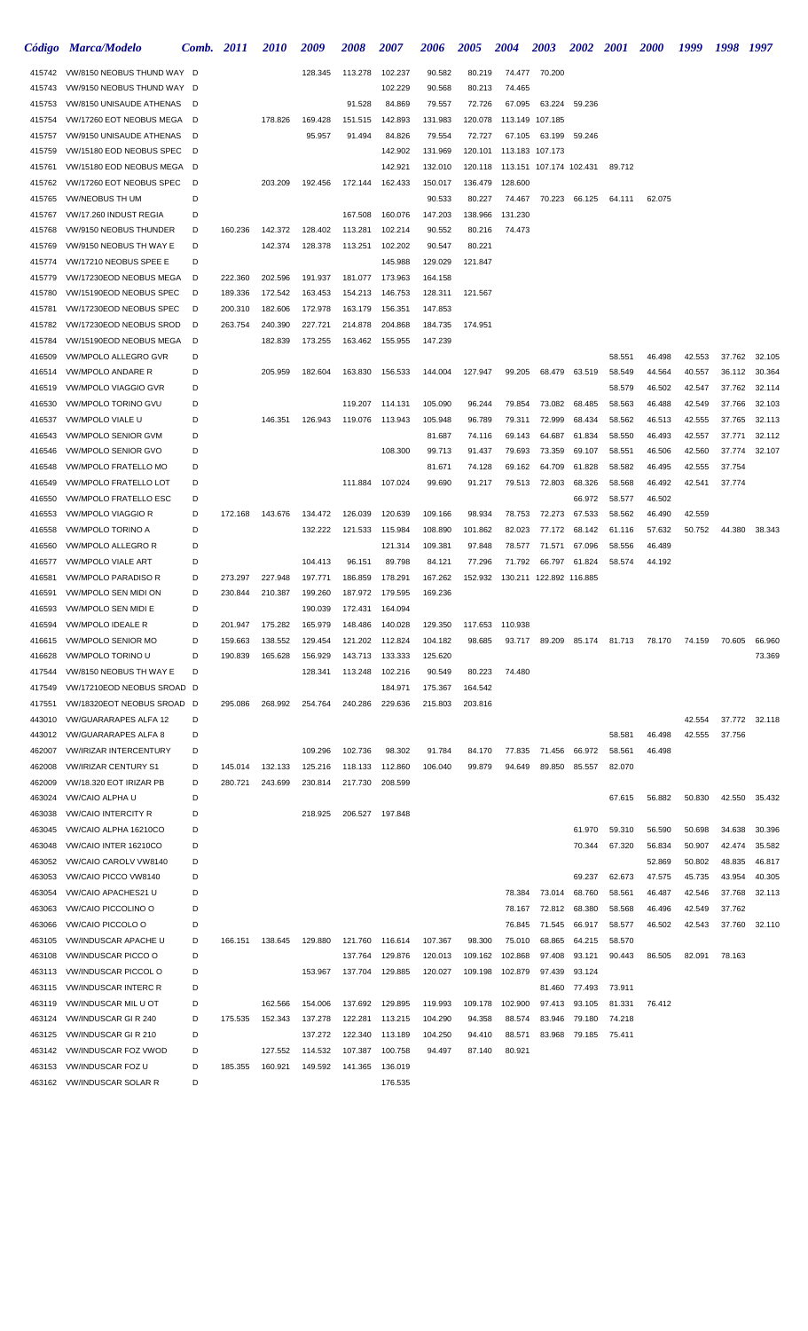|                  | Código Marca/Modelo                                     | Comb. 2011 |                    | <i>2010</i>        | 2009               | 2008               | <i><b>2007</b></i> | 2006               | <i><b>2005</b></i> | 2004              | <b>2003</b>             | <b>2002</b>      | <b>2001</b>      | <b>2000</b> | 1999   | 1998 1997 |               |
|------------------|---------------------------------------------------------|------------|--------------------|--------------------|--------------------|--------------------|--------------------|--------------------|--------------------|-------------------|-------------------------|------------------|------------------|-------------|--------|-----------|---------------|
| 415742           | VW/8150 NEOBUS THUND WAY D                              |            |                    |                    | 128.345            | 113.278            | 102.237            | 90.582             | 80.219             |                   | 74.477 70.200           |                  |                  |             |        |           |               |
| 415743           | VW/9150 NEOBUS THUND WAY                                | D          |                    |                    |                    |                    | 102.229            | 90.568             | 80.213             | 74.465            |                         |                  |                  |             |        |           |               |
| 415753           | VW/8150 UNISAUDE ATHENAS                                | D          |                    |                    |                    | 91.528             | 84.869             | 79.557             | 72.726             | 67.095            | 63.224                  | 59.236           |                  |             |        |           |               |
| 415754           | VW/17260 EOT NEOBUS MEGA                                | D          |                    | 178.826            | 169.428            | 151.515            | 142.893            | 131.983            | 120.078            | 113.149           | 107.185                 |                  |                  |             |        |           |               |
| 415757           | VW/9150 UNISAUDE ATHENAS                                | D          |                    |                    | 95.957             | 91.494             | 84.826             | 79.554             | 72.727             | 67.105            | 63.199                  | 59.246           |                  |             |        |           |               |
| 415759           | VW/15180 EOD NEOBUS SPEC                                | D          |                    |                    |                    |                    | 142.902            | 131.969            | 120.101            |                   | 113.183 107.173         |                  |                  |             |        |           |               |
| 415761           | VW/15180 EOD NEOBUS MEGA                                | D          |                    |                    |                    |                    | 142.921            | 132.010            | 120.118            |                   | 113.151 107.174 102.431 |                  | 89.712           |             |        |           |               |
| 415762           | VW/17260 EOT NEOBUS SPEC                                | D          |                    | 203.209            | 192.456            | 172.144            | 162.433            | 150.017            | 136.479            | 128.600           |                         |                  |                  |             |        |           |               |
| 415765           | <b>VW/NEOBUS TH UM</b>                                  | D          |                    |                    |                    |                    |                    | 90.533             | 80.227             | 74.467            | 70.223                  | 66.125           | 64.111           | 62.075      |        |           |               |
| 415767           | VW/17.260 INDUST REGIA                                  | D          |                    |                    |                    | 167.508            | 160.076            | 147.203            | 138.966            | 131.230           |                         |                  |                  |             |        |           |               |
| 415768           | VW/9150 NEOBUS THUNDER                                  | D          | 160.236            | 142.372            | 128.402            | 113.281            | 102.214            | 90.552             | 80.216             | 74.473            |                         |                  |                  |             |        |           |               |
| 415769           | VW/9150 NEOBUS TH WAY E                                 | D          |                    | 142.374            | 128.378            | 113.251            | 102.202            | 90.547             | 80.221             |                   |                         |                  |                  |             |        |           |               |
| 415774           | VW/17210 NEOBUS SPEE E                                  | D<br>D     |                    |                    |                    |                    | 145.988            | 129.029            | 121.847            |                   |                         |                  |                  |             |        |           |               |
| 415779<br>415780 | VW/17230EOD NEOBUS MEGA<br>VW/15190EOD NEOBUS SPEC      | D          | 222.360<br>189.336 | 202.596<br>172.542 | 191.937<br>163.453 | 181.077<br>154.213 | 173.963<br>146.753 | 164.158<br>128.311 | 121.567            |                   |                         |                  |                  |             |        |           |               |
| 415781           | VW/17230EOD NEOBUS SPEC                                 | D          | 200.310            | 182.606            | 172.978            | 163.179            | 156.351            | 147.853            |                    |                   |                         |                  |                  |             |        |           |               |
| 415782           | VW/17230EOD NEOBUS SROD                                 | D          | 263.754            | 240.390            | 227.721            | 214.878            | 204.868            | 184.735            | 174.951            |                   |                         |                  |                  |             |        |           |               |
| 415784           | VW/15190EOD NEOBUS MEGA                                 | D          |                    | 182.839            | 173.255            | 163.462            | 155.955            | 147.239            |                    |                   |                         |                  |                  |             |        |           |               |
| 416509           | VW/MPOLO ALLEGRO GVR                                    | D          |                    |                    |                    |                    |                    |                    |                    |                   |                         |                  | 58.551           | 46.498      | 42.553 | 37.762    | 32.105        |
| 416514           | <b>VW/MPOLO ANDARE R</b>                                | D          |                    | 205.959            | 182.604            | 163.830            | 156.533            | 144.004            | 127.947            | 99.205            | 68.479                  | 63.519           | 58.549           | 44.564      | 40.557 | 36.112    | 30.364        |
| 416519           | <b>VW/MPOLO VIAGGIO GVR</b>                             | D          |                    |                    |                    |                    |                    |                    |                    |                   |                         |                  | 58.579           | 46.502      | 42.547 | 37.762    | 32.114        |
| 416530           | VW/MPOLO TORINO GVU                                     | D          |                    |                    |                    | 119.207            | 114.131            | 105.090            | 96.244             | 79.854            | 73.082                  | 68.485           | 58.563           | 46.488      | 42.549 | 37.766    | 32.103        |
| 416537           | VW/MPOLO VIALE U                                        | D          |                    | 146.351            | 126.943            | 119.076            | 113.943            | 105.948            | 96.789             | 79.311            | 72.999                  | 68.434           | 58.562           | 46.513      | 42.555 | 37.765    | 32.113        |
| 416543           | VW/MPOLO SENIOR GVM                                     | D          |                    |                    |                    |                    |                    | 81.687             | 74.116             | 69.143            | 64.687                  | 61.834           | 58.550           | 46.493      | 42.557 | 37.771    | 32.112        |
| 416546           | VW/MPOLO SENIOR GVO                                     | D          |                    |                    |                    |                    | 108.300            | 99.713             | 91.437             | 79.693            | 73.359                  | 69.107           | 58.551           | 46.506      | 42.560 | 37.774    | 32.107        |
| 416548           | VW/MPOLO FRATELLO MO                                    | D          |                    |                    |                    |                    |                    | 81.671             | 74.128             | 69.162            | 64.709                  | 61.828           | 58.582           | 46.495      | 42.555 | 37.754    |               |
| 416549           | VW/MPOLO FRATELLO LOT                                   | D          |                    |                    |                    | 111.884            | 107.024            | 99.690             | 91.217             | 79.513            | 72.803                  | 68.326           | 58.568           | 46.492      | 42.541 | 37.774    |               |
| 416550           | VW/MPOLO FRATELLO ESC                                   | D          |                    |                    |                    |                    |                    |                    |                    |                   |                         | 66.972           | 58.577           | 46.502      |        |           |               |
| 416553           | VW/MPOLO VIAGGIO R                                      | D          | 172.168            | 143.676            | 134.472            | 126.039            | 120.639            | 109.166            | 98.934             | 78.753            | 72.273                  | 67.533           | 58.562           | 46.490      | 42.559 |           |               |
| 416558           | VW/MPOLO TORINO A                                       | D          |                    |                    | 132.222            | 121.533            | 115.984            | 108.890            | 101.862            | 82.023            | 77.172                  | 68.142           | 61.116           | 57.632      | 50.752 | 44.380    | 38.343        |
| 416560           | <b>VW/MPOLO ALLEGRO R</b>                               | D          |                    |                    |                    |                    | 121.314            | 109.381            | 97.848             | 78.577            | 71.571                  | 67.096           | 58.556           | 46.489      |        |           |               |
| 416577           | <b>VW/MPOLO VIALE ART</b>                               | D          |                    |                    | 104.413            | 96.151             | 89.798             | 84.121             | 77.296             | 71.792            | 66.797                  | 61.824           | 58.574           | 44.192      |        |           |               |
| 416581           | <b>VW/MPOLO PARADISO R</b>                              | D          | 273.297            | 227.948            | 197.771            | 186.859            | 178.291            | 167.262            | 152.932            |                   | 130.211 122.892 116.885 |                  |                  |             |        |           |               |
| 416591           | VW/MPOLO SEN MIDI ON<br><b>VW/MPOLO SEN MIDI E</b>      | D          | 230.844            | 210.387            | 199.260            | 187.972            | 179.595            | 169.236            |                    |                   |                         |                  |                  |             |        |           |               |
| 416593           | <b>VW/MPOLO IDEALE R</b>                                | D<br>D     | 201.947            |                    | 190.039            | 172.431            | 164.094<br>140.028 |                    |                    |                   |                         |                  |                  |             |        |           |               |
| 416594<br>416615 | <b>VW/MPOLO SENIOR MO</b>                               | D          | 159.663            | 175.282<br>138.552 | 165.979<br>129.454 | 148.486<br>121.202 | 112.824            | 129.350<br>104.182 | 117.653<br>98.685  | 110.938<br>93.717 | 89.209                  | 85.174           | 81.713           | 78.170      | 74.159 | 70.605    | 66.960        |
| 416628           | VW/MPOLO TORINO U                                       | D          | 190.839            | 165.628            | 156.929            | 143.713            | 133.333            | 125.620            |                    |                   |                         |                  |                  |             |        |           | 73.369        |
| 417544           | VW/8150 NEOBUS TH WAY E                                 | D          |                    |                    | 128.341            | 113.248            | 102.216            | 90.549             | 80.223             | 74.480            |                         |                  |                  |             |        |           |               |
| 417549           | VW/17210EOD NEOBUS SROAD D                              |            |                    |                    |                    |                    | 184.971            | 175.367            | 164.542            |                   |                         |                  |                  |             |        |           |               |
| 417551           | VW/18320EOT NEOBUS SROAD D                              |            | 295.086            | 268.992            | 254.764            | 240.286            | 229.636            | 215.803            | 203.816            |                   |                         |                  |                  |             |        |           |               |
| 443010           | <b>VW/GUARARAPES ALFA 12</b>                            | D          |                    |                    |                    |                    |                    |                    |                    |                   |                         |                  |                  |             | 42.554 |           | 37.772 32.118 |
| 443012           | <b>VW/GUARARAPES ALFA 8</b>                             | D          |                    |                    |                    |                    |                    |                    |                    |                   |                         |                  | 58.581           | 46.498      | 42.555 | 37.756    |               |
| 462007           | <b>VW/IRIZAR INTERCENTURY</b>                           | D          |                    |                    | 109.296            | 102.736            | 98.302             | 91.784             | 84.170             | 77.835            | 71.456                  | 66.972           | 58.561           | 46.498      |        |           |               |
| 462008           | <b>VW/IRIZAR CENTURY S1</b>                             | D          | 145.014            | 132.133            | 125.216            | 118.133            | 112.860            | 106.040            | 99.879             | 94.649            | 89.850                  | 85.557           | 82.070           |             |        |           |               |
| 462009           | VW/18.320 EOT IRIZAR PB                                 | D          | 280.721            | 243.699            | 230.814            | 217.730            | 208.599            |                    |                    |                   |                         |                  |                  |             |        |           |               |
| 463024           | <b>VW/CAIO ALPHA U</b>                                  | D          |                    |                    |                    |                    |                    |                    |                    |                   |                         |                  | 67.615           | 56.882      | 50.830 | 42.550    | 35.432        |
| 463038           | <b>VW/CAIO INTERCITY R</b>                              | D          |                    |                    | 218.925            | 206.527            | 197.848            |                    |                    |                   |                         |                  |                  |             |        |           |               |
| 463045           | VW/CAIO ALPHA 16210CO                                   | D          |                    |                    |                    |                    |                    |                    |                    |                   |                         | 61.970           | 59.310           | 56.590      | 50.698 | 34.638    | 30.396        |
| 463048           | VW/CAIO INTER 16210CO                                   | D          |                    |                    |                    |                    |                    |                    |                    |                   |                         | 70.344           | 67.320           | 56.834      | 50.907 | 42.474    | 35.582        |
| 463052           | VW/CAIO CAROLV VW8140                                   | D          |                    |                    |                    |                    |                    |                    |                    |                   |                         |                  |                  | 52.869      | 50.802 | 48.835    | 46.817        |
| 463053           | VW/CAIO PICCO VW8140                                    | D          |                    |                    |                    |                    |                    |                    |                    |                   |                         | 69.237           | 62.673           | 47.575      | 45.735 | 43.954    | 40.305        |
| 463054           | <b>VW/CAIO APACHES21 U</b>                              | D<br>D     |                    |                    |                    |                    |                    |                    |                    | 78.384            | 73.014                  | 68.760           | 58.561           | 46.487      | 42.546 | 37.768    | 32.113        |
| 463063           | <b>VW/CAIO PICCOLINO O</b>                              |            |                    |                    |                    |                    |                    |                    |                    | 78.167            | 72.812                  | 68.380           | 58.568           | 46.496      | 42.549 | 37.762    |               |
| 463066<br>463105 | <b>VW/CAIO PICCOLO O</b><br><b>VW/INDUSCAR APACHE U</b> | D<br>D     | 166.151            | 138.645            | 129.880            | 121.760            | 116.614            | 107.367            | 98.300             | 76.845<br>75.010  | 71.545<br>68.865        | 66.917<br>64.215 | 58.577<br>58.570 | 46.502      | 42.543 | 37.760    | 32.110        |
| 463108           | <b>VW/INDUSCAR PICCO O</b>                              | D          |                    |                    |                    | 137.764            | 129.876            | 120.013            | 109.162            | 102.868           | 97.408                  | 93.121           | 90.443           | 86.505      | 82.091 | 78.163    |               |
| 463113           | <b>VW/INDUSCAR PICCOL O</b>                             | D          |                    |                    | 153.967            | 137.704            | 129.885            | 120.027            | 109.198            | 102.879           | 97.439                  | 93.124           |                  |             |        |           |               |
| 463115           | <b>VW/INDUSCAR INTERC R</b>                             | D          |                    |                    |                    |                    |                    |                    |                    |                   | 81.460                  | 77.493           | 73.911           |             |        |           |               |
| 463119           | <b>VW/INDUSCAR MIL U OT</b>                             | D          |                    | 162.566            | 154.006            | 137.692            | 129.895            | 119.993            | 109.178            | 102.900           | 97.413                  | 93.105           | 81.331           | 76.412      |        |           |               |
| 463124           | <b>VW/INDUSCAR GIR 240</b>                              | D          | 175.535            | 152.343            | 137.278            | 122.281            | 113.215            | 104.290            | 94.358             | 88.574            | 83.946                  | 79.180           | 74.218           |             |        |           |               |
| 463125           | <b>VW/INDUSCAR GIR 210</b>                              | D          |                    |                    | 137.272            | 122.340            | 113.189            | 104.250            | 94.410             | 88.571            | 83.968                  | 79.185           | 75.411           |             |        |           |               |
| 463142           | <b>VW/INDUSCAR FOZ VWOD</b>                             | D          |                    | 127.552            | 114.532            | 107.387            | 100.758            | 94.497             | 87.140             | 80.921            |                         |                  |                  |             |        |           |               |
| 463153           | <b>VW/INDUSCAR FOZ U</b>                                | D          | 185.355            | 160.921            | 149.592            | 141.365            | 136.019            |                    |                    |                   |                         |                  |                  |             |        |           |               |
|                  | 463162 VW/INDUSCAR SOLAR R                              | D          |                    |                    |                    |                    | 176.535            |                    |                    |                   |                         |                  |                  |             |        |           |               |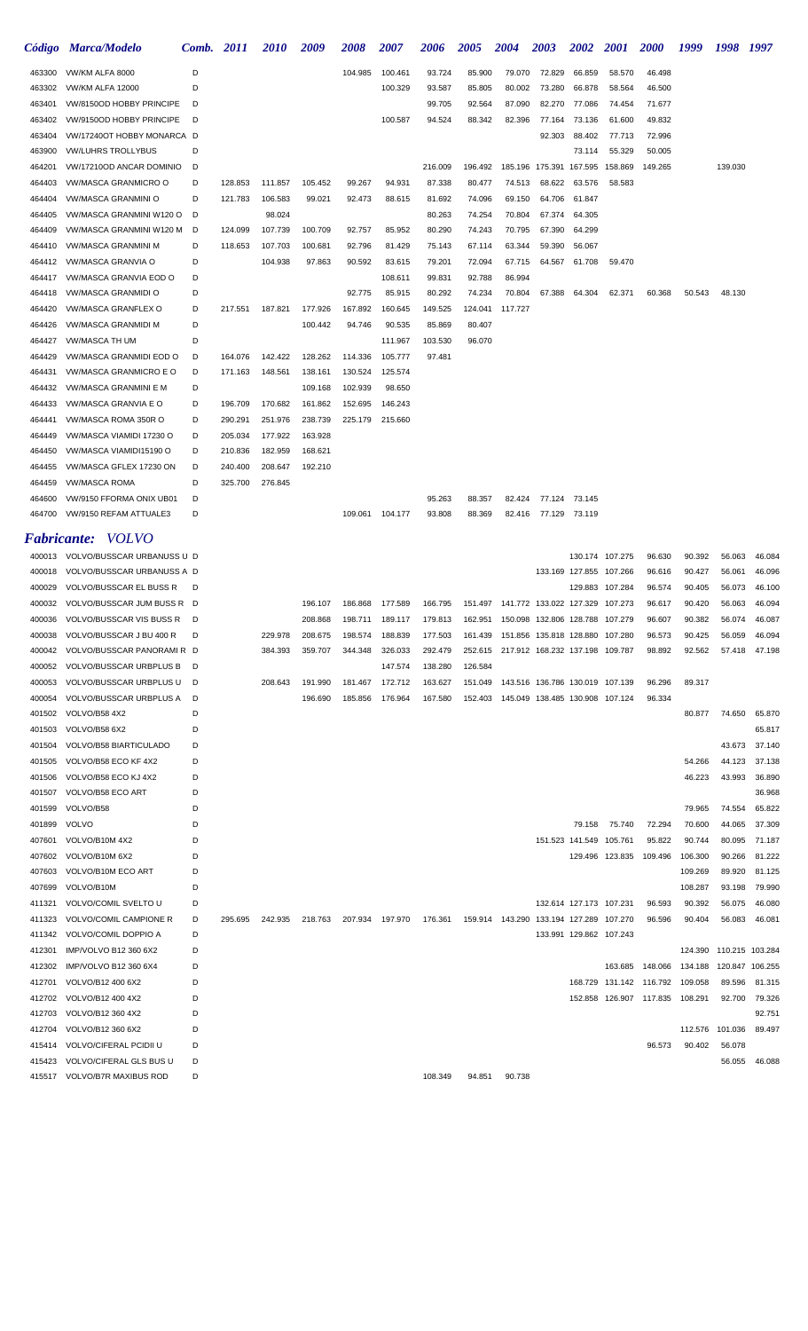|                  | Código Marca/Modelo                                             | Comb.  | 2011               | <i>2010</i>        | 2009               | 2008            | <i><b>2007</b></i> | 2006             | 2005                                                 | <b>2004</b>                                 | 2003                            | <b>2002</b>             | <b>2001</b>                                | <b>2000</b>                     | 1999             | 1998                    | 1997             |
|------------------|-----------------------------------------------------------------|--------|--------------------|--------------------|--------------------|-----------------|--------------------|------------------|------------------------------------------------------|---------------------------------------------|---------------------------------|-------------------------|--------------------------------------------|---------------------------------|------------------|-------------------------|------------------|
| 463300           | VW/KM ALFA 8000                                                 | D      |                    |                    |                    | 104.985         | 100.461            | 93.724           | 85.900                                               | 79.070                                      | 72.829                          | 66.859                  | 58.570                                     | 46.498                          |                  |                         |                  |
| 463302           | <b>VW/KM ALFA 12000</b>                                         | D      |                    |                    |                    |                 | 100.329            | 93.587           | 85.805                                               | 80.002                                      | 73.280                          | 66.878                  | 58.564                                     | 46.500                          |                  |                         |                  |
| 463401           | VW/8150OD HOBBY PRINCIPE                                        | D      |                    |                    |                    |                 |                    | 99.705           | 92.564                                               | 87.090                                      | 82.270                          | 77.086                  | 74.454                                     | 71.677                          |                  |                         |                  |
| 463402           | VW/9150OD HOBBY PRINCIPE                                        | D      |                    |                    |                    |                 | 100.587            | 94.524           | 88.342                                               | 82.396                                      | 77.164                          | 73.136                  | 61.600                                     | 49.832                          |                  |                         |                  |
| 463404           | VW/17240OT HOBBY MONARCA D                                      |        |                    |                    |                    |                 |                    |                  |                                                      |                                             | 92.303                          | 88.402                  | 77.713                                     | 72.996                          |                  |                         |                  |
| 463900           | <b>VW/LUHRS TROLLYBUS</b>                                       | D      |                    |                    |                    |                 |                    |                  |                                                      |                                             |                                 | 73.114                  | 55.329                                     | 50.005                          |                  |                         |                  |
| 464201           | VW/17210OD ANCAR DOMINIO                                        | D      |                    |                    |                    |                 |                    | 216.009          | 196.492                                              | 185.196                                     | 175.391 167.595                 |                         | 158.869                                    | 149.265                         |                  | 139.030                 |                  |
| 464403           | VW/MASCA GRANMICRO O                                            | D      | 128.853            | 111.857            | 105.452            | 99.267          | 94.931             | 87.338           | 80.477                                               | 74.513                                      | 68.622                          | 63.576                  | 58.583                                     |                                 |                  |                         |                  |
| 464404<br>464405 | VW/MASCA GRANMINI O<br>VW/MASCA GRANMINI W120 O                 | D<br>D | 121.783            | 106.583<br>98.024  | 99.021             | 92.473          | 88.615             | 81.692           | 74.096<br>74.254                                     | 69.150<br>70.804                            | 64.706<br>67.374                | 61.847                  |                                            |                                 |                  |                         |                  |
| 464409           | VW/MASCA GRANMINI W120 M                                        | D      | 124.099            | 107.739            | 100.709            | 92.757          | 85.952             | 80.263<br>80.290 | 74.243                                               | 70.795                                      | 67.390                          | 64.305<br>64.299        |                                            |                                 |                  |                         |                  |
| 464410           | VW/MASCA GRANMINI M                                             | D      | 118.653            | 107.703            | 100.681            | 92.796          | 81.429             | 75.143           | 67.114                                               | 63.344                                      | 59.390                          | 56.067                  |                                            |                                 |                  |                         |                  |
| 464412           | VW/MASCA GRANVIA O                                              | D      |                    | 104.938            | 97.863             | 90.592          | 83.615             | 79.201           | 72.094                                               | 67.715                                      | 64.567                          | 61.708                  | 59.470                                     |                                 |                  |                         |                  |
| 464417           | VW/MASCA GRANVIA EOD O                                          | D      |                    |                    |                    |                 | 108.611            | 99.831           | 92.788                                               | 86.994                                      |                                 |                         |                                            |                                 |                  |                         |                  |
| 464418           | <b>VW/MASCA GRANMIDI O</b>                                      | D      |                    |                    |                    | 92.775          | 85.915             | 80.292           | 74.234                                               | 70.804                                      | 67.388                          | 64.304                  | 62.371                                     | 60.368                          | 50.543           | 48.130                  |                  |
| 464420           | VW/MASCA GRANFLEX O                                             | D      | 217.551            | 187.821            | 177.926            | 167.892         | 160.645            | 149.525          | 124.041                                              | 117.727                                     |                                 |                         |                                            |                                 |                  |                         |                  |
| 464426           | <b>VW/MASCA GRANMIDI M</b>                                      | D      |                    |                    | 100.442            | 94.746          | 90.535             | 85.869           | 80.407                                               |                                             |                                 |                         |                                            |                                 |                  |                         |                  |
| 464427           | VW/MASCA TH UM                                                  | D      |                    |                    |                    |                 | 111.967            | 103.530          | 96.070                                               |                                             |                                 |                         |                                            |                                 |                  |                         |                  |
| 464429           | VW/MASCA GRANMIDI EOD O                                         | D      | 164.076            | 142.422            | 128.262            | 114.336         | 105.777            | 97.481           |                                                      |                                             |                                 |                         |                                            |                                 |                  |                         |                  |
| 464431           | <b>VW/MASCA GRANMICRO E O</b>                                   | D      | 171.163            | 148.561            | 138.161            | 130.524         | 125.574            |                  |                                                      |                                             |                                 |                         |                                            |                                 |                  |                         |                  |
| 464432           | <b>VW/MASCA GRANMINI E M</b>                                    | D      |                    |                    | 109.168            | 102.939         | 98.650             |                  |                                                      |                                             |                                 |                         |                                            |                                 |                  |                         |                  |
| 464433           | VW/MASCA GRANVIA E O                                            | D      | 196.709            | 170.682            | 161.862            | 152.695         | 146.243            |                  |                                                      |                                             |                                 |                         |                                            |                                 |                  |                         |                  |
| 464441           | VW/MASCA ROMA 350R O                                            | D      | 290.291            | 251.976            | 238.739            | 225.179         | 215.660            |                  |                                                      |                                             |                                 |                         |                                            |                                 |                  |                         |                  |
| 464449           | VW/MASCA VIAMIDI 17230 O                                        | D      | 205.034            | 177.922            | 163.928            |                 |                    |                  |                                                      |                                             |                                 |                         |                                            |                                 |                  |                         |                  |
| 464450<br>464455 | VW/MASCA VIAMIDI15190 O<br>VW/MASCA GFLEX 17230 ON              | D<br>D | 210.836<br>240.400 | 182.959<br>208.647 | 168.621<br>192.210 |                 |                    |                  |                                                      |                                             |                                 |                         |                                            |                                 |                  |                         |                  |
| 464459           | <b>VW/MASCA ROMA</b>                                            | D      | 325.700            | 276.845            |                    |                 |                    |                  |                                                      |                                             |                                 |                         |                                            |                                 |                  |                         |                  |
| 464600           | VW/9150 FFORMA ONIX UB01                                        | D      |                    |                    |                    |                 |                    | 95.263           | 88.357                                               | 82.424                                      |                                 | 77.124 73.145           |                                            |                                 |                  |                         |                  |
| 464700           | VW/9150 REFAM ATTUALE3                                          | D      |                    |                    |                    | 109.061 104.177 |                    | 93.808           | 88.369                                               | 82.416                                      | 77.129 73.119                   |                         |                                            |                                 |                  |                         |                  |
|                  |                                                                 |        |                    |                    |                    |                 |                    |                  |                                                      |                                             |                                 |                         |                                            |                                 |                  |                         |                  |
|                  | <b>Fabricante:</b> VOLVO                                        |        |                    |                    |                    |                 |                    |                  |                                                      |                                             |                                 |                         |                                            |                                 |                  |                         |                  |
|                  | 400013 VOLVO/BUSSCAR URBANUSS U D<br>VOLVO/BUSSCAR URBANUSS A D |        |                    |                    |                    |                 |                    |                  |                                                      |                                             |                                 |                         | 130.174 107.275<br>133.169 127.855 107.266 | 96.630                          | 90.392           | 56.063<br>56.061        | 46.084           |
| 400018<br>400029 | <b>VOLVO/BUSSCAR EL BUSS R</b>                                  | D      |                    |                    |                    |                 |                    |                  |                                                      |                                             |                                 |                         | 129.883 107.284                            | 96.616<br>96.574                | 90.427<br>90.405 | 56.073                  | 46.096<br>46.100 |
| 400032           | VOLVO/BUSSCAR JUM BUSS R D                                      |        |                    |                    | 196.107            | 186.868         | 177.589            | 166.795          | 151.497                                              |                                             | 141.772 133.022 127.329 107.273 |                         |                                            | 96.617                          | 90.420           | 56.063                  | 46.094           |
| 400036           | VOLVO/BUSSCAR VIS BUSS R                                        | D      |                    |                    | 208.868            | 198.711         | 189.117            | 179.813          |                                                      | 162.951  150.098  132.806  128.788  107.279 |                                 |                         |                                            | 96.607                          | 90.382           | 56.074                  | 46.087           |
|                  | 400038 VOLVO/BUSSCAR J BU 400 R                                 |        |                    | 229.978            | 208.675            |                 | 198.574 188.839    |                  | 177.503  161.439  151.856  135.818  128.880  107.280 |                                             |                                 |                         |                                            | 96.573                          | 90.425           | 56.059                  | 46.094           |
|                  | 400042 VOLVO/BUSSCAR PANORAMIR D                                |        |                    | 384.393            | 359.707            | 344.348         | 326.033            | 292.479          |                                                      | 252.615 217.912 168.232 137.198 109.787     |                                 |                         |                                            | 98.892                          | 92.562           | 57.418                  | 47.198           |
| 400052           | VOLVO/BUSSCAR URBPLUS B D                                       |        |                    |                    |                    |                 | 147.574            | 138.280          | 126.584                                              |                                             |                                 |                         |                                            |                                 |                  |                         |                  |
| 400053           | VOLVO/BUSSCAR URBPLUS U D                                       |        |                    | 208.643            | 191.990            | 181.467         | 172.712            | 163.627          |                                                      | 151.049  143.516  136.786  130.019  107.139 |                                 |                         |                                            | 96.296                          | 89.317           |                         |                  |
| 400054           | VOLVO/BUSSCAR URBPLUS A                                         | D      |                    |                    | 196.690            | 185.856         | 176.964            | 167.580          |                                                      | 152.403  145.049  138.485  130.908  107.124 |                                 |                         |                                            | 96.334                          |                  |                         |                  |
| 401502           | VOLVO/B58 4X2                                                   | D      |                    |                    |                    |                 |                    |                  |                                                      |                                             |                                 |                         |                                            |                                 | 80.877           | 74.650                  | 65.870           |
| 401503           | VOLVO/B58 6X2                                                   | D      |                    |                    |                    |                 |                    |                  |                                                      |                                             |                                 |                         |                                            |                                 |                  |                         | 65.817           |
| 401504           | VOLVO/B58 BIARTICULADO                                          | D      |                    |                    |                    |                 |                    |                  |                                                      |                                             |                                 |                         |                                            |                                 |                  | 43.673                  | 37.140           |
| 401505           | VOLVO/B58 ECO KF 4X2                                            | D      |                    |                    |                    |                 |                    |                  |                                                      |                                             |                                 |                         |                                            |                                 | 54.266           | 44.123                  | 37.138           |
| 401506           | VOLVO/B58 ECO KJ 4X2                                            | D      |                    |                    |                    |                 |                    |                  |                                                      |                                             |                                 |                         |                                            |                                 | 46.223           | 43.993                  | 36.890           |
| 401507<br>401599 | VOLVO/B58 ECO ART<br>VOLVO/B58                                  | D<br>D |                    |                    |                    |                 |                    |                  |                                                      |                                             |                                 |                         |                                            |                                 | 79.965           | 74.554                  | 36.968<br>65.822 |
| 401899           | VOLVO                                                           | D      |                    |                    |                    |                 |                    |                  |                                                      |                                             |                                 | 79.158                  | 75.740                                     | 72.294                          | 70.600           | 44.065                  | 37.309           |
| 407601           | VOLVO/B10M 4X2                                                  | D      |                    |                    |                    |                 |                    |                  |                                                      |                                             |                                 | 151.523 141.549 105.761 |                                            | 95.822                          | 90.744           | 80.095                  | 71.187           |
| 407602           | VOLVO/B10M 6X2                                                  | D      |                    |                    |                    |                 |                    |                  |                                                      |                                             |                                 |                         | 129.496 123.835                            | 109.496                         | 106.300          | 90.266                  | 81.222           |
| 407603           | VOLVO/B10M ECO ART                                              | D      |                    |                    |                    |                 |                    |                  |                                                      |                                             |                                 |                         |                                            |                                 | 109.269          | 89.920                  | 81.125           |
| 407699           | VOLVO/B10M                                                      | D      |                    |                    |                    |                 |                    |                  |                                                      |                                             |                                 |                         |                                            |                                 | 108.287          | 93.198                  | 79.990           |
| 411321           | VOLVO/COMIL SVELTO U                                            | D      |                    |                    |                    |                 |                    |                  |                                                      |                                             |                                 | 132.614 127.173 107.231 |                                            | 96.593                          | 90.392           | 56.075                  | 46.080           |
| 411323           | VOLVO/COMIL CAMPIONE R                                          | D      | 295.695            | 242.935            | 218.763            |                 | 207.934 197.970    | 176.361          |                                                      | 159.914  143.290  133.194  127.289  107.270 |                                 |                         |                                            | 96.596                          | 90.404           | 56.083                  | 46.081           |
| 411342           | VOLVO/COMIL DOPPIO A                                            | D      |                    |                    |                    |                 |                    |                  |                                                      |                                             |                                 |                         | 133.991 129.862 107.243                    |                                 |                  |                         |                  |
| 412301           | IMP/VOLVO B12 360 6X2                                           | D      |                    |                    |                    |                 |                    |                  |                                                      |                                             |                                 |                         |                                            |                                 |                  | 124.390 110.215 103.284 |                  |
| 412302           | IMP/VOLVO B12 360 6X4                                           | D      |                    |                    |                    |                 |                    |                  |                                                      |                                             |                                 |                         |                                            | 163.685 148.066                 | 134.188          |                         | 120.847 106.255  |
|                  | 412701 VOLVO/B12 400 6X2                                        | D      |                    |                    |                    |                 |                    |                  |                                                      |                                             |                                 |                         |                                            | 168.729 131.142 116.792         | 109.058          | 89.596                  | 81.315           |
|                  | 412702 VOLVO/B12 400 4X2                                        | D      |                    |                    |                    |                 |                    |                  |                                                      |                                             |                                 |                         |                                            | 152.858 126.907 117.835 108.291 |                  | 92.700                  | 79.326           |
|                  | 412703 VOLVO/B12 360 4X2                                        | D      |                    |                    |                    |                 |                    |                  |                                                      |                                             |                                 |                         |                                            |                                 |                  |                         | 92.751           |
| 412704           | VOLVO/B12 360 6X2                                               | D      |                    |                    |                    |                 |                    |                  |                                                      |                                             |                                 |                         |                                            |                                 | 112.576          | 101.036                 | 89.497           |
| 415414<br>415423 | VOLVO/CIFERAL PCIDII U<br>VOLVO/CIFERAL GLS BUS U               | D<br>D |                    |                    |                    |                 |                    |                  |                                                      |                                             |                                 |                         |                                            | 96.573                          | 90.402           | 56.078<br>56.055        | 46.088           |
|                  | 415517 VOLVO/B7R MAXIBUS ROD                                    | D      |                    |                    |                    |                 |                    | 108.349          | 94.851                                               | 90.738                                      |                                 |                         |                                            |                                 |                  |                         |                  |
|                  |                                                                 |        |                    |                    |                    |                 |                    |                  |                                                      |                                             |                                 |                         |                                            |                                 |                  |                         |                  |